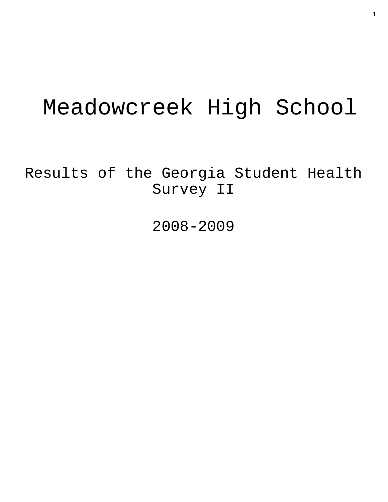# Meadowcreek High School

Results of the Georgia Student Health Survey II

2008-2009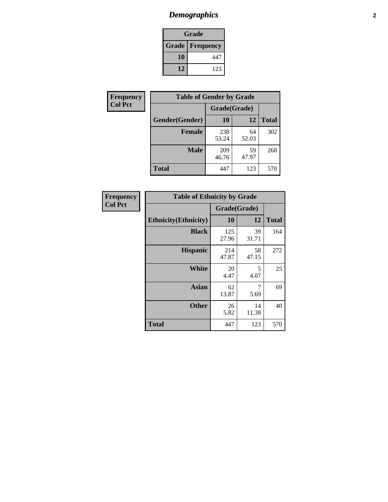# *Demographics* **2**

| Grade                    |     |  |  |
|--------------------------|-----|--|--|
| <b>Grade   Frequency</b> |     |  |  |
| 10                       | 447 |  |  |
| 12                       | 123 |  |  |

| Frequency      | <b>Table of Gender by Grade</b> |              |             |              |  |
|----------------|---------------------------------|--------------|-------------|--------------|--|
| <b>Col Pct</b> |                                 | Grade(Grade) |             |              |  |
|                | Gender(Gender)                  | 10           | 12          | <b>Total</b> |  |
|                | <b>Female</b>                   | 238<br>53.24 | 64<br>52.03 | 302          |  |
|                | <b>Male</b>                     | 209<br>46.76 | 59<br>47.97 | 268          |  |
|                | <b>Total</b>                    | 447          | 123         | 570          |  |

| Frequency<br>Col Pct |
|----------------------|
|                      |

| <b>Table of Ethnicity by Grade</b> |              |             |              |  |  |  |
|------------------------------------|--------------|-------------|--------------|--|--|--|
|                                    | Grade(Grade) |             |              |  |  |  |
| <b>Ethnicity</b> (Ethnicity)       | 10           | 12          | <b>Total</b> |  |  |  |
| <b>Black</b>                       | 125<br>27.96 | 39<br>31.71 | 164          |  |  |  |
| <b>Hispanic</b>                    | 214<br>47.87 | 58<br>47.15 | 272          |  |  |  |
| White                              | 20<br>4.47   | 5<br>4.07   | 25           |  |  |  |
| <b>Asian</b>                       | 62<br>13.87  | 7<br>5.69   | 69           |  |  |  |
| <b>Other</b>                       | 26<br>5.82   | 14<br>11.38 | 40           |  |  |  |
| <b>Total</b>                       | 447          | 123         | 570          |  |  |  |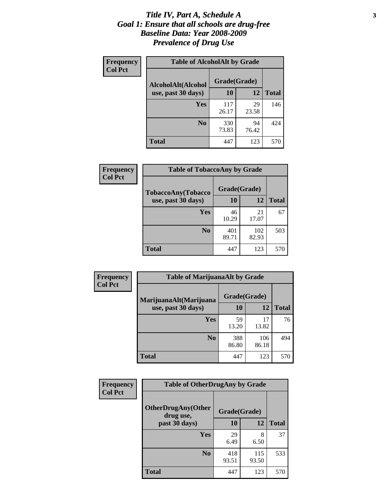#### *Title IV, Part A, Schedule A* **3** *Goal 1: Ensure that all schools are drug-free Baseline Data: Year 2008-2009 Prevalence of Drug Use*

| Frequency<br><b>Col Pct</b> | <b>Table of AlcoholAlt by Grade</b> |              |             |              |  |  |
|-----------------------------|-------------------------------------|--------------|-------------|--------------|--|--|
|                             | AlcoholAlt(Alcohol                  | Grade(Grade) |             |              |  |  |
|                             | use, past 30 days)                  | 10           | 12          | <b>Total</b> |  |  |
|                             | Yes                                 | 117<br>26.17 | 29<br>23.58 | 146          |  |  |
|                             | N <sub>0</sub>                      | 330<br>73.83 | 94<br>76.42 | 424          |  |  |
|                             | <b>Total</b>                        | 447          | 123         | 570          |  |  |

| Frequency<br><b>Col Pct</b> | <b>Table of TobaccoAny by Grade</b> |              |              |              |  |  |
|-----------------------------|-------------------------------------|--------------|--------------|--------------|--|--|
|                             | TobaccoAny(Tobacco                  | Grade(Grade) |              |              |  |  |
|                             | use, past 30 days)                  | 10           | 12           | <b>Total</b> |  |  |
|                             | <b>Yes</b>                          | 46<br>10.29  | 21<br>17.07  | 67           |  |  |
|                             | N <sub>0</sub>                      | 401<br>89.71 | 102<br>82.93 | 503          |  |  |
|                             | <b>Total</b>                        | 447          | 123          | 570          |  |  |

| Frequency          | <b>Table of MarijuanaAlt by Grade</b> |              |              |     |  |
|--------------------|---------------------------------------|--------------|--------------|-----|--|
| <b>Col Pct</b>     | MarijuanaAlt(Marijuana                | Grade(Grade) |              |     |  |
| use, past 30 days) | 10                                    | 12           | <b>Total</b> |     |  |
|                    | Yes                                   | 59<br>13.20  | 17<br>13.82  | 76  |  |
|                    | N <sub>0</sub>                        | 388<br>86.80 | 106<br>86.18 | 494 |  |
|                    | <b>Total</b>                          | 447          | 123          | 570 |  |

| Frequency      | <b>Table of OtherDrugAny by Grade</b>                  |              |              |              |  |
|----------------|--------------------------------------------------------|--------------|--------------|--------------|--|
| <b>Col Pct</b> | <b>OtherDrugAny(Other</b><br>Grade(Grade)<br>drug use, |              |              |              |  |
|                | past 30 days)                                          | 10           | 12           | <b>Total</b> |  |
|                | Yes                                                    | 29<br>6.49   | 8<br>6.50    | 37           |  |
|                | N <sub>0</sub>                                         | 418<br>93.51 | 115<br>93.50 | 533          |  |
|                | <b>Total</b>                                           | 447          | 123          | 570          |  |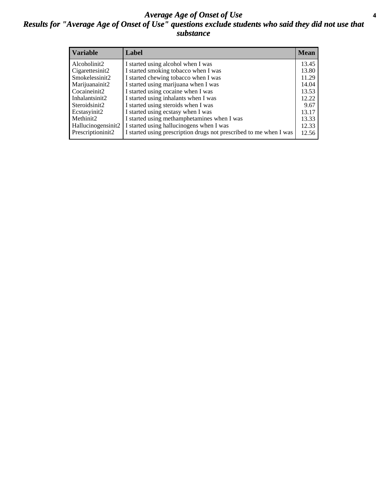#### *Average Age of Onset of Use* **4** *Results for "Average Age of Onset of Use" questions exclude students who said they did not use that substance*

| <b>Variable</b>    | Label                                                              | Mean  |
|--------------------|--------------------------------------------------------------------|-------|
| Alcoholinit2       | I started using alcohol when I was                                 | 13.45 |
| Cigarettesinit2    | I started smoking tobacco when I was                               | 13.80 |
| Smokelessinit2     | I started chewing tobacco when I was                               | 11.29 |
| Marijuanainit2     | I started using marijuana when I was                               | 14.04 |
| Cocaineinit2       | I started using cocaine when I was                                 | 13.53 |
| Inhalantsinit2     | I started using inhalants when I was                               | 12.22 |
| Steroidsinit2      | I started using steroids when I was                                | 9.67  |
| Ecstasyinit2       | I started using ecstasy when I was                                 | 13.17 |
| Methinit2          | I started using methamphetamines when I was                        | 13.33 |
| Hallucinogensinit2 | I started using hallucinogens when I was                           | 12.33 |
| Prescriptioninit2  | I started using prescription drugs not prescribed to me when I was | 12.56 |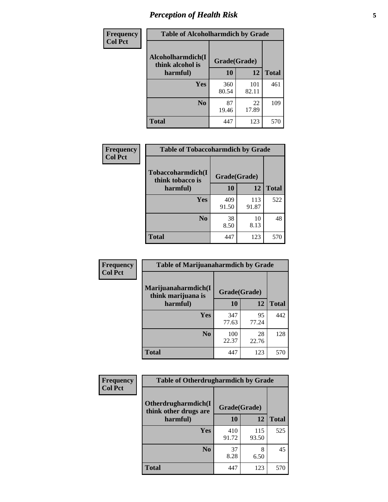# *Perception of Health Risk* **5**

| Frequency      | <b>Table of Alcoholharmdich by Grade</b> |              |              |              |  |
|----------------|------------------------------------------|--------------|--------------|--------------|--|
| <b>Col Pct</b> | Alcoholharmdich(I<br>think alcohol is    | Grade(Grade) |              |              |  |
|                | harmful)                                 | 10           | 12           | <b>Total</b> |  |
|                | Yes                                      | 360<br>80.54 | 101<br>82.11 | 461          |  |
|                | N <sub>0</sub>                           | 87<br>19.46  | 22<br>17.89  | 109          |  |
|                | <b>Total</b>                             | 447          | 123          | 570          |  |

| <b>Frequency</b> | <b>Table of Tobaccoharmdich by Grade</b> |              |              |              |
|------------------|------------------------------------------|--------------|--------------|--------------|
| <b>Col Pct</b>   | Tobaccoharmdich(I<br>think tobacco is    | Grade(Grade) |              |              |
|                  | harmful)                                 | 10           | 12           | <b>Total</b> |
|                  | Yes                                      | 409<br>91.50 | 113<br>91.87 | 522          |
|                  | N <sub>0</sub>                           | 38<br>8.50   | 10<br>8.13   | 48           |
|                  | Total                                    | 447          | 123          | 570          |

| Frequency      | <b>Table of Marijuanaharmdich by Grade</b>                |              |             |              |  |  |
|----------------|-----------------------------------------------------------|--------------|-------------|--------------|--|--|
| <b>Col Pct</b> | Marijuanaharmdich(I<br>Grade(Grade)<br>think marijuana is |              |             |              |  |  |
|                | harmful)                                                  | <b>10</b>    | 12          | <b>Total</b> |  |  |
|                | Yes                                                       | 347<br>77.63 | 95<br>77.24 | 442          |  |  |
|                | N <sub>0</sub>                                            | 100<br>22.37 | 28<br>22.76 | 128          |  |  |
|                | <b>Total</b>                                              | 447          | 123         | 570          |  |  |

| <b>Frequency</b> | <b>Table of Otherdrugharmdich by Grade</b>   |              |              |              |  |  |
|------------------|----------------------------------------------|--------------|--------------|--------------|--|--|
| <b>Col Pct</b>   | Otherdrugharmdich(I<br>think other drugs are | Grade(Grade) |              |              |  |  |
|                  | harmful)                                     | 10           | 12           | <b>Total</b> |  |  |
|                  | Yes                                          | 410<br>91.72 | 115<br>93.50 | 525          |  |  |
|                  | N <sub>0</sub>                               | 37<br>8.28   | 8<br>6.50    | 45           |  |  |
|                  | <b>Total</b>                                 | 447          | 123          | 570          |  |  |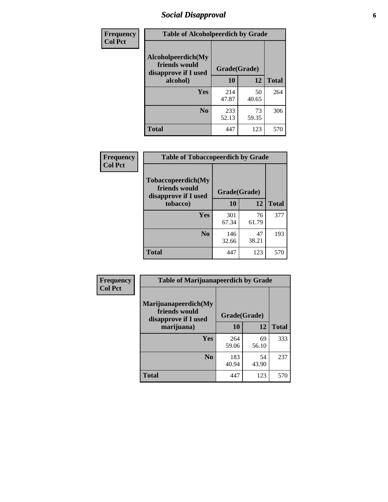# *Social Disapproval* **6**

| Frequency      | <b>Table of Alcoholpeerdich by Grade</b>                    |              |             |              |
|----------------|-------------------------------------------------------------|--------------|-------------|--------------|
| <b>Col Pct</b> | Alcoholpeerdich(My<br>friends would<br>disapprove if I used | Grade(Grade) |             |              |
|                | alcohol)                                                    | 10           | 12          | <b>Total</b> |
|                | <b>Yes</b>                                                  | 214<br>47.87 | 50<br>40.65 | 264          |
|                | N <sub>0</sub>                                              | 233<br>52.13 | 73<br>59.35 | 306          |
|                | Total                                                       | 447          | 123         | 570          |

| <b>Frequency</b> |
|------------------|
| <b>Col Pct</b>   |

| <b>Table of Tobaccopeerdich by Grade</b>                    |              |             |              |  |
|-------------------------------------------------------------|--------------|-------------|--------------|--|
| Tobaccopeerdich(My<br>friends would<br>disapprove if I used | Grade(Grade) |             |              |  |
| tobacco)                                                    | 10           | 12          | <b>Total</b> |  |
| Yes                                                         | 301<br>67.34 | 76<br>61.79 | 377          |  |
| N <sub>0</sub>                                              | 146<br>32.66 | 47<br>38.21 | 193          |  |
| <b>Total</b>                                                | 447          | 123         | 570          |  |

| Frequency      | <b>Table of Marijuanapeerdich by Grade</b>                    |              |             |              |  |  |
|----------------|---------------------------------------------------------------|--------------|-------------|--------------|--|--|
| <b>Col Pct</b> | Marijuanapeerdich(My<br>friends would<br>disapprove if I used | Grade(Grade) |             |              |  |  |
|                | marijuana)                                                    | 10           | 12          | <b>Total</b> |  |  |
|                | <b>Yes</b>                                                    | 264<br>59.06 | 69<br>56.10 | 333          |  |  |
|                | N <sub>0</sub>                                                | 183<br>40.94 | 54<br>43.90 | 237          |  |  |
|                | <b>Total</b>                                                  | 447          | 123         | 570          |  |  |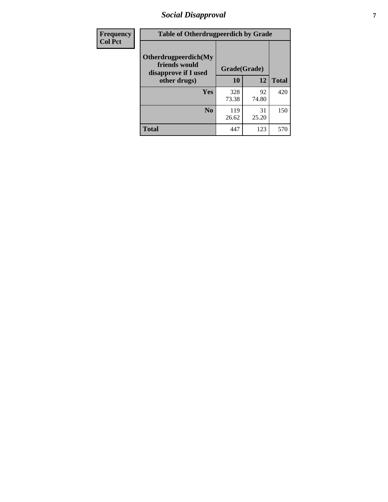# *Social Disapproval* **7**

| Frequency      | <b>Table of Otherdrugpeerdich by Grade</b>                    |              |             |              |  |  |
|----------------|---------------------------------------------------------------|--------------|-------------|--------------|--|--|
| <b>Col Pct</b> | Otherdrugpeerdich(My<br>friends would<br>disapprove if I used | Grade(Grade) |             |              |  |  |
|                | other drugs)                                                  | 10           | 12          | <b>Total</b> |  |  |
|                | Yes                                                           | 328<br>73.38 | 92<br>74.80 | 420          |  |  |
|                | N <sub>0</sub>                                                | 119<br>26.62 | 31<br>25.20 | 150          |  |  |
|                | <b>Total</b>                                                  | 447          | 123         | 570          |  |  |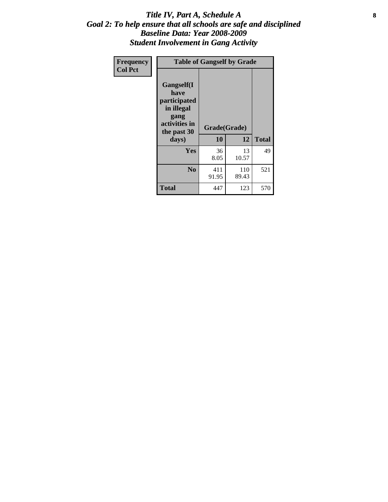#### Title IV, Part A, Schedule A **8** *Goal 2: To help ensure that all schools are safe and disciplined Baseline Data: Year 2008-2009 Student Involvement in Gang Activity*

| Frequency      | <b>Table of Gangself by Grade</b>                                                                 |                    |              |              |
|----------------|---------------------------------------------------------------------------------------------------|--------------------|--------------|--------------|
| <b>Col Pct</b> | Gangself(I<br>have<br>participated<br>in illegal<br>gang<br>activities in<br>the past 30<br>days) | Grade(Grade)<br>10 | 12           | <b>Total</b> |
|                | Yes                                                                                               | 36<br>8.05         | 13<br>10.57  | 49           |
|                | N <sub>0</sub>                                                                                    | 411<br>91.95       | 110<br>89.43 | 521          |
|                | <b>Total</b>                                                                                      | 447                | 123          | 570          |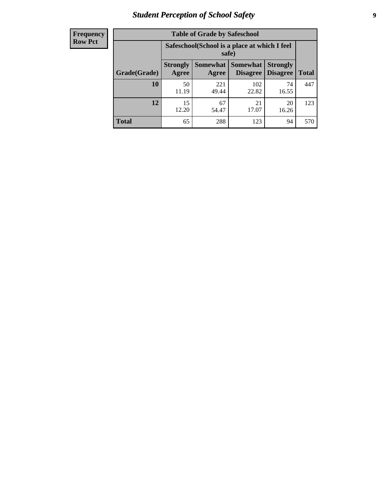# *Student Perception of School Safety* **9**

| <b>Frequency</b><br>Row Pct |
|-----------------------------|
|                             |

| <b>Table of Grade by Safeschool</b> |                                                                                                                                                  |                                                        |              |             |     |  |
|-------------------------------------|--------------------------------------------------------------------------------------------------------------------------------------------------|--------------------------------------------------------|--------------|-------------|-----|--|
|                                     |                                                                                                                                                  | Safeschool (School is a place at which I feel<br>safe) |              |             |     |  |
| Grade(Grade)                        | <b>Somewhat</b><br><b>Somewhat</b><br><b>Strongly</b><br><b>Strongly</b><br><b>Disagree</b><br>Agree<br><b>Disagree</b><br><b>Total</b><br>Agree |                                                        |              |             |     |  |
| 10                                  | 50<br>11.19                                                                                                                                      | 221<br>49.44                                           | 102<br>22.82 | 74<br>16.55 | 447 |  |
| $\overline{12}$                     | 15<br>12.20                                                                                                                                      | 67<br>54.47                                            | 21<br>17.07  | 20<br>16.26 | 123 |  |
| <b>Total</b>                        | 65                                                                                                                                               | 288                                                    | 123          | 94          | 570 |  |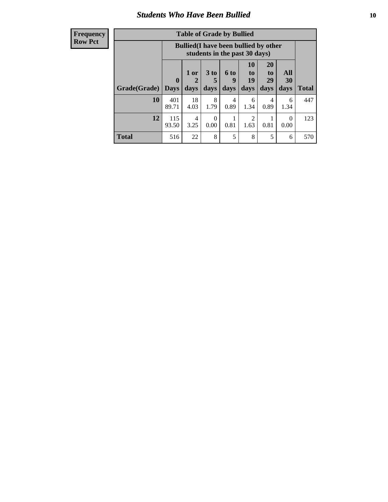### *Students Who Have Been Bullied* **10**

#### **Frequency Row Pct**

| <b>Table of Grade by Bullied</b> |                            |                                                                               |                              |                   |                               |                               |                   |              |
|----------------------------------|----------------------------|-------------------------------------------------------------------------------|------------------------------|-------------------|-------------------------------|-------------------------------|-------------------|--------------|
|                                  |                            | <b>Bullied</b> (I have been bullied by other<br>students in the past 30 days) |                              |                   |                               |                               |                   |              |
| Grade(Grade)                     | $\mathbf 0$<br><b>Days</b> | 1 or<br>2<br>days                                                             | 3 <sub>to</sub><br>5<br>days | 6 to<br>9<br>days | <b>10</b><br>to<br>19<br>days | <b>20</b><br>to<br>29<br>days | All<br>30<br>days | <b>Total</b> |
| 10                               | 401<br>89.71               | 18<br>4.03                                                                    | 8<br>1.79                    | 4<br>0.89         | 6<br>1.34                     | 4<br>0.89                     | 6<br>1.34         | 447          |
| 12                               | 115<br>93.50               | 4<br>3.25                                                                     | 0<br>0.00                    | 0.81              | $\overline{2}$<br>1.63        | 0.81                          | 0<br>0.00         | 123          |
| <b>Total</b>                     | 516                        | 22                                                                            | 8                            | 5                 | 8                             | 5                             | 6                 | 570          |

 $\blacksquare$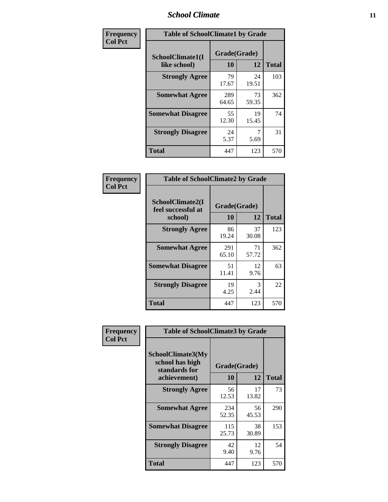### *School Climate* **11**

| Frequency      | <b>Table of SchoolClimate1 by Grade</b> |                    |             |              |  |  |
|----------------|-----------------------------------------|--------------------|-------------|--------------|--|--|
| <b>Col Pct</b> | SchoolClimate1(I<br>like school)        | Grade(Grade)<br>10 | 12          | <b>Total</b> |  |  |
|                | <b>Strongly Agree</b>                   | 79<br>17.67        | 24<br>19.51 | 103          |  |  |
|                | <b>Somewhat Agree</b>                   | 289<br>64.65       | 73<br>59.35 | 362          |  |  |
|                | <b>Somewhat Disagree</b>                | 55<br>12.30        | 19<br>15.45 | 74           |  |  |
|                | <b>Strongly Disagree</b>                | 24<br>5.37         | 5.69        | 31           |  |  |
|                | Total                                   | 447                | 123         | 570          |  |  |

| Frequency      | <b>Table of SchoolClimate2 by Grade</b>           |                    |             |              |
|----------------|---------------------------------------------------|--------------------|-------------|--------------|
| <b>Col Pct</b> | SchoolClimate2(I<br>feel successful at<br>school) | Grade(Grade)<br>10 | 12          | <b>Total</b> |
|                | <b>Strongly Agree</b>                             | 86<br>19.24        | 37<br>30.08 | 123          |
|                | <b>Somewhat Agree</b>                             | 291<br>65.10       | 71<br>57.72 | 362          |
|                | <b>Somewhat Disagree</b>                          | 51<br>11.41        | 12<br>9.76  | 63           |
|                | <b>Strongly Disagree</b>                          | 19<br>4.25         | 3<br>2.44   | 22           |
|                | <b>Total</b>                                      | 447                | 123         | 570          |

| Frequency      | <b>Table of SchoolClimate3 by Grade</b>                      |                    |             |              |  |
|----------------|--------------------------------------------------------------|--------------------|-------------|--------------|--|
| <b>Col Pct</b> | <b>SchoolClimate3(My</b><br>school has high<br>standards for | Grade(Grade)<br>10 | 12          | <b>Total</b> |  |
|                | achievement)                                                 |                    |             |              |  |
|                | <b>Strongly Agree</b>                                        | 56<br>12.53        | 17<br>13.82 | 73           |  |
|                | <b>Somewhat Agree</b>                                        | 234<br>52.35       | 56<br>45.53 | 290          |  |
|                | <b>Somewhat Disagree</b>                                     | 115<br>25.73       | 38<br>30.89 | 153          |  |
|                | <b>Strongly Disagree</b>                                     | 42<br>9.40         | 12<br>9.76  | 54           |  |
|                | Total                                                        | 447                | 123         | 570          |  |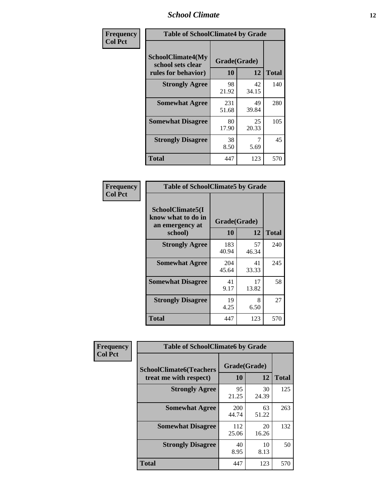### *School Climate* **12**

| Frequency      | <b>Table of SchoolClimate4 by Grade</b>                              |                    |             |              |
|----------------|----------------------------------------------------------------------|--------------------|-------------|--------------|
| <b>Col Pct</b> | <b>SchoolClimate4(My</b><br>school sets clear<br>rules for behavior) | Grade(Grade)<br>10 | 12          | <b>Total</b> |
|                | <b>Strongly Agree</b>                                                | 98<br>21.92        | 42<br>34.15 | 140          |
|                | <b>Somewhat Agree</b>                                                | 231<br>51.68       | 49<br>39.84 | 280          |
|                | <b>Somewhat Disagree</b>                                             | 80<br>17.90        | 25<br>20.33 | 105          |
|                | <b>Strongly Disagree</b>                                             | 38<br>8.50         | 7<br>5.69   | 45           |
|                | Total                                                                | 447                | 123         | 570          |

| <b>Table of SchoolClimate5 by Grade</b>                   |              |             |              |  |  |
|-----------------------------------------------------------|--------------|-------------|--------------|--|--|
| SchoolClimate5(I<br>know what to do in<br>an emergency at | Grade(Grade) |             |              |  |  |
| school)                                                   | 10           | 12          | <b>Total</b> |  |  |
| <b>Strongly Agree</b>                                     | 183<br>40.94 | 57<br>46.34 | 240          |  |  |
| <b>Somewhat Agree</b>                                     | 204<br>45.64 | 41<br>33.33 | 245          |  |  |
| <b>Somewhat Disagree</b>                                  | 41<br>9.17   | 17<br>13.82 | 58           |  |  |
| <b>Strongly Disagree</b>                                  | 19<br>4.25   | 8<br>6.50   | 27           |  |  |
| Total                                                     | 447          | 123         | 570          |  |  |

| Frequency      | <b>Table of SchoolClimate6 by Grade</b>                  |                    |             |              |  |
|----------------|----------------------------------------------------------|--------------------|-------------|--------------|--|
| <b>Col Pct</b> | <b>SchoolClimate6(Teachers</b><br>treat me with respect) | Grade(Grade)<br>10 | 12          | <b>Total</b> |  |
|                | <b>Strongly Agree</b>                                    | 95<br>21.25        | 30<br>24.39 | 125          |  |
|                | <b>Somewhat Agree</b>                                    | 200<br>44.74       | 63<br>51.22 | 263          |  |
|                | <b>Somewhat Disagree</b>                                 | 112<br>25.06       | 20<br>16.26 | 132          |  |
|                | <b>Strongly Disagree</b>                                 | 40<br>8.95         | 10<br>8.13  | 50           |  |
|                | <b>Total</b>                                             | 447                | 123         | 570          |  |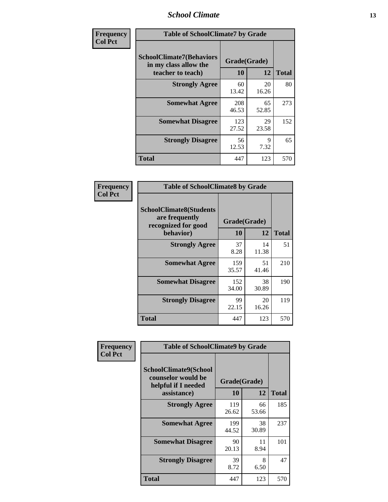### *School Climate* **13**

| Frequency      | <b>Table of SchoolClimate7 by Grade</b>                                       |                           |             |              |
|----------------|-------------------------------------------------------------------------------|---------------------------|-------------|--------------|
| <b>Col Pct</b> | <b>SchoolClimate7(Behaviors</b><br>in my class allow the<br>teacher to teach) | Grade(Grade)<br><b>10</b> | 12          | <b>Total</b> |
|                | <b>Strongly Agree</b>                                                         | 60<br>13.42               | 20<br>16.26 | 80           |
|                | <b>Somewhat Agree</b>                                                         | 208<br>46.53              | 65<br>52.85 | 273          |
|                | <b>Somewhat Disagree</b>                                                      | 123<br>27.52              | 29<br>23.58 | 152          |
|                | <b>Strongly Disagree</b>                                                      | 56<br>12.53               | 9<br>7.32   | 65           |
|                | <b>Total</b>                                                                  | 447                       | 123         | 570          |

| Frequency      | <b>Table of SchoolClimate8 by Grade</b>                                              |                    |             |              |
|----------------|--------------------------------------------------------------------------------------|--------------------|-------------|--------------|
| <b>Col Pct</b> | <b>SchoolClimate8(Students</b><br>are frequently<br>recognized for good<br>behavior) | Grade(Grade)<br>10 | 12          | <b>Total</b> |
|                | <b>Strongly Agree</b>                                                                | 37<br>8.28         | 14<br>11.38 | 51           |
|                | <b>Somewhat Agree</b>                                                                | 159<br>35.57       | 51<br>41.46 | 210          |
|                | <b>Somewhat Disagree</b>                                                             | 152<br>34.00       | 38<br>30.89 | 190          |
|                | <b>Strongly Disagree</b>                                                             | 99<br>22.15        | 20<br>16.26 | 119          |
|                | <b>Total</b>                                                                         | 447                | 123         | 570          |

| Frequency      | <b>Table of SchoolClimate9 by Grade</b>                                                  |                    |             |              |
|----------------|------------------------------------------------------------------------------------------|--------------------|-------------|--------------|
| <b>Col Pct</b> | <b>SchoolClimate9(School</b><br>counselor would be<br>helpful if I needed<br>assistance) | Grade(Grade)<br>10 | 12          | <b>Total</b> |
|                | <b>Strongly Agree</b>                                                                    | 119<br>26.62       | 66<br>53.66 | 185          |
|                | <b>Somewhat Agree</b>                                                                    | 199<br>44.52       | 38<br>30.89 | 237          |
|                | <b>Somewhat Disagree</b>                                                                 | 90<br>20.13        | 11<br>8.94  | 101          |
|                | <b>Strongly Disagree</b>                                                                 | 39<br>8.72         | 8<br>6.50   | 47           |
|                | <b>Total</b>                                                                             | 447                | 123         | 570          |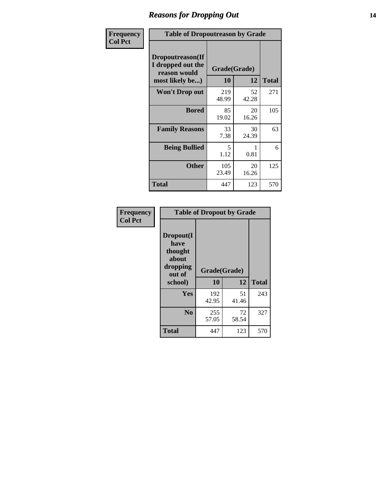### *Reasons for Dropping Out* **14**

| Frequency      | <b>Table of Dropoutreason by Grade</b>                                   |                           |             |              |
|----------------|--------------------------------------------------------------------------|---------------------------|-------------|--------------|
| <b>Col Pct</b> | Dropoutreason(If<br>I dropped out the<br>reason would<br>most likely be) | Grade(Grade)<br><b>10</b> | 12          | <b>Total</b> |
|                | <b>Won't Drop out</b>                                                    | 219<br>48.99              | 52<br>42.28 | 271          |
|                | <b>Bored</b>                                                             | 85<br>19.02               | 20<br>16.26 | 105          |
|                | <b>Family Reasons</b>                                                    | 33<br>7.38                | 30<br>24.39 | 63           |
|                | <b>Being Bullied</b>                                                     | 5<br>1.12                 | 1<br>0.81   | 6            |
|                | <b>Other</b>                                                             | 105<br>23.49              | 20<br>16.26 | 125          |
|                | <b>Total</b>                                                             | 447                       | 123         | 570          |

| Frequency<br><b>Col Pct</b> | <b>Table of Dropout by Grade</b>                                       |                    |       |              |  |
|-----------------------------|------------------------------------------------------------------------|--------------------|-------|--------------|--|
|                             | Dropout(I<br>have<br>thought<br>about<br>dropping<br>out of<br>school) | Grade(Grade)<br>10 | 12    | <b>Total</b> |  |
|                             |                                                                        |                    |       |              |  |
|                             | <b>Yes</b>                                                             | 192                | 51    | 243          |  |
|                             |                                                                        | 42.95              | 41.46 |              |  |
|                             | N <sub>0</sub>                                                         | 255                | 72    | 327          |  |
|                             |                                                                        | 57.05              | 58.54 |              |  |
|                             | <b>Total</b>                                                           | 447                | 123   | 570          |  |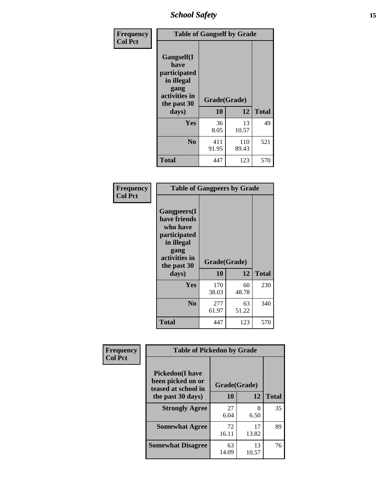*School Safety* **15**

| Frequency      | <b>Table of Gangself by Grade</b>                                                                 |                    |              |              |
|----------------|---------------------------------------------------------------------------------------------------|--------------------|--------------|--------------|
| <b>Col Pct</b> | Gangself(I<br>have<br>participated<br>in illegal<br>gang<br>activities in<br>the past 30<br>days) | Grade(Grade)<br>10 | 12           | <b>Total</b> |
|                | Yes                                                                                               | 36<br>8.05         | 13<br>10.57  | 49           |
|                | N <sub>0</sub>                                                                                    | 411<br>91.95       | 110<br>89.43 | 521          |
|                | Total                                                                                             | 447                | 123          | 570          |

| Frequency<br><b>Col Pct</b> | <b>Table of Gangpeers by Grade</b>                                                                                             |                    |             |              |
|-----------------------------|--------------------------------------------------------------------------------------------------------------------------------|--------------------|-------------|--------------|
|                             | <b>Gangpeers</b> (I<br>have friends<br>who have<br>participated<br>in illegal<br>gang<br>activities in<br>the past 30<br>days) | Grade(Grade)<br>10 | 12          | <b>Total</b> |
|                             | Yes                                                                                                                            | 170<br>38.03       | 60<br>48.78 | 230          |
|                             | N <sub>0</sub>                                                                                                                 | 277<br>61.97       | 63<br>51.22 | 340          |
|                             | <b>Total</b>                                                                                                                   | 447                | 123         | 570          |

| Frequency      | <b>Table of Pickedon by Grade</b>                                   |              |             |              |  |
|----------------|---------------------------------------------------------------------|--------------|-------------|--------------|--|
| <b>Col Pct</b> | <b>Pickedon</b> (I have<br>been picked on or<br>teased at school in | Grade(Grade) |             |              |  |
|                | the past 30 days)                                                   | 10           | 12          | <b>Total</b> |  |
|                | <b>Strongly Agree</b>                                               | 27<br>6.04   | 8<br>6.50   | 35           |  |
|                | <b>Somewhat Agree</b>                                               | 72<br>16.11  | 17<br>13.82 | 89           |  |
|                | <b>Somewhat Disagree</b>                                            | 63<br>14.09  | 13<br>10.57 | 76           |  |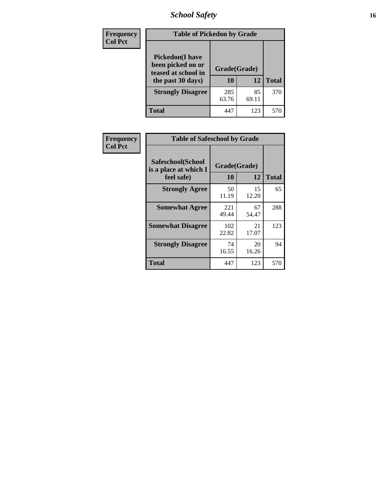# *School Safety* **16**

| <b>Frequency</b> |                                                                                          | <b>Table of Pickedon by Grade</b> |             |              |  |  |  |  |  |  |
|------------------|------------------------------------------------------------------------------------------|-----------------------------------|-------------|--------------|--|--|--|--|--|--|
| <b>Col Pct</b>   | <b>Pickedon</b> (I have<br>been picked on or<br>teased at school in<br>the past 30 days) | Grade(Grade)<br>10                | 12          | <b>Total</b> |  |  |  |  |  |  |
|                  | <b>Strongly Disagree</b>                                                                 | 285<br>63.76                      | 85<br>69.11 | 370          |  |  |  |  |  |  |
|                  | Total                                                                                    | 447                               | 123         | 57           |  |  |  |  |  |  |

| Frequency      |                                                          | <b>Table of Safeschool by Grade</b> |             |              |  |  |  |  |  |  |  |
|----------------|----------------------------------------------------------|-------------------------------------|-------------|--------------|--|--|--|--|--|--|--|
| <b>Col Pct</b> | Safeschool(School<br>is a place at which I<br>feel safe) | Grade(Grade)<br>10                  | 12          | <b>Total</b> |  |  |  |  |  |  |  |
|                | <b>Strongly Agree</b>                                    | 50<br>11.19                         | 15<br>12.20 | 65           |  |  |  |  |  |  |  |
|                | <b>Somewhat Agree</b>                                    | 221<br>49.44                        | 67<br>54.47 | 288          |  |  |  |  |  |  |  |
|                | <b>Somewhat Disagree</b>                                 | 102<br>22.82                        | 21<br>17.07 | 123          |  |  |  |  |  |  |  |
|                | <b>Strongly Disagree</b>                                 | 74<br>16.55                         | 20<br>16.26 | 94           |  |  |  |  |  |  |  |
|                | <b>Total</b>                                             | 447                                 | 123         | 570          |  |  |  |  |  |  |  |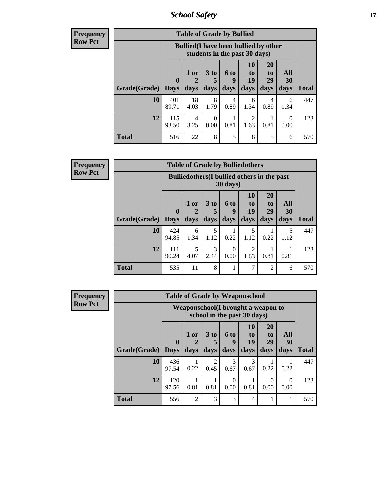*School Safety* **17**

| <b>Frequency</b> |
|------------------|
| Row Pct          |

| <b>Table of Grade by Bullied</b> |                    |                                                                               |                   |                          |                                     |                        |                          |              |  |  |  |  |
|----------------------------------|--------------------|-------------------------------------------------------------------------------|-------------------|--------------------------|-------------------------------------|------------------------|--------------------------|--------------|--|--|--|--|
|                                  |                    | <b>Bullied</b> (I have been bullied by other<br>students in the past 30 days) |                   |                          |                                     |                        |                          |              |  |  |  |  |
| Grade(Grade)                     | $\bf{0}$<br>  Days | $1$ or $ $<br>days                                                            | 3 to<br>5<br>days | <b>6 to</b><br>9<br>days | 10<br>to<br>19<br>days              | 20<br>to<br>29<br>days | <b>All</b><br>30<br>days | <b>Total</b> |  |  |  |  |
| 10                               | 401<br>89.71       | 18<br>4.03                                                                    | 8<br>1.79         | 4<br>0.89                | 6<br>1.34                           | 4<br>0.89              | 6<br>1.34                | 447          |  |  |  |  |
| 12                               | 115<br>93.50       | 4<br>3.25                                                                     | 0<br>0.00         | 0.81                     | $\mathcal{D}_{\mathcal{L}}$<br>1.63 | 0.81                   | 0.00                     | 123          |  |  |  |  |
| <b>Total</b>                     | 516                | 22                                                                            | 8                 | 5                        | 8                                   | 5                      | 6                        | 570          |  |  |  |  |

| Frequency      |                     |                                                                         |              |              |                   | <b>Table of Grade by Bulliedothers</b> |                               |                          |              |  |  |
|----------------|---------------------|-------------------------------------------------------------------------|--------------|--------------|-------------------|----------------------------------------|-------------------------------|--------------------------|--------------|--|--|
| <b>Row Pct</b> |                     | <b>Bulliedothers</b> (I bullied others in the past<br>$30 \text{ days}$ |              |              |                   |                                        |                               |                          |              |  |  |
|                | Grade(Grade)   Days | $\bf{0}$                                                                | 1 or<br>days | 3 to<br>days | 6 to<br>9<br>days | <b>10</b><br>to<br>19<br>days          | <b>20</b><br>to<br>29<br>days | All<br><b>30</b><br>days | <b>Total</b> |  |  |
|                | 10                  | 424<br>94.85                                                            | 6<br>1.34    | 5<br>1.12    | 0.22              | 5<br>1.12                              | 0.22                          | 5<br>1.12                | 447          |  |  |
|                | 12                  | 111<br>90.24                                                            | 5<br>4.07    | 3<br>2.44    | $\Omega$<br>0.00  | 2<br>1.63                              | 0.81                          | 0.81                     | 123          |  |  |
|                | <b>Total</b>        | 535                                                                     | 11           | 8            | 1                 | 7                                      | $\overline{2}$                | 6                        | 570          |  |  |

| Frequency      |                     |              |                                                                    | <b>Table of Grade by Weaponschool</b> |                          |                        |                               |                   |              |  |
|----------------|---------------------|--------------|--------------------------------------------------------------------|---------------------------------------|--------------------------|------------------------|-------------------------------|-------------------|--------------|--|
| <b>Row Pct</b> |                     |              | Weaponschool (I brought a weapon to<br>school in the past 30 days) |                                       |                          |                        |                               |                   |              |  |
|                | Grade(Grade)   Days | $\mathbf{0}$ | $1$ or<br>days                                                     | 3 to<br>days                          | <b>6 to</b><br>9<br>days | 10<br>to<br>19<br>days | <b>20</b><br>to<br>29<br>days | All<br>30<br>days | <b>Total</b> |  |
|                | 10                  | 436<br>97.54 | 0.22                                                               | $\mathcal{D}$<br>0.45                 | 3<br>0.67                | 3<br>0.67              | 0.22                          | 0.22              | 447          |  |
|                | 12                  | 120<br>97.56 | 0.81                                                               | 0.81                                  | $\Omega$<br>0.00         | 0.81                   | 0<br>0.00                     | $\Omega$<br>0.00  | 123          |  |
|                | <b>Total</b>        | 556          | 2                                                                  | 3                                     | 3                        | $\overline{4}$         |                               |                   | 570          |  |

Ŧ.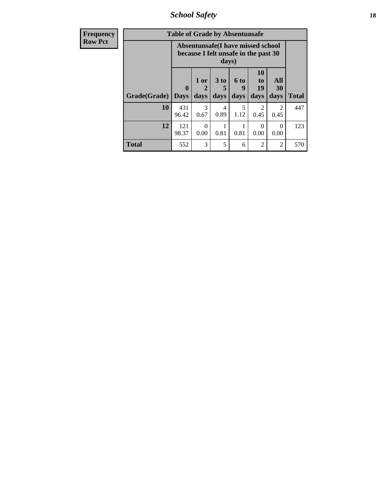*School Safety* **18**

| <b>Frequency</b> | <b>Table of Grade by Absentunsafe</b> |                                                                                    |                   |                              |                              |                        |                   |              |  |  |  |
|------------------|---------------------------------------|------------------------------------------------------------------------------------|-------------------|------------------------------|------------------------------|------------------------|-------------------|--------------|--|--|--|
| <b>Row Pct</b>   |                                       | Absentunsafe(I have missed school<br>because I felt unsafe in the past 30<br>days) |                   |                              |                              |                        |                   |              |  |  |  |
|                  | Grade(Grade)                          | $\mathbf 0$<br><b>Days</b>                                                         | 1 or<br>2<br>days | 3 <sub>to</sub><br>5<br>days | 6 <sup>to</sup><br>9<br>days | 10<br>to<br>19<br>days | All<br>30<br>days | <b>Total</b> |  |  |  |
|                  | 10                                    | 431<br>96.42                                                                       | 3<br>0.67         | 4<br>0.89                    | 5<br>1.12                    | 0.45                   | 2<br>0.45         | 447          |  |  |  |
|                  | 12                                    | 121<br>98.37                                                                       | $\Omega$<br>0.00  | 0.81                         | 0.81                         | $\Omega$<br>0.00       | $\Omega$<br>0.00  | 123          |  |  |  |
|                  | <b>Total</b>                          | 552                                                                                | 3                 | 5                            | 6                            | $\overline{2}$         | $\overline{2}$    | 570          |  |  |  |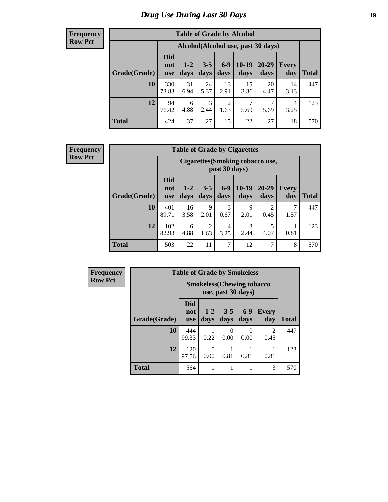# *Drug Use During Last 30 Days* **19**

#### **Frequency Row Pct**

| <b>Table of Grade by Alcohol</b> |                                 |                                     |                 |                 |                   |                   |                     |              |  |  |  |  |  |
|----------------------------------|---------------------------------|-------------------------------------|-----------------|-----------------|-------------------|-------------------|---------------------|--------------|--|--|--|--|--|
|                                  |                                 | Alcohol (Alcohol use, past 30 days) |                 |                 |                   |                   |                     |              |  |  |  |  |  |
| Grade(Grade)                     | <b>Did</b><br>not<br><b>use</b> | $1 - 2$<br>days                     | $3 - 5$<br>days | $6 - 9$<br>days | $10 - 19$<br>days | $20 - 29$<br>days | <b>Every</b><br>day | <b>Total</b> |  |  |  |  |  |
| 10                               | 330<br>73.83                    | 31<br>6.94                          | 24<br>5.37      | 13<br>2.91      | 15<br>3.36        | 20<br>4.47        | 14<br>3.13          | 447          |  |  |  |  |  |
| 12                               | 94<br>76.42                     | 6<br>4.88                           | 3<br>2.44       | 2<br>1.63       | 7<br>5.69         | 7<br>5.69         | 4<br>3.25           | 123          |  |  |  |  |  |
| <b>Total</b>                     | 424                             | 37                                  | 27              | 15              | 22                | 27                | 18                  | 570          |  |  |  |  |  |

#### **Frequency Row Pct**

| <b>Table of Grade by Cigarettes</b> |                                 |                                                   |                        |               |                 |                        |              |       |  |  |  |  |  |
|-------------------------------------|---------------------------------|---------------------------------------------------|------------------------|---------------|-----------------|------------------------|--------------|-------|--|--|--|--|--|
|                                     |                                 | Cigarettes (Smoking tobacco use,<br>past 30 days) |                        |               |                 |                        |              |       |  |  |  |  |  |
| Grade(Grade)                        | <b>Did</b><br>not<br><b>use</b> | $1-2$<br>days                                     | $3 - 5$<br>days        | $6-9$<br>days | $10-19$<br>days | $20 - 29$<br>days      | Every<br>day | Total |  |  |  |  |  |
| 10                                  | 401<br>89.71                    | 16<br>3.58                                        | 9<br>2.01              | 3<br>0.67     | 9<br>2.01       | $\overline{2}$<br>0.45 | 7<br>1.57    | 447   |  |  |  |  |  |
| 12                                  | 102<br>82.93                    | 6<br>4.88                                         | $\overline{2}$<br>1.63 | 4<br>3.25     | 3<br>2.44       | 5<br>4.07              | 0.81         | 123   |  |  |  |  |  |
| <b>Total</b>                        | 503                             | 22                                                | 11                     | 7             | 12              | 7                      | 8            | 570   |  |  |  |  |  |

| Frequency      | <b>Table of Grade by Smokeless</b> |                                   |               |                      |                  |                        |              |  |  |
|----------------|------------------------------------|-----------------------------------|---------------|----------------------|------------------|------------------------|--------------|--|--|
| <b>Row Pct</b> |                                    | <b>Smokeless</b> (Chewing tobacco |               |                      |                  |                        |              |  |  |
|                | Grade(Grade)                       | Did<br>not<br><b>use</b>          | $1-2$<br>days | $3-5$<br>days        | $6-9$<br>days    | <b>Every</b><br>day    | <b>Total</b> |  |  |
|                | 10                                 | 444<br>99.33                      | 0.22          | $\mathbf{0}$<br>0.00 | $\theta$<br>0.00 | $\mathfrak{D}$<br>0.45 | 447          |  |  |
|                | 12                                 | 120<br>97.56                      | 0<br>0.00     | 0.81                 | 0.81             | 0.81                   | 123          |  |  |
|                | Total                              | 564                               |               | 1                    |                  | 3                      | 570          |  |  |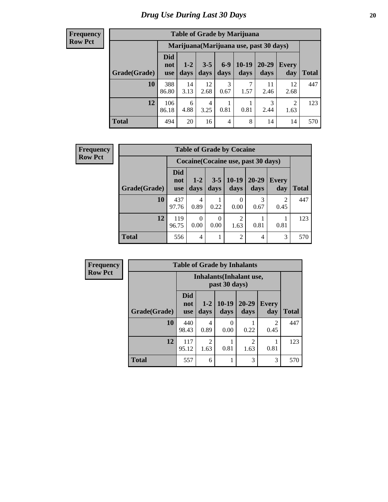#### **Frequency Row Pct**

| <b>Table of Grade by Marijuana</b> |                                 |                                         |                 |                 |                 |                   |              |              |  |  |  |  |  |
|------------------------------------|---------------------------------|-----------------------------------------|-----------------|-----------------|-----------------|-------------------|--------------|--------------|--|--|--|--|--|
|                                    |                                 | Marijuana (Marijuana use, past 30 days) |                 |                 |                 |                   |              |              |  |  |  |  |  |
| Grade(Grade)                       | <b>Did</b><br>not<br><b>use</b> | $1 - 2$<br>days                         | $3 - 5$<br>days | $6 - 9$<br>days | $10-19$<br>days | $20 - 29$<br>days | Every<br>day | <b>Total</b> |  |  |  |  |  |
| <b>10</b>                          | 388<br>86.80                    | 14<br>3.13                              | 12<br>2.68      | 3<br>0.67       | 7<br>1.57       | 11<br>2.46        | 12<br>2.68   | 447          |  |  |  |  |  |
| 12                                 | 106<br>86.18                    | 6<br>4.88                               | 4<br>3.25       | 0.81            | 0.81            | 3<br>2.44         | 2<br>1.63    | 123          |  |  |  |  |  |
| <b>Total</b>                       | 494                             | 20                                      | 16              | $\overline{4}$  | 8               | 14                | 14           | 570          |  |  |  |  |  |

| Frequency      |              |                          |                  |                 | <b>Table of Grade by Cocaine</b>    |                   |                        |              |
|----------------|--------------|--------------------------|------------------|-----------------|-------------------------------------|-------------------|------------------------|--------------|
| <b>Row Pct</b> |              |                          |                  |                 | Cocaine (Cocaine use, past 30 days) |                   |                        |              |
|                | Grade(Grade) | Did<br>not<br><b>use</b> | $1 - 2$<br>days  | $3 - 5$<br>days | $10-19$<br>days                     | $20 - 29$<br>days | <b>Every</b><br>day    | <b>Total</b> |
|                | 10           | 437<br>97.76             | 4<br>0.89        | 0.22            | $\theta$<br>0.00                    | 3<br>0.67         | $\overline{c}$<br>0.45 | 447          |
|                | 12           | 119<br>96.75             | $\Omega$<br>0.00 | 0<br>0.00       | 2<br>1.63                           | 0.81              | 0.81                   | 123          |
|                | <b>Total</b> | 556                      | $\overline{4}$   |                 | $\overline{2}$                      | 4                 | 3                      | 570          |

| <b>Frequency</b> | <b>Table of Grade by Inhalants</b> |                                 |                        |                 |                        |                        |              |  |
|------------------|------------------------------------|---------------------------------|------------------------|-----------------|------------------------|------------------------|--------------|--|
| <b>Row Pct</b>   |                                    | <b>Inhalants</b> (Inhalant use, |                        |                 |                        |                        |              |  |
|                  | Grade(Grade)                       | <b>Did</b><br>not<br><b>use</b> | $1-2$<br>days          | $10-19$<br>days | $20 - 29$<br>days      | <b>Every</b><br>day    | <b>Total</b> |  |
|                  | 10                                 | 440<br>98.43                    | 4<br>0.89              | 0<br>0.00       | 0.22                   | $\overline{2}$<br>0.45 | 447          |  |
|                  | 12                                 | 117<br>95.12                    | $\overline{2}$<br>1.63 | 0.81            | $\mathfrak{D}$<br>1.63 | 0.81                   | 123          |  |
|                  | <b>Total</b>                       | 557                             | 6                      |                 | 3                      | 3                      | 570          |  |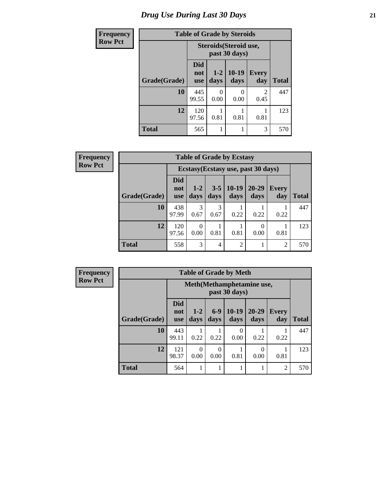# *Drug Use During Last 30 Days* **21**

| <b>Frequency</b> | <b>Table of Grade by Steroids</b> |                          |                                         |                  |                        |              |  |  |
|------------------|-----------------------------------|--------------------------|-----------------------------------------|------------------|------------------------|--------------|--|--|
| <b>Row Pct</b>   |                                   |                          | Steroids (Steroid use,<br>past 30 days) |                  |                        |              |  |  |
|                  | Grade(Grade)                      | <b>Did</b><br>not<br>use | $1 - 2$<br>days                         | $10-19$<br>days  | Every<br>day           | <b>Total</b> |  |  |
|                  | 10                                | 445<br>99.55             | 0<br>0.00                               | $\Omega$<br>0.00 | $\overline{2}$<br>0.45 | 447          |  |  |
|                  | 12                                | 120<br>97.56             | 0.81                                    | 0.81             | 0.81                   | 123          |  |  |
|                  | <b>Total</b>                      | 565                      |                                         |                  | 3                      | 570          |  |  |

| Frequency      |              |                                 |                 |                 | <b>Table of Grade by Ecstasy</b> |                                     |                     |              |
|----------------|--------------|---------------------------------|-----------------|-----------------|----------------------------------|-------------------------------------|---------------------|--------------|
| <b>Row Pct</b> |              |                                 |                 |                 |                                  | Ecstasy (Ecstasy use, past 30 days) |                     |              |
|                | Grade(Grade) | <b>Did</b><br>not<br><b>use</b> | $1 - 2$<br>days | $3 - 5$<br>days | $10-19$<br>days                  | $20 - 29$<br>days                   | <b>Every</b><br>day | <b>Total</b> |
|                | 10           | 438<br>97.99                    | 3<br>0.67       | 3<br>0.67       | 0.22                             | 0.22                                | 0.22                | 447          |
|                | 12           | 120<br>97.56                    | 0.00            | 0.81            | 0.81                             | $\Omega$<br>0.00                    | 0.81                | 123          |
|                | <b>Total</b> | 558                             | 3               | 4               | $\overline{2}$                   |                                     | 2                   | 570          |

**Frequency Row Pct**

| <b>Table of Grade by Meth</b> |                                                                            |                                             |               |                 |                   |                     |              |  |  |  |
|-------------------------------|----------------------------------------------------------------------------|---------------------------------------------|---------------|-----------------|-------------------|---------------------|--------------|--|--|--|
|                               |                                                                            | Meth (Methamphetamine use,<br>past 30 days) |               |                 |                   |                     |              |  |  |  |
| Grade(Grade)                  | <b>Did</b><br>not<br><b>use</b>                                            | $1 - 2$<br>days                             | $6-9$<br>days | $10-19$<br>days | $20 - 29$<br>days | <b>Every</b><br>day | <b>Total</b> |  |  |  |
| 10                            | 443<br>99.11                                                               | 0.22                                        | 0.22          | 0<br>0.00       | 0.22              | 0.22                | 447          |  |  |  |
| 12                            | 121<br>$\Omega$<br>0<br>0<br>98.37<br>0.81<br>0.00<br>0.00<br>0.00<br>0.81 |                                             |               |                 |                   |                     |              |  |  |  |
| <b>Total</b>                  | 564                                                                        |                                             |               |                 |                   | $\overline{c}$      | 570          |  |  |  |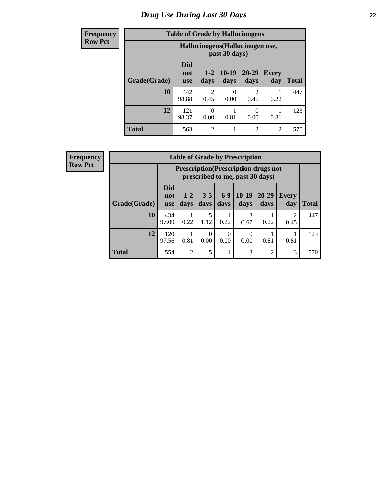# *Drug Use During Last 30 Days* **22**

| <b>Frequency</b> | <b>Table of Grade by Hallucinogens</b> |                                                   |                 |                  |                        |                     |              |  |
|------------------|----------------------------------------|---------------------------------------------------|-----------------|------------------|------------------------|---------------------|--------------|--|
| <b>Row Pct</b>   |                                        | Hallucinogens (Hallucinogen use,<br>past 30 days) |                 |                  |                        |                     |              |  |
|                  | Grade(Grade)                           | <b>Did</b><br>not<br><b>use</b>                   | $1 - 2$<br>days | $10-19$<br>days  | $20 - 29$<br>days      | <b>Every</b><br>day | <b>Total</b> |  |
|                  | 10                                     | 442<br>98.88                                      | っ<br>0.45       | $\Omega$<br>0.00 | $\mathfrak{D}$<br>0.45 | 0.22                | 447          |  |
|                  | 12                                     | 121<br>98.37                                      | 0.00            | 0.81             | 0<br>0.00              | 0.81                | 123          |  |
|                  | <b>Total</b>                           | 563                                               | $\mathfrak{D}$  |                  | $\overline{2}$         | $\overline{2}$      | 570          |  |

| <b>Frequency</b> |
|------------------|
| <b>Row Pct</b>   |

| <b>Table of Grade by Prescription</b> |                                                                        |                                                                                                                         |           |      |           |                |                        |     |  |  |
|---------------------------------------|------------------------------------------------------------------------|-------------------------------------------------------------------------------------------------------------------------|-----------|------|-----------|----------------|------------------------|-----|--|--|
|                                       |                                                                        | <b>Prescription</b> (Prescription drugs not<br>prescribed to me, past 30 days)                                          |           |      |           |                |                        |     |  |  |
| Grade(Grade)                          | <b>Did</b><br>not<br><b>use</b>                                        | $10-19$<br>$6-9$<br>20-29<br>$3 - 5$<br>$1 - 2$<br>Every<br>days<br><b>Total</b><br>days<br>days<br>days<br>day<br>days |           |      |           |                |                        |     |  |  |
| 10                                    | 434<br>97.09                                                           | 0.22                                                                                                                    | 5<br>1.12 | 0.22 | 3<br>0.67 | 0.22           | $\mathfrak{D}$<br>0.45 | 447 |  |  |
| 12                                    | 120<br>0<br>0<br>0.81<br>0.00<br>0.81<br>0.00<br>0.00<br>0.81<br>97.56 |                                                                                                                         |           |      |           |                |                        |     |  |  |
| <b>Total</b>                          | 554                                                                    | $\overline{2}$                                                                                                          | 5         | 1    | 3         | $\overline{2}$ | 3                      | 570 |  |  |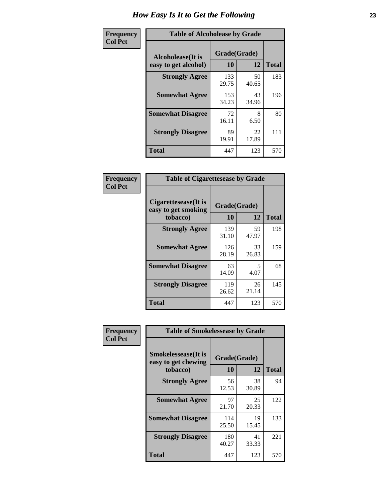| Frequency      | <b>Table of Alcoholease by Grade</b>       |                    |             |              |  |  |  |  |
|----------------|--------------------------------------------|--------------------|-------------|--------------|--|--|--|--|
| <b>Col Pct</b> | Alcoholease (It is<br>easy to get alcohol) | Grade(Grade)<br>10 | 12          | <b>Total</b> |  |  |  |  |
|                | <b>Strongly Agree</b>                      | 133<br>29.75       | 50<br>40.65 | 183          |  |  |  |  |
|                | <b>Somewhat Agree</b>                      | 153<br>34.23       | 43<br>34.96 | 196          |  |  |  |  |
|                | <b>Somewhat Disagree</b>                   | 72<br>16.11        | 8<br>6.50   | 80           |  |  |  |  |
|                | <b>Strongly Disagree</b>                   | 89<br>19.91        | 22<br>17.89 | 111          |  |  |  |  |
|                | <b>Total</b>                               | 447                | 123         | 570          |  |  |  |  |

| Frequency      | <b>Table of Cigarettesease by Grade</b>                  |                    |             |              |  |  |  |
|----------------|----------------------------------------------------------|--------------------|-------------|--------------|--|--|--|
| <b>Col Pct</b> | Cigarettesease (It is<br>easy to get smoking<br>tobacco) | Grade(Grade)<br>10 | 12          | <b>Total</b> |  |  |  |
|                | <b>Strongly Agree</b>                                    | 139<br>31.10       | 59<br>47.97 | 198          |  |  |  |
|                | <b>Somewhat Agree</b>                                    | 126<br>28.19       | 33<br>26.83 | 159          |  |  |  |
|                | <b>Somewhat Disagree</b>                                 | 63<br>14.09        | 5<br>4.07   | 68           |  |  |  |
|                | <b>Strongly Disagree</b>                                 | 119<br>26.62       | 26<br>21.14 | 145          |  |  |  |
|                | <b>Total</b>                                             | 447                | 123         | 570          |  |  |  |

| Frequency      | <b>Table of Smokelessease by Grade</b>                         |                    |             |              |  |  |  |  |  |  |
|----------------|----------------------------------------------------------------|--------------------|-------------|--------------|--|--|--|--|--|--|
| <b>Col Pct</b> | <b>Smokelessease</b> (It is<br>easy to get chewing<br>tobacco) | Grade(Grade)<br>10 | 12          | <b>Total</b> |  |  |  |  |  |  |
|                | <b>Strongly Agree</b>                                          | 56<br>12.53        | 38<br>30.89 | 94           |  |  |  |  |  |  |
|                | <b>Somewhat Agree</b>                                          | 97<br>21.70        | 25<br>20.33 | 122          |  |  |  |  |  |  |
|                | <b>Somewhat Disagree</b>                                       | 114<br>25.50       | 19<br>15.45 | 133          |  |  |  |  |  |  |
|                | <b>Strongly Disagree</b>                                       | 180<br>40.27       | 41<br>33.33 | 221          |  |  |  |  |  |  |
|                | Total                                                          | 447                | 123         | 570          |  |  |  |  |  |  |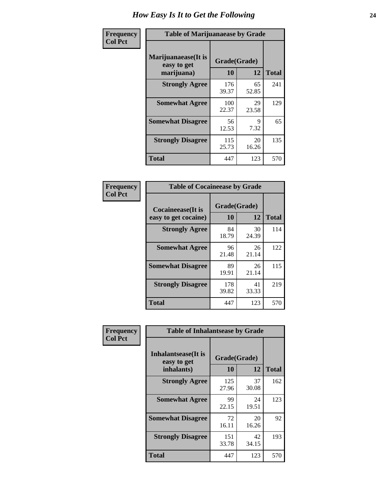| Frequency      | <b>Table of Marijuanaease by Grade</b>           |                    |             |              |  |  |  |
|----------------|--------------------------------------------------|--------------------|-------------|--------------|--|--|--|
| <b>Col Pct</b> | Marijuanaease(It is<br>easy to get<br>marijuana) | Grade(Grade)<br>10 | 12          | <b>Total</b> |  |  |  |
|                | <b>Strongly Agree</b>                            | 176<br>39.37       | 65<br>52.85 | 241          |  |  |  |
|                | <b>Somewhat Agree</b>                            | 100<br>22.37       | 29<br>23.58 | 129          |  |  |  |
|                | <b>Somewhat Disagree</b>                         | 56<br>12.53        | 9<br>7.32   | 65           |  |  |  |
|                | <b>Strongly Disagree</b>                         | 115<br>25.73       | 20<br>16.26 | 135          |  |  |  |
|                | <b>Total</b>                                     | 447                | 123         | 570          |  |  |  |

| <b>Table of Cocaineease by Grade</b>      |                    |             |              |  |  |  |  |
|-------------------------------------------|--------------------|-------------|--------------|--|--|--|--|
| Cocaineease(It is<br>easy to get cocaine) | Grade(Grade)<br>10 | 12          | <b>Total</b> |  |  |  |  |
| <b>Strongly Agree</b>                     | 84<br>18.79        | 30<br>24.39 | 114          |  |  |  |  |
| <b>Somewhat Agree</b>                     | 96<br>21.48        | 26<br>21.14 | 122          |  |  |  |  |
| <b>Somewhat Disagree</b>                  | 89<br>19.91        | 26<br>21.14 | 115          |  |  |  |  |
| <b>Strongly Disagree</b>                  | 178<br>39.82       | 41<br>33.33 | 219          |  |  |  |  |
| <b>Total</b>                              | 447                | 123         | 570          |  |  |  |  |

| Frequency      | <b>Table of Inhalantsease by Grade</b>     |              |             |              |
|----------------|--------------------------------------------|--------------|-------------|--------------|
| <b>Col Pct</b> | <b>Inhalantsease</b> (It is<br>easy to get | Grade(Grade) |             |              |
|                | inhalants)                                 | 10           | 12          | <b>Total</b> |
|                | <b>Strongly Agree</b>                      | 125<br>27.96 | 37<br>30.08 | 162          |
|                | <b>Somewhat Agree</b>                      | 99<br>22.15  | 24<br>19.51 | 123          |
|                | <b>Somewhat Disagree</b>                   | 72<br>16.11  | 20<br>16.26 | 92           |
|                | <b>Strongly Disagree</b>                   | 151<br>33.78 | 42<br>34.15 | 193          |
|                | <b>Total</b>                               | 447          | 123         | 570          |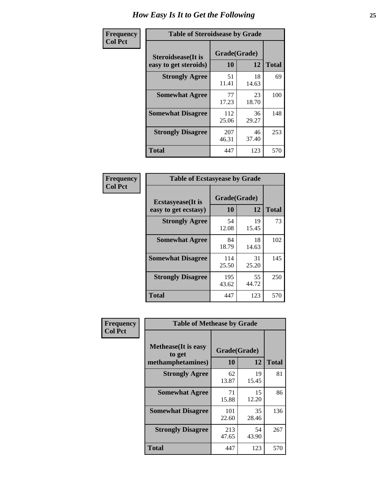| Frequency      |                                                     | <b>Table of Steroidsease by Grade</b> |             |              |  |  |  |  |  |  |  |
|----------------|-----------------------------------------------------|---------------------------------------|-------------|--------------|--|--|--|--|--|--|--|
| <b>Col Pct</b> | <b>Steroidsease</b> (It is<br>easy to get steroids) | Grade(Grade)<br>10                    | 12          | <b>Total</b> |  |  |  |  |  |  |  |
|                | <b>Strongly Agree</b>                               | 51<br>11.41                           | 18<br>14.63 | 69           |  |  |  |  |  |  |  |
|                | <b>Somewhat Agree</b>                               | 77<br>17.23                           | 23<br>18.70 | 100          |  |  |  |  |  |  |  |
|                | <b>Somewhat Disagree</b>                            | 112<br>25.06                          | 36<br>29.27 | 148          |  |  |  |  |  |  |  |
|                | <b>Strongly Disagree</b>                            | 207<br>46.31                          | 46<br>37.40 | 253          |  |  |  |  |  |  |  |
|                | Total                                               | 447                                   | 123         | 570          |  |  |  |  |  |  |  |

| Frequency      | <b>Table of Ecstasyease by Grade</b>              |                    |             |              |
|----------------|---------------------------------------------------|--------------------|-------------|--------------|
| <b>Col Pct</b> | <b>Ecstasyease</b> (It is<br>easy to get ecstasy) | Grade(Grade)<br>10 | 12          | <b>Total</b> |
|                | <b>Strongly Agree</b>                             | 54<br>12.08        | 19<br>15.45 | 73           |
|                | <b>Somewhat Agree</b>                             | 84<br>18.79        | 18<br>14.63 | 102          |
|                | <b>Somewhat Disagree</b>                          | 114<br>25.50       | 31<br>25.20 | 145          |
|                | <b>Strongly Disagree</b>                          | 195<br>43.62       | 55<br>44.72 | 250          |
|                | Total                                             | 447                | 123         | 570          |

| Frequency      | <b>Table of Methease by Grade</b>     |              |             |              |
|----------------|---------------------------------------|--------------|-------------|--------------|
| <b>Col Pct</b> | <b>Methease</b> (It is easy<br>to get | Grade(Grade) |             |              |
|                | methamphetamines)                     | 10           | 12          | <b>Total</b> |
|                | <b>Strongly Agree</b>                 | 62<br>13.87  | 19<br>15.45 | 81           |
|                | <b>Somewhat Agree</b>                 | 71<br>15.88  | 15<br>12.20 | 86           |
|                | <b>Somewhat Disagree</b>              | 101<br>22.60 | 35<br>28.46 | 136          |
|                | <b>Strongly Disagree</b>              | 213<br>47.65 | 54<br>43.90 | 267          |
|                | <b>Total</b>                          | 447          | 123         | 570          |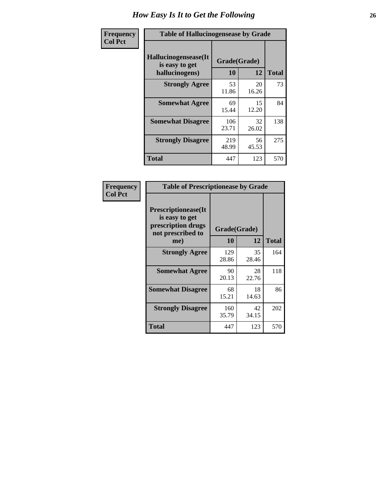| <b>Frequency</b> | <b>Table of Hallucinogensease by Grade</b>                |                    |              |     |
|------------------|-----------------------------------------------------------|--------------------|--------------|-----|
| <b>Col Pct</b>   | Hallucinogensease(It)<br>is easy to get<br>hallucinogens) | Grade(Grade)<br>10 | <b>Total</b> |     |
|                  | <b>Strongly Agree</b>                                     | 53<br>11.86        | 20<br>16.26  | 73  |
|                  | <b>Somewhat Agree</b>                                     | 69<br>15.44        | 15<br>12.20  | 84  |
|                  | <b>Somewhat Disagree</b>                                  | 106<br>23.71       | 32<br>26.02  | 138 |
|                  | <b>Strongly Disagree</b>                                  | 219<br>48.99       | 56<br>45.53  | 275 |
|                  | <b>Total</b>                                              | 447                | 123          | 570 |

| Frequency<br>Col Pct |
|----------------------|
|                      |

|                                                                                          | <b>Table of Prescriptionease by Grade</b> |             |              |  |  |  |  |  |  |  |  |
|------------------------------------------------------------------------------------------|-------------------------------------------|-------------|--------------|--|--|--|--|--|--|--|--|
| <b>Prescriptionease</b> (It<br>is easy to get<br>prescription drugs<br>not prescribed to | Grade(Grade)                              |             |              |  |  |  |  |  |  |  |  |
| me)                                                                                      | 10                                        | 12          | <b>Total</b> |  |  |  |  |  |  |  |  |
| <b>Strongly Agree</b>                                                                    | 129<br>28.86                              | 35<br>28.46 | 164          |  |  |  |  |  |  |  |  |
| <b>Somewhat Agree</b>                                                                    | 90<br>20.13                               | 28<br>22.76 | 118          |  |  |  |  |  |  |  |  |
| <b>Somewhat Disagree</b>                                                                 | 68<br>15.21                               | 18<br>14.63 | 86           |  |  |  |  |  |  |  |  |
| <b>Strongly Disagree</b>                                                                 | 160<br>35.79                              | 42<br>34.15 | 202          |  |  |  |  |  |  |  |  |
| Total                                                                                    | 447                                       | 123         | 570          |  |  |  |  |  |  |  |  |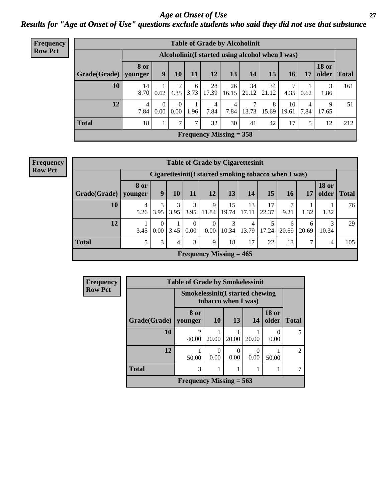#### *Age at Onset of Use* **27** *Results for "Age at Onset of Use" questions exclude students who said they did not use that substance*

| Frequency      |              | <b>Table of Grade by Alcoholinit</b> |                                                  |                      |           |             |                           |             |             |             |           |                       |              |
|----------------|--------------|--------------------------------------|--------------------------------------------------|----------------------|-----------|-------------|---------------------------|-------------|-------------|-------------|-----------|-----------------------|--------------|
| <b>Row Pct</b> |              |                                      | Alcoholinit (I started using alcohol when I was) |                      |           |             |                           |             |             |             |           |                       |              |
|                | Grade(Grade) | <b>8</b> or<br>younger               | 9                                                | 10                   | 11        | 12          | 13                        | 14          | 15          | 16          | 17        | <b>18 or</b><br>older | <b>Total</b> |
|                | 10           | 14<br>8.70                           | 0.62                                             | 4.35                 | 6<br>3.73 | 28<br>17.39 | 26<br>16.15               | 34<br>21.12 | 34<br>21.12 | 7<br>4.35   | 0.62      | 3<br>1.86             | 161          |
|                | 12           | 4<br>7.84                            | $\Omega$<br>$0.00\,$                             | $\Omega$<br>$0.00\,$ | 1.96      | 4<br>7.84   | 4<br>7.84                 | 7<br>13.73  | 8<br>15.69  | 10<br>19.61 | 4<br>7.84 | 9<br>17.65            | 51           |
|                | <b>Total</b> | 18                                   | 1                                                | $\mathcal{I}$        | ┑         | 32          | 30                        | 41          | 42          | 17          | 5         | 12                    | 212          |
|                |              |                                      |                                                  |                      |           |             | Frequency Missing $=$ 358 |             |             |             |           |                       |              |

#### **Frequency Row Pct**

|              | <b>Table of Grade by Cigarettesinit</b> |                                                      |           |                  |                           |             |             |             |            |               |                       |              |
|--------------|-----------------------------------------|------------------------------------------------------|-----------|------------------|---------------------------|-------------|-------------|-------------|------------|---------------|-----------------------|--------------|
|              |                                         | Cigarettesinit(I started smoking tobacco when I was) |           |                  |                           |             |             |             |            |               |                       |              |
| Grade(Grade) | <b>8 or</b><br>younger                  | 9                                                    | 10        | 11               | 12                        | 13          | 14          | 15          | 16         | 17            | <b>18 or</b><br>older | <b>Total</b> |
| 10           | 4<br>5.26                               | 3<br>3.95                                            | 3<br>3.95 | 3<br>3.95        | 9<br>11.84                | 15<br>19.74 | 13<br>17.11 | 17<br>22.37 | 9.21       | 1.32          | 1.32                  | 76           |
| 12           | 3.45                                    | $\theta$<br>0.00                                     | 3.45      | $\theta$<br>0.00 | $\overline{0}$<br>0.00    | 3<br>10.34  | 4<br>13.79  | 5<br>17.24  | 6<br>20.69 | 6<br>20.69    | 3<br>10.34            | 29           |
| <b>Total</b> |                                         | 3                                                    | 4         | 3                | 9                         | 18          | 17          | 22          | 13         | $\mathcal{I}$ | 4                     | 105          |
|              |                                         |                                                      |           |                  | Frequency Missing $= 465$ |             |             |             |            |               |                       |              |

| Frequency      |              | <b>Table of Grade by Smokelessinit</b> |                                                                |                  |       |                       |                |  |  |  |
|----------------|--------------|----------------------------------------|----------------------------------------------------------------|------------------|-------|-----------------------|----------------|--|--|--|
| <b>Row Pct</b> |              |                                        | <b>Smokelessinit (I started chewing</b><br>tobacco when I was) |                  |       |                       |                |  |  |  |
|                | Grade(Grade) | 8 or<br>younger                        | <b>10</b>                                                      | 13               | 14    | <b>18 or</b><br>older | <b>Total</b>   |  |  |  |
|                | 10           | $\overline{c}$<br>40.00                | 20.00                                                          | 20.00            | 20.00 | $\mathbf{0}$<br>0.00  | 5              |  |  |  |
|                | 12           | 50.00                                  | 0.00                                                           | $\theta$<br>0.00 | 0.00  | 50.00                 | $\mathfrak{D}$ |  |  |  |
|                | <b>Total</b> | 3                                      |                                                                |                  |       |                       |                |  |  |  |
|                |              | Frequency Missing $= 563$              |                                                                |                  |       |                       |                |  |  |  |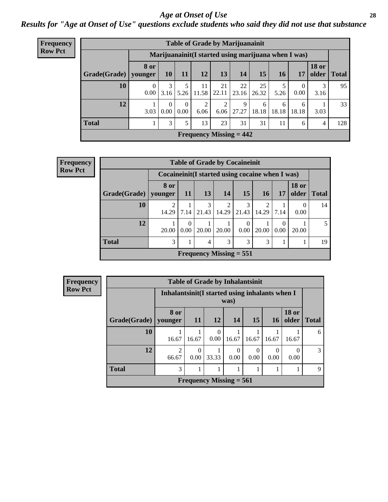#### *Age at Onset of Use* **28**

*Results for "Age at Onset of Use" questions exclude students who said they did not use that substance*

| Frequency      |                                                     |           |                  |                            |                        |             | <b>Table of Grade by Marijuanainit</b> |             |            |                  |                       |              |
|----------------|-----------------------------------------------------|-----------|------------------|----------------------------|------------------------|-------------|----------------------------------------|-------------|------------|------------------|-----------------------|--------------|
| <b>Row Pct</b> | Marijuanainit(I started using marijuana when I was) |           |                  |                            |                        |             |                                        |             |            |                  |                       |              |
|                | Grade(Grade)   younger                              | 8 or      | 10               | 11                         | <b>12</b>              | 13          | 14                                     | 15          | <b>16</b>  | 17               | <b>18 or</b><br>older | <b>Total</b> |
|                | 10                                                  | 0<br>0.00 | 3<br>3.16        | 5.26                       | 11<br>11.58            | 21<br>22.11 | 22<br>23.16                            | 25<br>26.32 | 5<br>5.26  | $\theta$<br>0.00 | 3<br>3.16             | 95           |
|                | 12                                                  | 3.03      | $\Omega$<br>0.00 | $\Omega$<br>$0.00^{\circ}$ | $\overline{2}$<br>6.06 | 2<br>6.06   | 9<br>27.27                             | 6<br>18.18  | 6<br>18.18 | 6<br>18.18       | 3.03                  | 33           |
|                | <b>Total</b>                                        |           | 3                | 5.                         | 13                     | 23          | 31                                     | 31          | 11         | 6                | 4                     | 128          |
|                |                                                     |           |                  |                            |                        |             | Frequency Missing $= 442$              |             |            |                  |                       |              |

| <b>Frequency</b> | <b>Table of Grade by Cocaineinit</b> |                                                    |           |            |                           |       |       |      |                       |              |
|------------------|--------------------------------------|----------------------------------------------------|-----------|------------|---------------------------|-------|-------|------|-----------------------|--------------|
| <b>Row Pct</b>   |                                      | Cocaine in it (I started using cocaine when I was) |           |            |                           |       |       |      |                       |              |
|                  | Grade(Grade)                         | 8 or<br>younger                                    | <b>11</b> | 13         | <b>14</b>                 | 15    | 16    | 17   | <b>18 or</b><br>older | <b>Total</b> |
|                  | 10                                   | 14.29                                              | 7.14      | 3<br>21.43 | $\overline{c}$<br>14.29   | 21.43 | 14.29 | 7.14 | 0.00                  | 14           |
|                  | 12                                   | 20.00                                              | 0.00      | 20.00      | 20.00                     | 0.00  | 20.00 | 0.00 | 20.00                 | 5            |
|                  | <b>Total</b>                         | 3                                                  |           | 4          | 3                         | 3     | 3     |      |                       | 19           |
|                  |                                      |                                                    |           |            | Frequency Missing $= 551$ |       |       |      |                       |              |

| Frequency      |              |                                                         |                  |                  | <b>Table of Grade by Inhalantsinit</b> |                  |                  |                       |              |
|----------------|--------------|---------------------------------------------------------|------------------|------------------|----------------------------------------|------------------|------------------|-----------------------|--------------|
| <b>Row Pct</b> |              | Inhalantsinit (I started using inhalants when I<br>was) |                  |                  |                                        |                  |                  |                       |              |
|                | Grade(Grade) | 8 or<br>younger                                         | <b>11</b>        | <b>12</b>        | 14                                     | 15               | <b>16</b>        | <b>18 or</b><br>older | <b>Total</b> |
|                | 10           | 16.67                                                   | 16.67            | $\Omega$<br>0.00 | 16.67                                  | 16.67            | 16.67            | 16.67                 | 6            |
|                | 12           | $\overline{c}$<br>66.67                                 | $\theta$<br>0.00 | 33.33            | $\Omega$<br>0.00                       | $\Omega$<br>0.00 | $\Omega$<br>0.00 | 0<br>0.00             | 3            |
|                | <b>Total</b> | 3                                                       |                  | 1                |                                        |                  |                  |                       | 9            |
|                |              |                                                         |                  |                  | Frequency Missing $= 561$              |                  |                  |                       |              |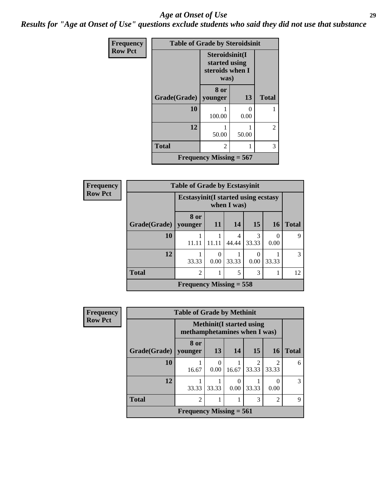#### *Age at Onset of Use* **29**

*Results for "Age at Onset of Use" questions exclude students who said they did not use that substance*

| Frequency      | <b>Table of Grade by Steroidsinit</b> |                                                            |       |              |  |  |
|----------------|---------------------------------------|------------------------------------------------------------|-------|--------------|--|--|
| <b>Row Pct</b> |                                       | Steroidsinit(I<br>started using<br>steroids when I<br>was) |       |              |  |  |
|                | Grade(Grade)                          | 8 or<br>younger                                            | 13    | <b>Total</b> |  |  |
|                | 10                                    | 100.00                                                     | 0.00  |              |  |  |
|                | 12                                    | 50.00                                                      | 50.00 | 2            |  |  |
|                | <b>Total</b>                          | 2                                                          |       | 3            |  |  |
|                | Frequency Missing $= 567$             |                                                            |       |              |  |  |

| <b>Frequency</b> | <b>Table of Grade by Ecstasyinit</b> |                                             |           |             |            |           |              |  |
|------------------|--------------------------------------|---------------------------------------------|-----------|-------------|------------|-----------|--------------|--|
| <b>Row Pct</b>   |                                      | <b>Ecstasyinit</b> (I started using ecstasy |           | when I was) |            |           |              |  |
|                  | Grade(Grade)                         | 8 or<br>younger                             | <b>11</b> | 14          | 15         | <b>16</b> | <b>Total</b> |  |
|                  | 10                                   | 11.11                                       | 11.11     | 4<br>44.44  | 3<br>33.33 | 0.00      | 9            |  |
|                  | 12                                   | 33.33                                       | 0.00      | 33.33       | 0.00       | 33.33     | 3            |  |
|                  | <b>Total</b>                         | $\overline{c}$                              |           | 5           | 3          |           | 12           |  |
|                  |                                      | Frequency Missing $= 558$                   |           |             |            |           |              |  |

| <b>Frequency</b> | <b>Table of Grade by Methinit</b> |                              |                                  |           |                        |                |               |
|------------------|-----------------------------------|------------------------------|----------------------------------|-----------|------------------------|----------------|---------------|
| <b>Row Pct</b>   |                                   | methamphetamines when I was) | <b>Methinit</b> (I started using |           |                        |                |               |
|                  | Grade(Grade)   younger            | 8 or                         | 13                               | 14        | 15                     | 16             | <b>Total</b>  |
|                  | 10                                | 16.67                        | $\Omega$<br>0.00                 | 16.67     | $\mathcal{D}$<br>33.33 | 33.33          | 6             |
|                  | 12                                | 33.33                        | 33.33                            | 0<br>0.00 | 33.33                  | 0.00           | $\mathcal{R}$ |
|                  | <b>Total</b>                      | $\mathfrak{D}$               |                                  |           | 3                      | $\overline{2}$ | 9             |
|                  |                                   | Frequency Missing $= 561$    |                                  |           |                        |                |               |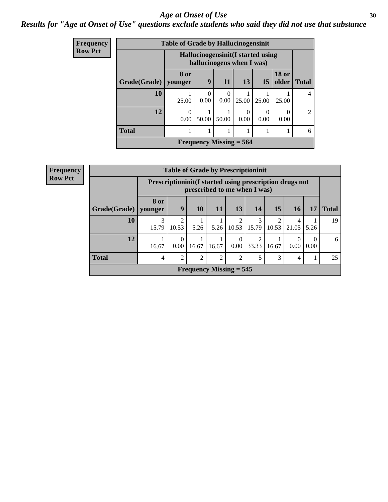#### Age at Onset of Use **30**

### *Results for "Age at Onset of Use" questions exclude students who said they did not use that substance*

| Frequency      |                        |           | <b>Table of Grade by Hallucinogensinit</b> |                                                                 |                  |           |                       |                |  |
|----------------|------------------------|-----------|--------------------------------------------|-----------------------------------------------------------------|------------------|-----------|-----------------------|----------------|--|
| <b>Row Pct</b> |                        |           |                                            | Hallucinogensinit (I started using<br>hallucinogens when I was) |                  |           |                       |                |  |
|                | Grade(Grade)   younger | 8 or      | 9                                          | <b>11</b>                                                       | 13               | 15        | <b>18 or</b><br>older | <b>Total</b>   |  |
|                | 10                     | 25.00     | 0.00                                       | $\Omega$<br>0.00                                                | 25.00            | 25.00     | 25.00                 | 4              |  |
|                | 12                     | 0<br>0.00 | 50.00                                      | 50.00                                                           | $\theta$<br>0.00 | 0<br>0.00 | 0.00                  | $\overline{2}$ |  |
|                | <b>Total</b>           |           |                                            |                                                                 |                  |           |                       | 6              |  |
|                |                        |           |                                            | Frequency Missing $= 564$                                       |                  |           |                       |                |  |

| <b>Frequency</b> |              | <b>Table of Grade by Prescriptioninit</b> |                                                                                            |                |                           |       |            |       |            |                  |              |
|------------------|--------------|-------------------------------------------|--------------------------------------------------------------------------------------------|----------------|---------------------------|-------|------------|-------|------------|------------------|--------------|
| <b>Row Pct</b>   |              |                                           | Prescription in it (I started using prescription drugs not<br>prescribed to me when I was) |                |                           |       |            |       |            |                  |              |
|                  | Grade(Grade) | <b>8 or</b><br>younger                    | 9                                                                                          | 10             | <b>11</b>                 | 13    | 14         | 15    | 16         | 17               | <b>Total</b> |
|                  | 10           | 3<br>15.79                                | 2<br>10.53                                                                                 | 5.26           | 5.26                      | 10.53 | 3<br>15.79 | 10.53 | 4<br>21.05 | 5.26             | 19           |
|                  | 12           | 16.67                                     | 0<br>0.00                                                                                  | 16.67          | 16.67                     | 0.00  | 33.33      | 16.67 | 0.00       | $\Omega$<br>0.00 | 6            |
|                  | <b>Total</b> | 4                                         | 2                                                                                          | $\overline{2}$ | 2                         | 2     | 5          | 3     | 4          | 1                | 25           |
|                  |              |                                           |                                                                                            |                | Frequency Missing $= 545$ |       |            |       |            |                  |              |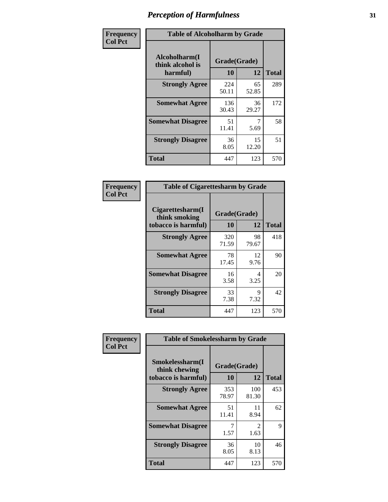| Frequency      | <b>Table of Alcoholharm by Grade</b>          |                    |             |              |  |  |
|----------------|-----------------------------------------------|--------------------|-------------|--------------|--|--|
| <b>Col Pct</b> | Alcoholharm(I<br>think alcohol is<br>harmful) | Grade(Grade)<br>10 | 12          | <b>Total</b> |  |  |
|                | <b>Strongly Agree</b>                         | 224<br>50.11       | 65<br>52.85 | 289          |  |  |
|                | <b>Somewhat Agree</b>                         | 136<br>30.43       | 36<br>29.27 | 172          |  |  |
|                | <b>Somewhat Disagree</b>                      | 51<br>11.41        | 5.69        | 58           |  |  |
|                | <b>Strongly Disagree</b>                      | 36<br>8.05         | 15<br>12.20 | 51           |  |  |
|                | <b>Total</b>                                  | 447                | 123         | 570          |  |  |

| <b>Table of Cigarettesharm by Grade</b>                  |                    |             |              |  |  |  |  |
|----------------------------------------------------------|--------------------|-------------|--------------|--|--|--|--|
| Cigarettesharm(I<br>think smoking<br>tobacco is harmful) | Grade(Grade)<br>10 | 12          | <b>Total</b> |  |  |  |  |
| <b>Strongly Agree</b>                                    | 320<br>71.59       | 98<br>79.67 | 418          |  |  |  |  |
| <b>Somewhat Agree</b>                                    | 78<br>17.45        | 12<br>9.76  | 90           |  |  |  |  |
| <b>Somewhat Disagree</b>                                 | 16<br>3.58         | 4<br>3.25   | 20           |  |  |  |  |
| <b>Strongly Disagree</b>                                 | 33<br>7.38         | 9<br>7.32   | 42           |  |  |  |  |
| <b>Total</b>                                             | 447                | 123         | 570          |  |  |  |  |

| Frequency      | <b>Table of Smokelessharm by Grade</b>                  |                    |              |              |  |  |  |
|----------------|---------------------------------------------------------|--------------------|--------------|--------------|--|--|--|
| <b>Col Pct</b> | Smokelessharm(I<br>think chewing<br>tobacco is harmful) | Grade(Grade)<br>10 | 12           | <b>Total</b> |  |  |  |
|                | <b>Strongly Agree</b>                                   | 353<br>78.97       | 100<br>81.30 | 453          |  |  |  |
|                | <b>Somewhat Agree</b>                                   | 51<br>11.41        | 11<br>8.94   | 62           |  |  |  |
|                | <b>Somewhat Disagree</b>                                | 7<br>1.57          | 2<br>1.63    | 9            |  |  |  |
|                | <b>Strongly Disagree</b>                                | 36<br>8.05         | 10<br>8.13   | 46           |  |  |  |
|                | Total                                                   | 447                | 123          | 570          |  |  |  |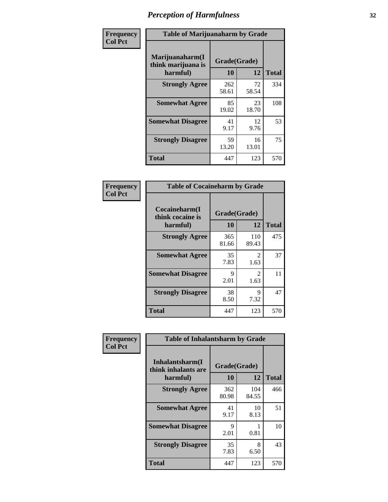| Frequency      |                                                   | <b>Table of Marijuanaharm by Grade</b> |             |              |  |  |  |
|----------------|---------------------------------------------------|----------------------------------------|-------------|--------------|--|--|--|
| <b>Col Pct</b> | Marijuanaharm(I<br>think marijuana is<br>harmful) | Grade(Grade)<br>10                     | 12          | <b>Total</b> |  |  |  |
|                | <b>Strongly Agree</b>                             | 262<br>58.61                           | 72<br>58.54 | 334          |  |  |  |
|                | <b>Somewhat Agree</b>                             | 85<br>19.02                            | 23<br>18.70 | 108          |  |  |  |
|                | <b>Somewhat Disagree</b>                          | 41<br>9.17                             | 12<br>9.76  | 53           |  |  |  |
|                | <b>Strongly Disagree</b>                          | 59<br>13.20                            | 16<br>13.01 | 75           |  |  |  |
|                | <b>Total</b>                                      | 447                                    | 123         | 570          |  |  |  |

| <b>Table of Cocaineharm by Grade</b>          |                    |                        |              |  |  |  |  |
|-----------------------------------------------|--------------------|------------------------|--------------|--|--|--|--|
| Cocaineharm(I<br>think cocaine is<br>harmful) | Grade(Grade)<br>10 | 12                     | <b>Total</b> |  |  |  |  |
| <b>Strongly Agree</b>                         | 365<br>81.66       | 110<br>89.43           | 475          |  |  |  |  |
| <b>Somewhat Agree</b>                         | 35<br>7.83         | 2<br>1.63              | 37           |  |  |  |  |
| <b>Somewhat Disagree</b>                      | 9<br>2.01          | $\mathfrak{D}$<br>1.63 | 11           |  |  |  |  |
| <b>Strongly Disagree</b>                      | 38<br>8.50         | 9<br>7.32              | 47           |  |  |  |  |
| <b>Total</b>                                  | 447                | 123                    | 570          |  |  |  |  |

| Frequency      | <b>Table of Inhalantsharm by Grade</b>             |                    |              |              |  |  |  |  |
|----------------|----------------------------------------------------|--------------------|--------------|--------------|--|--|--|--|
| <b>Col Pct</b> | Inhalantsharm(I<br>think inhalants are<br>harmful) | Grade(Grade)<br>10 | 12           | <b>Total</b> |  |  |  |  |
|                | <b>Strongly Agree</b>                              | 362<br>80.98       | 104<br>84.55 | 466          |  |  |  |  |
|                | <b>Somewhat Agree</b>                              | 41<br>9.17         | 10<br>8.13   | 51           |  |  |  |  |
|                | <b>Somewhat Disagree</b>                           | 9<br>2.01          | 0.81         | 10           |  |  |  |  |
|                | <b>Strongly Disagree</b>                           | 35<br>7.83         | 8<br>6.50    | 43           |  |  |  |  |
|                | <b>Total</b>                                       | 447                | 123          | 570          |  |  |  |  |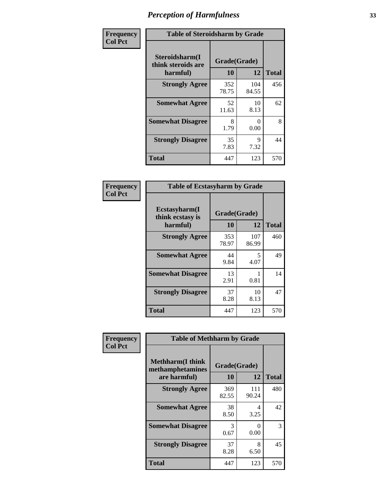| Frequency      | <b>Table of Steroidsharm by Grade</b>            |                    |              |              |
|----------------|--------------------------------------------------|--------------------|--------------|--------------|
| <b>Col Pct</b> | Steroidsharm(I<br>think steroids are<br>harmful) | Grade(Grade)<br>10 | 12           | <b>Total</b> |
|                | <b>Strongly Agree</b>                            | 352<br>78.75       | 104<br>84.55 | 456          |
|                | <b>Somewhat Agree</b>                            | 52<br>11.63        | 10<br>8.13   | 62           |
|                | <b>Somewhat Disagree</b>                         | 8<br>1.79          | 0<br>0.00    | 8            |
|                | <b>Strongly Disagree</b>                         | 35<br>7.83         | 9<br>7.32    | 44           |
|                | <b>Total</b>                                     | 447                | 123          | 570          |

| <b>Table of Ecstasyharm by Grade</b>          |                    |              |     |  |  |
|-----------------------------------------------|--------------------|--------------|-----|--|--|
| Ecstasyharm(I<br>think ecstasy is<br>harmful) | Grade(Grade)<br>10 | <b>Total</b> |     |  |  |
| <b>Strongly Agree</b>                         | 353<br>78.97       | 107<br>86.99 | 460 |  |  |
| <b>Somewhat Agree</b>                         | 44<br>9.84         | 5<br>4.07    | 49  |  |  |
| <b>Somewhat Disagree</b>                      | 13<br>2.91         | 1<br>0.81    | 14  |  |  |
| <b>Strongly Disagree</b>                      | 37<br>8.28         | 10<br>8.13   | 47  |  |  |
| <b>Total</b>                                  | 447                | 123          | 570 |  |  |

| Frequency      | <b>Table of Methharm by Grade</b>                            |                    |              |              |
|----------------|--------------------------------------------------------------|--------------------|--------------|--------------|
| <b>Col Pct</b> | <b>Methharm</b> (I think<br>methamphetamines<br>are harmful) | Grade(Grade)<br>10 | 12           | <b>Total</b> |
|                | <b>Strongly Agree</b>                                        | 369<br>82.55       | 111<br>90.24 | 480          |
|                | <b>Somewhat Agree</b>                                        | 38<br>8.50         | 4<br>3.25    | 42           |
|                | <b>Somewhat Disagree</b>                                     | 3<br>0.67          | 0<br>0.00    | 3            |
|                | <b>Strongly Disagree</b>                                     | 37<br>8.28         | 8<br>6.50    | 45           |
|                | <b>Total</b>                                                 | 447                | 123          | 570          |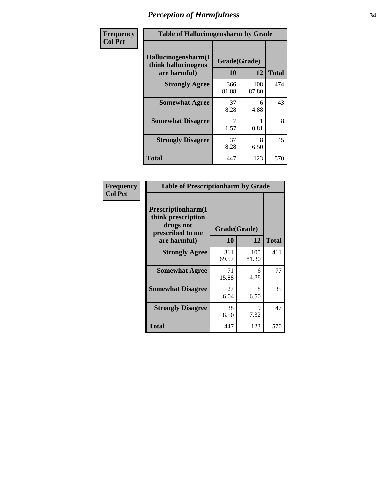| Frequency      | <b>Table of Hallucinogensharm by Grade</b>                 |                    |              |              |
|----------------|------------------------------------------------------------|--------------------|--------------|--------------|
| <b>Col Pct</b> | Hallucinogensharm(I<br>think hallucinogens<br>are harmful) | Grade(Grade)<br>10 | 12           | <b>Total</b> |
|                | <b>Strongly Agree</b>                                      | 366<br>81.88       | 108<br>87.80 | 474          |
|                | <b>Somewhat Agree</b>                                      | 37<br>8.28         | 6<br>4.88    | 43           |
|                | <b>Somewhat Disagree</b>                                   | 1.57               | 0.81         | 8            |
|                | <b>Strongly Disagree</b>                                   | 37<br>8.28         | 8<br>6.50    | 45           |
|                | <b>Total</b>                                               | 447                | 123          | 570          |

| <b>Table of Prescriptionharm by Grade</b>                                         |              |              |              |  |
|-----------------------------------------------------------------------------------|--------------|--------------|--------------|--|
| <b>Prescriptionharm</b> (I<br>think prescription<br>drugs not<br>prescribed to me |              | Grade(Grade) |              |  |
| are harmful)                                                                      | 10           | 12           | <b>Total</b> |  |
| <b>Strongly Agree</b>                                                             | 311<br>69.57 | 100<br>81.30 | 411          |  |
| <b>Somewhat Agree</b>                                                             | 71<br>15.88  | 6<br>4.88    | 77           |  |
| <b>Somewhat Disagree</b>                                                          | 27<br>6.04   | 8<br>6.50    | 35           |  |
| <b>Strongly Disagree</b>                                                          | 38<br>8.50   | 9<br>7.32    | 47           |  |
| Total                                                                             | 447          | 123          | 570          |  |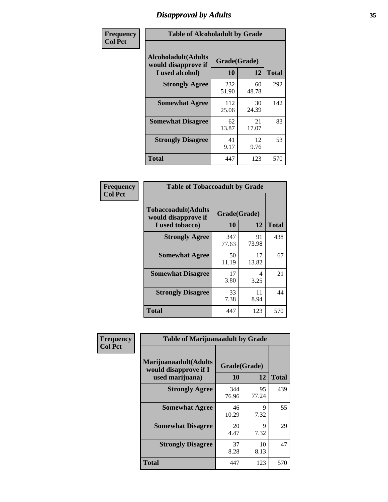# *Disapproval by Adults* **35**

| Frequency      | <b>Table of Alcoholadult by Grade</b>                         |                    |             |              |
|----------------|---------------------------------------------------------------|--------------------|-------------|--------------|
| <b>Col Pct</b> | Alcoholadult(Adults<br>would disapprove if<br>I used alcohol) | Grade(Grade)<br>10 | 12          | <b>Total</b> |
|                | <b>Strongly Agree</b>                                         | 232<br>51.90       | 60<br>48.78 | 292          |
|                | <b>Somewhat Agree</b>                                         | 112<br>25.06       | 30<br>24.39 | 142          |
|                | <b>Somewhat Disagree</b>                                      | 62<br>13.87        | 21<br>17.07 | 83           |
|                | <b>Strongly Disagree</b>                                      | 41<br>9.17         | 12<br>9.76  | 53           |
|                | <b>Total</b>                                                  | 447                | 123         | 570          |

| <b>Table of Tobaccoadult by Grade</b>                                 |              |             |     |  |  |
|-----------------------------------------------------------------------|--------------|-------------|-----|--|--|
| <b>Tobaccoadult</b> (Adults<br>would disapprove if<br>I used tobacco) | <b>Total</b> |             |     |  |  |
| <b>Strongly Agree</b>                                                 | 347<br>77.63 | 91<br>73.98 | 438 |  |  |
| <b>Somewhat Agree</b>                                                 | 50<br>11.19  | 17<br>13.82 | 67  |  |  |
| <b>Somewhat Disagree</b>                                              | 17<br>3.80   | 4<br>3.25   | 21  |  |  |
| <b>Strongly Disagree</b>                                              | 33<br>7.38   | 11<br>8.94  | 44  |  |  |
| <b>Total</b>                                                          | 447          | 123         | 570 |  |  |

| Frequency      | <b>Table of Marijuanaadult by Grade</b>                           |                    |             |              |
|----------------|-------------------------------------------------------------------|--------------------|-------------|--------------|
| <b>Col Pct</b> | Marijuanaadult(Adults<br>would disapprove if I<br>used marijuana) | Grade(Grade)<br>10 | 12          | <b>Total</b> |
|                | <b>Strongly Agree</b>                                             | 344<br>76.96       | 95<br>77.24 | 439          |
|                | <b>Somewhat Agree</b>                                             | 46<br>10.29        | 9<br>7.32   | 55           |
|                | <b>Somewhat Disagree</b>                                          | 20<br>4.47         | 9<br>7.32   | 29           |
|                | <b>Strongly Disagree</b>                                          | 37<br>8.28         | 10<br>8.13  | 47           |
|                | <b>Total</b>                                                      | 447                | 123         | 570          |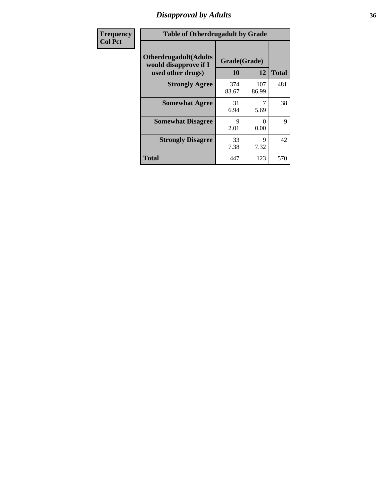### *Disapproval by Adults* **36**

| Frequency      | <b>Table of Otherdrugadult by Grade</b>                                     |                    |              |              |
|----------------|-----------------------------------------------------------------------------|--------------------|--------------|--------------|
| <b>Col Pct</b> | <b>Otherdrugadult</b> (Adults<br>would disapprove if I<br>used other drugs) | Grade(Grade)<br>10 | 12           | <b>Total</b> |
|                | <b>Strongly Agree</b>                                                       | 374<br>83.67       | 107<br>86.99 | 481          |
|                | <b>Somewhat Agree</b>                                                       | 31<br>6.94         | 5.69         | 38           |
|                | <b>Somewhat Disagree</b>                                                    | Q<br>2.01          | 0<br>0.00    | 9            |
|                | <b>Strongly Disagree</b>                                                    | 33<br>7.38         | 9<br>7.32    | 42           |
|                | <b>Total</b>                                                                | 447                | 123          | 570          |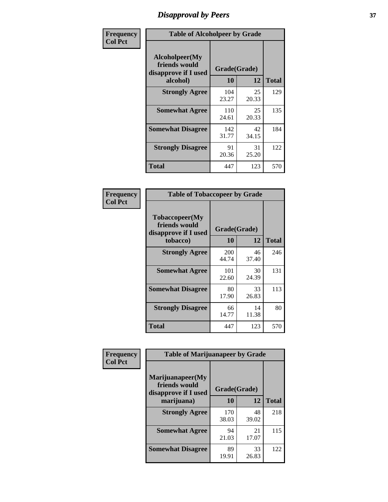# *Disapproval by Peers* **37**

| Frequency      | <b>Table of Alcoholpeer by Grade</b>                    |              |             |              |  |
|----------------|---------------------------------------------------------|--------------|-------------|--------------|--|
| <b>Col Pct</b> | Alcoholpeer(My<br>friends would<br>disapprove if I used | Grade(Grade) |             |              |  |
|                | alcohol)                                                | 10           | 12          | <b>Total</b> |  |
|                | <b>Strongly Agree</b>                                   | 104<br>23.27 | 25<br>20.33 | 129          |  |
|                | <b>Somewhat Agree</b>                                   | 110<br>24.61 | 25<br>20.33 | 135          |  |
|                | <b>Somewhat Disagree</b>                                | 142<br>31.77 | 42<br>34.15 | 184          |  |
|                | <b>Strongly Disagree</b>                                | 91<br>20.36  | 31<br>25.20 | 122          |  |
|                | Total                                                   | 447          | 123         | 570          |  |

| Frequency      | <b>Table of Tobaccopeer by Grade</b>                                |                    |             |              |
|----------------|---------------------------------------------------------------------|--------------------|-------------|--------------|
| <b>Col Pct</b> | Tobaccopeer(My<br>friends would<br>disapprove if I used<br>tobacco) | Grade(Grade)<br>10 | 12          | <b>Total</b> |
|                | <b>Strongly Agree</b>                                               | 200<br>44.74       | 46<br>37.40 | 246          |
|                | <b>Somewhat Agree</b>                                               | 101<br>22.60       | 30<br>24.39 | 131          |
|                | <b>Somewhat Disagree</b>                                            | 80<br>17.90        | 33<br>26.83 | 113          |
|                | <b>Strongly Disagree</b>                                            | 66<br>14.77        | 14<br>11.38 | 80           |
|                | Total                                                               | 447                | 123         | 570          |

| Frequency      | <b>Table of Marijuanapeer by Grade</b>                    |              |             |              |
|----------------|-----------------------------------------------------------|--------------|-------------|--------------|
| <b>Col Pct</b> | Marijuanapeer(My<br>friends would<br>disapprove if I used | Grade(Grade) |             |              |
|                | marijuana)                                                | 10           | 12          | <b>Total</b> |
|                | <b>Strongly Agree</b>                                     | 170<br>38.03 | 48<br>39.02 | 218          |
|                | <b>Somewhat Agree</b>                                     | 94<br>21.03  | 21<br>17.07 | 115          |
|                | <b>Somewhat Disagree</b>                                  | 89<br>19.91  | 33<br>26.83 | 122          |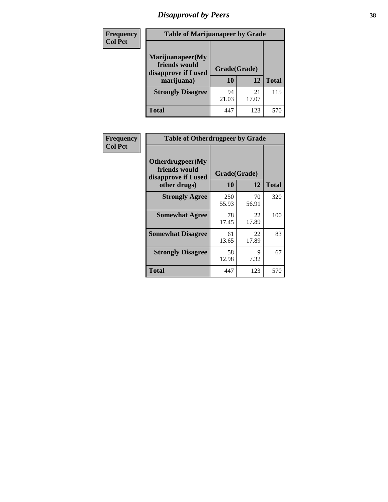# *Disapproval by Peers* **38**

| Frequency<br><b>Col Pct</b> | <b>Table of Marijuanapeer by Grade</b>                                  |                    |             |              |
|-----------------------------|-------------------------------------------------------------------------|--------------------|-------------|--------------|
|                             | Marijuanapeer(My<br>friends would<br>disapprove if I used<br>marijuana) | Grade(Grade)<br>10 | 12          | <b>Total</b> |
|                             | <b>Strongly Disagree</b>                                                | 94<br>21.03        | 21<br>17.07 | 115          |
|                             | Total                                                                   | 447                | 123         | 570          |

| Frequency      | <b>Table of Otherdrugpeer by Grade</b>                                    |                    |             |              |
|----------------|---------------------------------------------------------------------------|--------------------|-------------|--------------|
| <b>Col Pct</b> | Otherdrugpeer(My<br>friends would<br>disapprove if I used<br>other drugs) | Grade(Grade)<br>10 | 12          | <b>Total</b> |
|                | <b>Strongly Agree</b>                                                     | 250<br>55.93       | 70<br>56.91 | 320          |
|                | <b>Somewhat Agree</b>                                                     | 78<br>17.45        | 22<br>17.89 | 100          |
|                | <b>Somewhat Disagree</b>                                                  | 61<br>13.65        | 22<br>17.89 | 83           |
|                | <b>Strongly Disagree</b>                                                  | 58<br>12.98        | 9<br>7.32   | 67           |
|                | <b>Total</b>                                                              | 447                | 123         | 570          |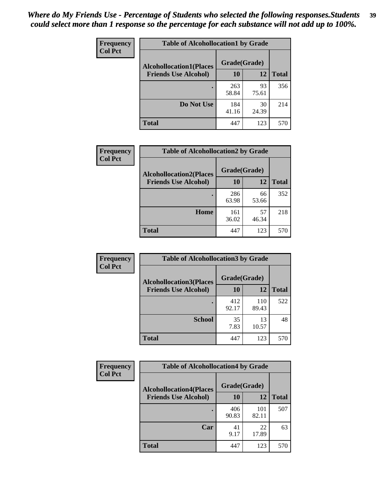| Frequency      | <b>Table of Alcohollocation1 by Grade</b> |              |             |              |
|----------------|-------------------------------------------|--------------|-------------|--------------|
| <b>Col Pct</b> | <b>Alcohollocation1(Places</b>            | Grade(Grade) |             |              |
|                | <b>Friends Use Alcohol)</b>               | 10           | 12          | <b>Total</b> |
|                |                                           | 263<br>58.84 | 93<br>75.61 | 356          |
|                | Do Not Use                                | 184<br>41.16 | 30<br>24.39 | 214          |
|                | <b>Total</b>                              | 447          | 123         | 570          |

| Frequency      | <b>Table of Alcohollocation2 by Grade</b>                     |                    |             |              |
|----------------|---------------------------------------------------------------|--------------------|-------------|--------------|
| <b>Col Pct</b> | <b>Alcohollocation2(Places</b><br><b>Friends Use Alcohol)</b> | Grade(Grade)<br>10 | 12          | <b>Total</b> |
|                |                                                               | 286<br>63.98       | 66<br>53.66 | 352          |
|                | Home                                                          | 161<br>36.02       | 57<br>46.34 | 218          |
|                | Total                                                         | 447                | 123         | 570          |

| Frequency      | <b>Table of Alcohollocation 3 by Grade</b>                    |                    |              |              |
|----------------|---------------------------------------------------------------|--------------------|--------------|--------------|
| <b>Col Pct</b> | <b>Alcohollocation3(Places</b><br><b>Friends Use Alcohol)</b> | Grade(Grade)<br>10 | 12           | <b>Total</b> |
|                |                                                               | 412<br>92.17       | 110<br>89.43 | 522          |
|                | <b>School</b>                                                 | 35<br>7.83         | 13<br>10.57  | 48           |
|                | <b>Total</b>                                                  | 447                | 123          | 570          |

| <b>Frequency</b> | <b>Table of Alcohollocation4 by Grade</b> |              |              |              |  |
|------------------|-------------------------------------------|--------------|--------------|--------------|--|
| <b>Col Pct</b>   | <b>Alcohollocation4(Places</b>            | Grade(Grade) |              |              |  |
|                  | <b>Friends Use Alcohol)</b>               | 10           | 12           | <b>Total</b> |  |
|                  |                                           | 406<br>90.83 | 101<br>82.11 | 507          |  |
|                  | Car                                       | 41<br>9.17   | 22<br>17.89  | 63           |  |
|                  | <b>Total</b>                              | 447          | 123          | 570          |  |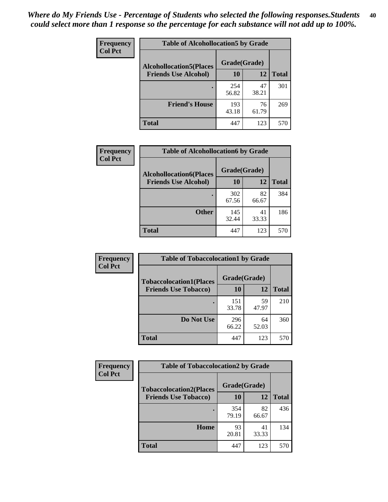| Frequency<br><b>Col Pct</b> | <b>Table of Alcohollocation5 by Grade</b> |              |             |              |  |
|-----------------------------|-------------------------------------------|--------------|-------------|--------------|--|
|                             | <b>Alcohollocation5(Places</b>            | Grade(Grade) |             |              |  |
|                             | <b>Friends Use Alcohol)</b>               | 10           | 12          | <b>Total</b> |  |
|                             |                                           | 254<br>56.82 | 47<br>38.21 | 301          |  |
|                             | <b>Friend's House</b>                     | 193<br>43.18 | 76<br>61.79 | 269          |  |
|                             | <b>Total</b>                              | 447          | 123         | 570          |  |

| <b>Frequency</b> | <b>Table of Alcohollocation6 by Grade</b> |              |             |              |  |
|------------------|-------------------------------------------|--------------|-------------|--------------|--|
| <b>Col Pct</b>   | <b>Alcohollocation6(Places</b>            | Grade(Grade) |             |              |  |
|                  | <b>Friends Use Alcohol)</b>               | 10           | 12          | <b>Total</b> |  |
|                  |                                           | 302<br>67.56 | 82<br>66.67 | 384          |  |
|                  | <b>Other</b>                              | 145<br>32.44 | 41<br>33.33 | 186          |  |
|                  | <b>Total</b>                              | 447          | 123         | 570          |  |

| Frequency      | <b>Table of Tobaccolocation1 by Grade</b> |              |             |              |  |  |
|----------------|-------------------------------------------|--------------|-------------|--------------|--|--|
| <b>Col Pct</b> | <b>Tobaccolocation1(Places</b>            | Grade(Grade) |             |              |  |  |
|                | <b>Friends Use Tobacco)</b>               | 10           | 12          | <b>Total</b> |  |  |
|                |                                           | 151<br>33.78 | 59<br>47.97 | 210          |  |  |
|                | Do Not Use                                | 296<br>66.22 | 64<br>52.03 | 360          |  |  |
|                | <b>Total</b>                              | 447          | 123         | 570          |  |  |

| <b>Frequency</b> | <b>Table of Tobaccolocation2 by Grade</b> |              |             |              |  |
|------------------|-------------------------------------------|--------------|-------------|--------------|--|
| <b>Col Pct</b>   | <b>Tobaccolocation2(Places</b>            | Grade(Grade) |             |              |  |
|                  | <b>Friends Use Tobacco)</b>               | 10           | 12          | <b>Total</b> |  |
|                  |                                           | 354<br>79.19 | 82<br>66.67 | 436          |  |
|                  | Home                                      | 93<br>20.81  | 41<br>33.33 | 134          |  |
|                  | <b>Total</b>                              | 447          | 123         | 570          |  |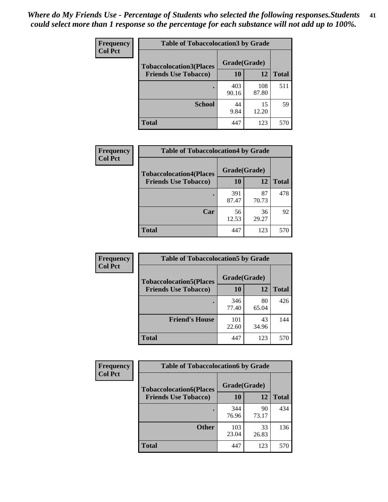| Frequency<br><b>Col Pct</b> | <b>Table of Tobaccolocation 3 by Grade</b> |              |              |              |  |
|-----------------------------|--------------------------------------------|--------------|--------------|--------------|--|
|                             | <b>Tobaccolocation3(Places</b>             | Grade(Grade) |              |              |  |
|                             | <b>Friends Use Tobacco)</b>                | 10           | 12           | <b>Total</b> |  |
|                             |                                            | 403<br>90.16 | 108<br>87.80 | 511          |  |
|                             | <b>School</b>                              | 44<br>9.84   | 15<br>12.20  | 59           |  |
|                             | <b>Total</b>                               | 447          | 123          | 570          |  |

| Frequency      | <b>Table of Tobaccolocation4 by Grade</b> |              |             |              |
|----------------|-------------------------------------------|--------------|-------------|--------------|
| <b>Col Pct</b> | <b>Tobaccolocation4(Places</b>            | Grade(Grade) |             |              |
|                | <b>Friends Use Tobacco)</b>               | 10           | 12          | <b>Total</b> |
|                |                                           | 391<br>87.47 | 87<br>70.73 | 478          |
|                | Car                                       | 56<br>12.53  | 36<br>29.27 | 92           |
|                | <b>Total</b>                              | 447          | 123         | 570          |

| Frequency<br><b>Col Pct</b> | <b>Table of Tobaccolocation5 by Grade</b> |              |             |              |
|-----------------------------|-------------------------------------------|--------------|-------------|--------------|
|                             | <b>Tobaccolocation5(Places</b>            | Grade(Grade) |             |              |
|                             | <b>Friends Use Tobacco)</b>               | 10           | 12          | <b>Total</b> |
|                             |                                           | 346<br>77.40 | 80<br>65.04 | 426          |
|                             | <b>Friend's House</b>                     | 101<br>22.60 | 43<br>34.96 | 144          |
|                             | <b>Total</b>                              | 447          | 123         | 570          |

| <b>Frequency</b> | <b>Table of Tobaccolocation6 by Grade</b> |              |             |              |
|------------------|-------------------------------------------|--------------|-------------|--------------|
| <b>Col Pct</b>   | <b>Tobaccolocation6(Places</b>            | Grade(Grade) |             |              |
|                  | <b>Friends Use Tobacco)</b>               | 10           | 12          | <b>Total</b> |
|                  |                                           | 344<br>76.96 | 90<br>73.17 | 434          |
|                  | <b>Other</b>                              | 103<br>23.04 | 33<br>26.83 | 136          |
|                  | <b>Total</b>                              | 447          | 123         | 570          |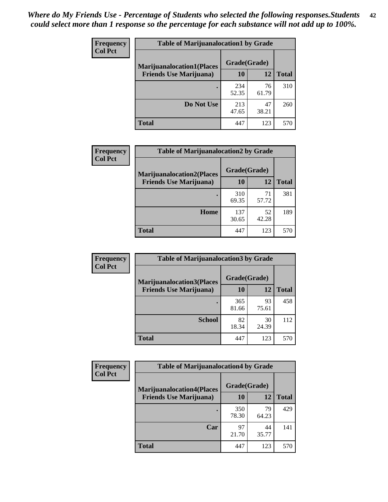| <b>Frequency</b> | <b>Table of Marijuanalocation1 by Grade</b> |              |             |              |
|------------------|---------------------------------------------|--------------|-------------|--------------|
| <b>Col Pct</b>   | <b>Marijuanalocation1(Places</b>            | Grade(Grade) |             |              |
|                  | <b>Friends Use Marijuana</b> )              | 10           | 12          | <b>Total</b> |
|                  |                                             | 234<br>52.35 | 76<br>61.79 | 310          |
|                  | Do Not Use                                  | 213<br>47.65 | 47<br>38.21 | 260          |
|                  | <b>Total</b>                                | 447          | 123         | 570          |

| <b>Frequency</b> | <b>Table of Marijuanalocation2 by Grade</b>                        |                    |             |              |
|------------------|--------------------------------------------------------------------|--------------------|-------------|--------------|
| <b>Col Pct</b>   | <b>Marijuanalocation2(Places</b><br><b>Friends Use Marijuana</b> ) | Grade(Grade)<br>10 | 12          | <b>Total</b> |
|                  |                                                                    | 310<br>69.35       | 71<br>57.72 | 381          |
|                  | Home                                                               | 137<br>30.65       | 52<br>42.28 | 189          |
|                  | <b>Total</b>                                                       | 447                | 123         | 570          |

| Frequency<br><b>Col Pct</b> | <b>Table of Marijuanalocation3 by Grade</b> |              |             |              |
|-----------------------------|---------------------------------------------|--------------|-------------|--------------|
|                             | <b>Marijuanalocation3</b> (Places           | Grade(Grade) |             |              |
|                             | <b>Friends Use Marijuana</b> )              | 10           | 12          | <b>Total</b> |
|                             |                                             | 365<br>81.66 | 93<br>75.61 | 458          |
|                             | <b>School</b>                               | 82<br>18.34  | 30<br>24.39 | 112          |
|                             | <b>Total</b>                                | 447          | 123         | 570          |

| <b>Frequency</b> | <b>Table of Marijuanalocation4 by Grade</b> |              |             |              |  |
|------------------|---------------------------------------------|--------------|-------------|--------------|--|
| <b>Col Pct</b>   | <b>Marijuanalocation4(Places</b>            | Grade(Grade) |             |              |  |
|                  | <b>Friends Use Marijuana</b> )              | <b>10</b>    | 12          | <b>Total</b> |  |
|                  |                                             | 350<br>78.30 | 79<br>64.23 | 429          |  |
|                  | Car                                         | 97<br>21.70  | 44<br>35.77 | 141          |  |
|                  | <b>Total</b>                                | 447          | 123         | 570          |  |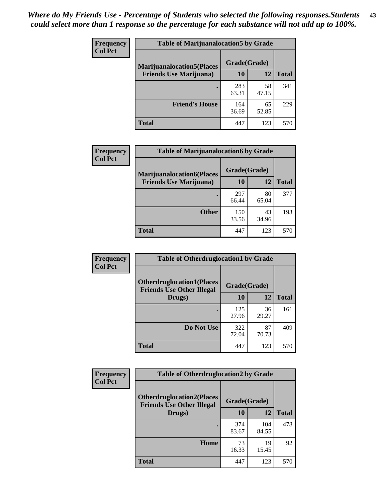| <b>Frequency</b> | <b>Table of Marijuanalocation5 by Grade</b> |              |             |              |
|------------------|---------------------------------------------|--------------|-------------|--------------|
| <b>Col Pct</b>   | <b>Marijuanalocation5</b> (Places           | Grade(Grade) |             |              |
|                  | <b>Friends Use Marijuana</b> )              | 10           | 12          | <b>Total</b> |
|                  |                                             | 283<br>63.31 | 58<br>47.15 | 341          |
|                  | <b>Friend's House</b>                       | 164<br>36.69 | 65<br>52.85 | 229          |
|                  | <b>Total</b>                                | 447          | 123         | 570          |

| <b>Frequency</b> | <b>Table of Marijuanalocation6 by Grade</b>                        |                    |             |              |
|------------------|--------------------------------------------------------------------|--------------------|-------------|--------------|
| <b>Col Pct</b>   | <b>Marijuanalocation6(Places</b><br><b>Friends Use Marijuana</b> ) | Grade(Grade)<br>10 | 12          | <b>Total</b> |
|                  |                                                                    | 297<br>66.44       | 80<br>65.04 | 377          |
|                  | <b>Other</b>                                                       | 150<br>33.56       | 43<br>34.96 | 193          |
|                  | <b>Total</b>                                                       | 447                | 123         | 570          |

| <b>Frequency</b> | <b>Table of Otherdruglocation1 by Grade</b>                          |              |             |              |
|------------------|----------------------------------------------------------------------|--------------|-------------|--------------|
| <b>Col Pct</b>   | <b>Otherdruglocation1(Places</b><br><b>Friends Use Other Illegal</b> | Grade(Grade) |             |              |
|                  | Drugs)                                                               | 10           | 12          | <b>Total</b> |
|                  |                                                                      | 125<br>27.96 | 36<br>29.27 | 161          |
|                  | Do Not Use                                                           | 322<br>72.04 | 87<br>70.73 | 409          |
|                  | <b>Total</b>                                                         | 447          | 123         | 570          |

| Frequency      | <b>Table of Otherdruglocation2 by Grade</b>                          |              |              |              |
|----------------|----------------------------------------------------------------------|--------------|--------------|--------------|
| <b>Col Pct</b> | <b>Otherdruglocation2(Places</b><br><b>Friends Use Other Illegal</b> | Grade(Grade) |              |              |
|                | Drugs)                                                               | 10           | 12           | <b>Total</b> |
|                |                                                                      | 374<br>83.67 | 104<br>84.55 | 478          |
|                | Home                                                                 | 73<br>16.33  | 19<br>15.45  | 92           |
|                | Total                                                                | 447          | 123          | 570          |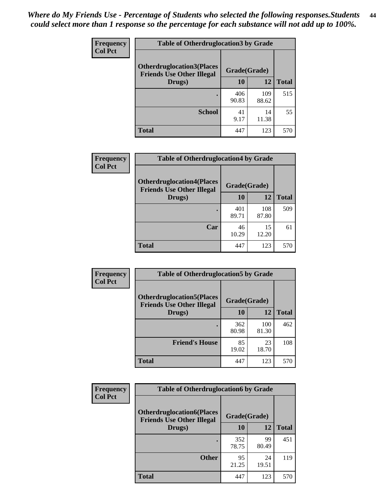| <b>Frequency</b> | <b>Table of Otherdruglocation 3 by Grade</b>                         |              |              |              |
|------------------|----------------------------------------------------------------------|--------------|--------------|--------------|
| <b>Col Pct</b>   | <b>Otherdruglocation3(Places</b><br><b>Friends Use Other Illegal</b> | Grade(Grade) |              |              |
|                  | Drugs)                                                               | 10           | 12           | <b>Total</b> |
|                  |                                                                      | 406<br>90.83 | 109<br>88.62 | 515          |
|                  | <b>School</b>                                                        | 41<br>9.17   | 14<br>11.38  | 55           |
|                  | <b>Total</b>                                                         | 447          | 123          | 570          |

| <b>Frequency</b> | <b>Table of Otherdruglocation4 by Grade</b>                          |              |              |              |
|------------------|----------------------------------------------------------------------|--------------|--------------|--------------|
| <b>Col Pct</b>   | <b>Otherdruglocation4(Places</b><br><b>Friends Use Other Illegal</b> | Grade(Grade) |              |              |
|                  | Drugs)                                                               | 10           | 12           | <b>Total</b> |
|                  |                                                                      | 401<br>89.71 | 108<br>87.80 | 509          |
|                  | Car                                                                  | 46<br>10.29  | 15<br>12.20  | 61           |
|                  | <b>Total</b>                                                         | 447          | 123          | 570          |

| Frequency      | <b>Table of Otherdruglocation5 by Grade</b>                          |              |              |              |
|----------------|----------------------------------------------------------------------|--------------|--------------|--------------|
| <b>Col Pct</b> | <b>Otherdruglocation5(Places</b><br><b>Friends Use Other Illegal</b> | Grade(Grade) |              |              |
|                | Drugs)                                                               | 10           | 12           | <b>Total</b> |
|                |                                                                      | 362<br>80.98 | 100<br>81.30 | 462          |
|                | <b>Friend's House</b>                                                | 85<br>19.02  | 23<br>18.70  | 108          |
|                | <b>Total</b>                                                         | 447          | 123          | 570          |

| <b>Frequency</b> | <b>Table of Otherdruglocation6 by Grade</b>                          |              |             |              |
|------------------|----------------------------------------------------------------------|--------------|-------------|--------------|
| <b>Col Pct</b>   | <b>Otherdruglocation6(Places</b><br><b>Friends Use Other Illegal</b> | Grade(Grade) |             |              |
|                  | Drugs)                                                               | 10           | 12          | <b>Total</b> |
|                  |                                                                      | 352<br>78.75 | 99<br>80.49 | 451          |
|                  | <b>Other</b>                                                         | 95<br>21.25  | 24<br>19.51 | 119          |
|                  | <b>Total</b>                                                         | 447          | 123         | 570          |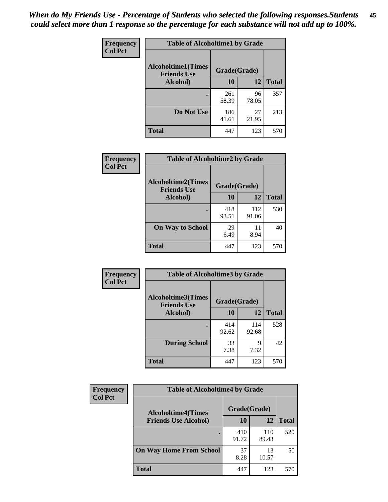| Frequency      | <b>Table of Alcoholtime1 by Grade</b>           |              |             |              |
|----------------|-------------------------------------------------|--------------|-------------|--------------|
| <b>Col Pct</b> | <b>Alcoholtime1(Times</b><br><b>Friends Use</b> | Grade(Grade) |             |              |
|                | Alcohol)                                        | 10           | 12          | <b>Total</b> |
|                |                                                 | 261<br>58.39 | 96<br>78.05 | 357          |
|                | Do Not Use                                      | 186<br>41.61 | 27<br>21.95 | 213          |
|                | <b>Total</b>                                    | 447          | 123         | 570          |

| Frequency      | <b>Table of Alcoholtime2 by Grade</b>           |              |              |              |
|----------------|-------------------------------------------------|--------------|--------------|--------------|
| <b>Col Pct</b> | <b>Alcoholtime2(Times</b><br><b>Friends Use</b> | Grade(Grade) |              |              |
|                | Alcohol)                                        | 10           | 12           | <b>Total</b> |
|                |                                                 | 418<br>93.51 | 112<br>91.06 | 530          |
|                | <b>On Way to School</b>                         | 29<br>6.49   | 11<br>8.94   | 40           |
|                | <b>Total</b>                                    | 447          | 123          | 570          |

| Frequency      | <b>Table of Alcoholtime3 by Grade</b>    |              |              |              |
|----------------|------------------------------------------|--------------|--------------|--------------|
| <b>Col Pct</b> | Alcoholtime3(Times<br><b>Friends Use</b> | Grade(Grade) |              |              |
|                | Alcohol)                                 | 10           | 12           | <b>Total</b> |
|                |                                          | 414<br>92.62 | 114<br>92.68 | 528          |
|                | <b>During School</b>                     | 33<br>7.38   | 9<br>7.32    | 42           |
|                | <b>Total</b>                             | 447          | 123          | 570          |

| <b>Frequency</b><br><b>Col Pct</b> | <b>Table of Alcoholtime4 by Grade</b> |              |              |              |
|------------------------------------|---------------------------------------|--------------|--------------|--------------|
|                                    | <b>Alcoholtime4(Times</b>             | Grade(Grade) |              |              |
|                                    | <b>Friends Use Alcohol)</b>           | 10           | 12           | <b>Total</b> |
|                                    |                                       | 410<br>91.72 | 110<br>89.43 | 520          |
|                                    | <b>On Way Home From School</b>        | 37<br>8.28   | 13<br>10.57  | 50           |
|                                    | <b>Total</b>                          | 447          | 123          | 570          |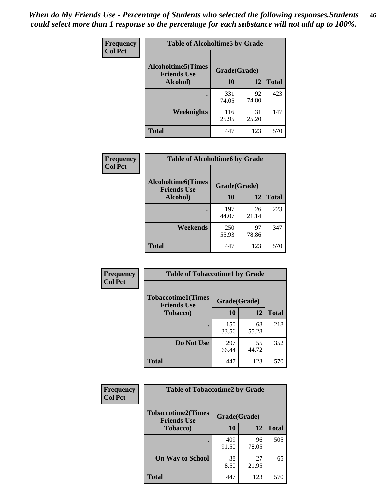*When do My Friends Use - Percentage of Students who selected the following responses.Students could select more than 1 response so the percentage for each substance will not add up to 100%.* **46**

| Frequency      | <b>Table of Alcoholtime5 by Grade</b>           |              |             |              |
|----------------|-------------------------------------------------|--------------|-------------|--------------|
| <b>Col Pct</b> | <b>Alcoholtime5(Times</b><br><b>Friends Use</b> | Grade(Grade) |             |              |
|                | Alcohol)                                        | 10           | 12          | <b>Total</b> |
|                |                                                 | 331<br>74.05 | 92<br>74.80 | 423          |
|                | Weeknights                                      | 116<br>25.95 | 31<br>25.20 | 147          |
|                | <b>Total</b>                                    | 447          | 123         | 570          |

| <b>Frequency</b> | <b>Table of Alcoholtime6 by Grade</b>           |              |             |              |
|------------------|-------------------------------------------------|--------------|-------------|--------------|
| <b>Col Pct</b>   | <b>Alcoholtime6(Times</b><br><b>Friends Use</b> | Grade(Grade) |             |              |
|                  | Alcohol)                                        | 10           | 12          | <b>Total</b> |
|                  |                                                 | 197<br>44.07 | 26<br>21.14 | 223          |
|                  | Weekends                                        | 250<br>55.93 | 97<br>78.86 | 347          |
|                  | <b>Total</b>                                    | 447          | 123         | 570          |

| Frequency      | <b>Table of Tobaccotime1 by Grade</b>           |              |             |              |
|----------------|-------------------------------------------------|--------------|-------------|--------------|
| <b>Col Pct</b> | <b>Tobaccotime1(Times</b><br><b>Friends Use</b> | Grade(Grade) |             |              |
|                | <b>Tobacco</b> )                                | 10           | 12          | <b>Total</b> |
|                | ٠                                               | 150<br>33.56 | 68<br>55.28 | 218          |
|                | Do Not Use                                      | 297<br>66.44 | 55<br>44.72 | 352          |
|                | <b>Total</b>                                    | 447          | 123         | 570          |

| <b>Frequency</b> | <b>Table of Tobaccotime2 by Grade</b>           |              |             |              |
|------------------|-------------------------------------------------|--------------|-------------|--------------|
| <b>Col Pct</b>   | <b>Tobaccotime2(Times</b><br><b>Friends Use</b> | Grade(Grade) |             |              |
|                  | <b>Tobacco</b> )                                | 10           | 12          | <b>Total</b> |
|                  |                                                 | 409<br>91.50 | 96<br>78.05 | 505          |
|                  | <b>On Way to School</b>                         | 38<br>8.50   | 27<br>21.95 | 65           |
|                  | <b>Total</b>                                    | 447          | 123         | 570          |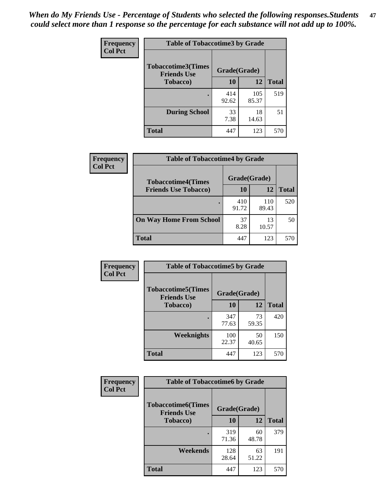*When do My Friends Use - Percentage of Students who selected the following responses.Students could select more than 1 response so the percentage for each substance will not add up to 100%.* **47**

| <b>Frequency</b> | <b>Table of Tobaccotime3 by Grade</b>           |              |              |              |  |
|------------------|-------------------------------------------------|--------------|--------------|--------------|--|
| <b>Col Pct</b>   | <b>Tobaccotime3(Times</b><br><b>Friends Use</b> |              | Grade(Grade) |              |  |
|                  | <b>Tobacco</b> )                                | 10           | 12           | <b>Total</b> |  |
|                  |                                                 | 414<br>92.62 | 105<br>85.37 | 519          |  |
|                  | <b>During School</b>                            | 33<br>7.38   | 18<br>14.63  | 51           |  |
|                  | <b>Total</b>                                    | 447          | 123          | 570          |  |

| <b>Frequency</b> | <b>Table of Tobaccotime4 by Grade</b> |              |              |              |
|------------------|---------------------------------------|--------------|--------------|--------------|
| <b>Col Pct</b>   | <b>Tobaccotime4(Times</b>             | Grade(Grade) |              |              |
|                  | <b>Friends Use Tobacco)</b>           | 10           | 12           | <b>Total</b> |
|                  |                                       | 410<br>91.72 | 110<br>89.43 | 520          |
|                  | <b>On Way Home From School</b>        | 37<br>8.28   | 13<br>10.57  | 50           |
|                  | <b>Total</b>                          | 447          | 123          | 570          |

| <b>Frequency</b> | <b>Table of Tobaccotime5 by Grade</b>           |              |             |              |
|------------------|-------------------------------------------------|--------------|-------------|--------------|
| <b>Col Pct</b>   | <b>Tobaccotime5(Times</b><br><b>Friends Use</b> | Grade(Grade) |             |              |
|                  | <b>Tobacco</b> )                                | 10           | 12          | <b>Total</b> |
|                  |                                                 | 347<br>77.63 | 73<br>59.35 | 420          |
|                  | Weeknights                                      | 100<br>22.37 | 50<br>40.65 | 150          |
|                  | <b>Total</b>                                    | 447          | 123         | 570          |

| <b>Frequency</b> | <b>Table of Tobaccotime6 by Grade</b>           |              |             |              |
|------------------|-------------------------------------------------|--------------|-------------|--------------|
| <b>Col Pct</b>   | <b>Tobaccotime6(Times</b><br><b>Friends Use</b> | Grade(Grade) |             |              |
|                  | <b>Tobacco</b> )                                | 10           | 12          | <b>Total</b> |
|                  | ٠                                               | 319<br>71.36 | 60<br>48.78 | 379          |
|                  | Weekends                                        | 128<br>28.64 | 63<br>51.22 | 191          |
|                  | <b>Total</b>                                    | 447          | 123         | 570          |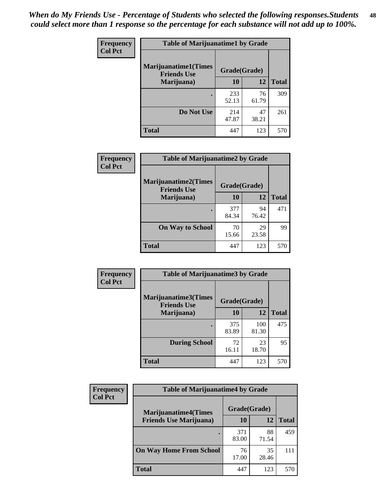| Frequency      | <b>Table of Marijuanatime1 by Grade</b>           |              |             |              |
|----------------|---------------------------------------------------|--------------|-------------|--------------|
| <b>Col Pct</b> | <b>Marijuanatime1(Times</b><br><b>Friends Use</b> | Grade(Grade) |             |              |
|                | Marijuana)                                        | 10           | 12          | <b>Total</b> |
|                |                                                   | 233<br>52.13 | 76<br>61.79 | 309          |
|                | Do Not Use                                        | 214<br>47.87 | 47<br>38.21 | 261          |
|                | <b>Total</b>                                      | 447          | 123         | 570          |

| Frequency      | <b>Table of Marijuanatime2 by Grade</b>           |              |             |              |
|----------------|---------------------------------------------------|--------------|-------------|--------------|
| <b>Col Pct</b> | <b>Marijuanatime2(Times</b><br><b>Friends Use</b> | Grade(Grade) |             |              |
|                | Marijuana)                                        | 10           | 12          | <b>Total</b> |
|                |                                                   | 377<br>84.34 | 94<br>76.42 | 471          |
|                | <b>On Way to School</b>                           | 70<br>15.66  | 29<br>23.58 | 99           |
|                | <b>Total</b>                                      | 447          | 123         | 570          |

| Frequency<br><b>Col Pct</b> | <b>Table of Marijuanatime3 by Grade</b>    |              |              |              |
|-----------------------------|--------------------------------------------|--------------|--------------|--------------|
|                             | Marijuanatime3(Times<br><b>Friends Use</b> | Grade(Grade) |              |              |
|                             | Marijuana)                                 | 10           | 12           | <b>Total</b> |
|                             |                                            | 375<br>83.89 | 100<br>81.30 | 475          |
|                             | <b>During School</b>                       | 72<br>16.11  | 23<br>18.70  | 95           |
|                             | <b>Total</b>                               | 447          | 123          | 570          |

| <b>Frequency</b> | <b>Table of Marijuanatime4 by Grade</b> |              |             |              |
|------------------|-----------------------------------------|--------------|-------------|--------------|
| <b>Col Pct</b>   | <b>Marijuanatime4</b> (Times            | Grade(Grade) |             |              |
|                  | <b>Friends Use Marijuana</b> )          | 10           | 12          | <b>Total</b> |
|                  |                                         | 371<br>83.00 | 88<br>71.54 | 459          |
|                  | <b>On Way Home From School</b>          | 76<br>17.00  | 35<br>28.46 | 111          |
|                  | <b>Total</b>                            | 447          | 123         | 570          |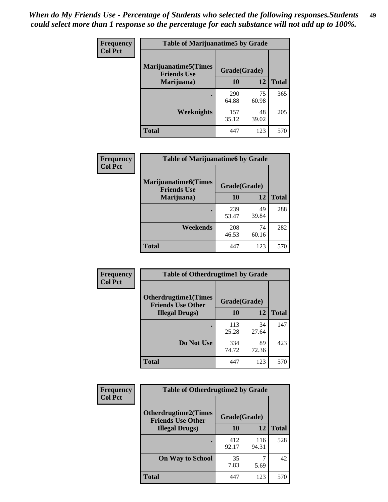| Frequency      | <b>Table of Marijuanatime5 by Grade</b>            |              |             |              |
|----------------|----------------------------------------------------|--------------|-------------|--------------|
| <b>Col Pct</b> | <b>Marijuanatime5</b> (Times<br><b>Friends Use</b> | Grade(Grade) |             |              |
|                | Marijuana)                                         | 10           | 12          | <b>Total</b> |
|                |                                                    | 290<br>64.88 | 75<br>60.98 | 365          |
|                | Weeknights                                         | 157<br>35.12 | 48<br>39.02 | 205          |
|                | <b>Total</b>                                       | 447          | 123         | 570          |

| <b>Frequency</b><br><b>Col Pct</b> | <b>Table of Marijuanatime6 by Grade</b>            |              |             |              |
|------------------------------------|----------------------------------------------------|--------------|-------------|--------------|
|                                    | <b>Marijuanatime6</b> (Times<br><b>Friends Use</b> | Grade(Grade) |             |              |
|                                    | Marijuana)                                         | 10           | 12          | <b>Total</b> |
|                                    |                                                    | 239<br>53.47 | 49<br>39.84 | 288          |
|                                    | Weekends                                           | 208<br>46.53 | 74<br>60.16 | 282          |
|                                    | <b>Total</b>                                       | 447          | 123         | 570          |

| Frequency      | <b>Table of Otherdrugtime1 by Grade</b>                 |              |             |              |
|----------------|---------------------------------------------------------|--------------|-------------|--------------|
| <b>Col Pct</b> | <b>Otherdrugtime1(Times</b><br><b>Friends Use Other</b> | Grade(Grade) |             |              |
|                | <b>Illegal Drugs</b> )                                  | 10           | 12          | <b>Total</b> |
|                |                                                         | 113<br>25.28 | 34<br>27.64 | 147          |
|                | Do Not Use                                              | 334<br>74.72 | 89<br>72.36 | 423          |
|                | <b>Total</b>                                            | 447          | 123         | 570          |

| <b>Frequency</b> | <b>Table of Otherdrugtime2 by Grade</b>                 |              |              |              |  |  |
|------------------|---------------------------------------------------------|--------------|--------------|--------------|--|--|
| <b>Col Pct</b>   | <b>Otherdrugtime2(Times</b><br><b>Friends Use Other</b> | Grade(Grade) |              |              |  |  |
|                  | <b>Illegal Drugs</b> )                                  | 10           | 12           | <b>Total</b> |  |  |
|                  |                                                         | 412<br>92.17 | 116<br>94.31 | 528          |  |  |
|                  | <b>On Way to School</b>                                 | 35<br>7.83   | 5.69         | 42           |  |  |
|                  | Total                                                   | 447          | 123          | 570          |  |  |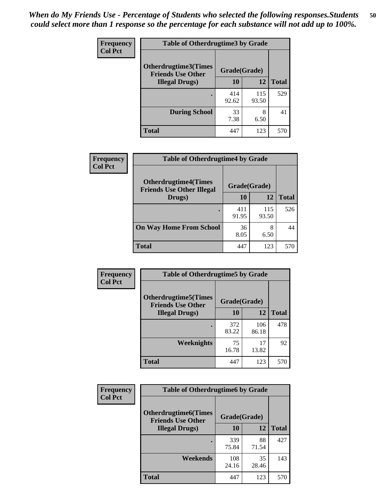| <b>Frequency</b><br><b>Col Pct</b> | <b>Table of Otherdrugtime3 by Grade</b>                          |              |              |              |  |  |
|------------------------------------|------------------------------------------------------------------|--------------|--------------|--------------|--|--|
|                                    | Otherdrugtime3(Times<br>Grade(Grade)<br><b>Friends Use Other</b> |              |              |              |  |  |
|                                    | <b>Illegal Drugs</b> )                                           | 10           | 12           | <b>Total</b> |  |  |
|                                    |                                                                  | 414<br>92.62 | 115<br>93.50 | 529          |  |  |
|                                    | <b>During School</b>                                             | 33<br>7.38   | 8<br>6.50    | 41           |  |  |
|                                    | Total                                                            | 447          | 123          | 570          |  |  |

| Frequency      | <b>Table of Otherdrugtime4 by Grade</b>                         |              |              |              |  |  |
|----------------|-----------------------------------------------------------------|--------------|--------------|--------------|--|--|
| <b>Col Pct</b> | <b>Otherdrugtime4(Times</b><br><b>Friends Use Other Illegal</b> | Grade(Grade) |              |              |  |  |
|                | Drugs)                                                          | 10           | 12           | <b>Total</b> |  |  |
|                | $\bullet$                                                       | 411<br>91.95 | 115<br>93.50 | 526          |  |  |
|                | <b>On Way Home From School</b>                                  | 36<br>8.05   | 8<br>6.50    | 44           |  |  |
|                | <b>Total</b>                                                    | 447          | 123          | 570          |  |  |

| <b>Frequency</b> | <b>Table of Otherdrugtime5 by Grade</b>                  |              |              |              |  |  |
|------------------|----------------------------------------------------------|--------------|--------------|--------------|--|--|
| <b>Col Pct</b>   | <b>Otherdrugtime5</b> (Times<br><b>Friends Use Other</b> | Grade(Grade) |              |              |  |  |
|                  | <b>Illegal Drugs</b> )                                   | 10           | 12           | <b>Total</b> |  |  |
|                  |                                                          | 372<br>83.22 | 106<br>86.18 | 478          |  |  |
|                  | <b>Weeknights</b>                                        | 75<br>16.78  | 17<br>13.82  | 92           |  |  |
|                  | <b>Total</b>                                             | 447          | 123          | 570          |  |  |

| Frequency      | <b>Table of Otherdrugtime6 by Grade</b>                                 |              |             |              |  |  |
|----------------|-------------------------------------------------------------------------|--------------|-------------|--------------|--|--|
| <b>Col Pct</b> | <b>Otherdrugtime6(Times</b><br>Grade(Grade)<br><b>Friends Use Other</b> |              |             |              |  |  |
|                | <b>Illegal Drugs</b> )                                                  | 10           | 12          | <b>Total</b> |  |  |
|                |                                                                         | 339<br>75.84 | 88<br>71.54 | 427          |  |  |
|                | Weekends                                                                | 108<br>24.16 | 35<br>28.46 | 143          |  |  |
|                | <b>Total</b>                                                            | 447          | 123         | 570          |  |  |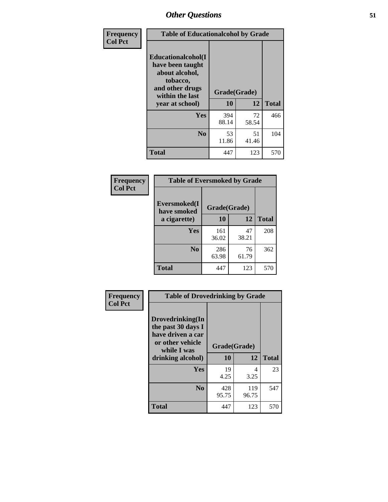| Frequency      | <b>Table of Educationalcohol by Grade</b>                                                                  |              |             |              |  |  |
|----------------|------------------------------------------------------------------------------------------------------------|--------------|-------------|--------------|--|--|
| <b>Col Pct</b> | Educationalcohol(I<br>have been taught<br>about alcohol,<br>tobacco,<br>and other drugs<br>within the last | Grade(Grade) |             |              |  |  |
|                | year at school)                                                                                            | 10           | 12          | <b>Total</b> |  |  |
|                | <b>Yes</b>                                                                                                 | 394<br>88.14 | 72<br>58.54 | 466          |  |  |
|                | N <sub>0</sub>                                                                                             | 53<br>11.86  | 51<br>41.46 | 104          |  |  |
|                | <b>Total</b>                                                                                               | 447          | 123         | 570          |  |  |

| Frequency      | <b>Table of Eversmoked by Grade</b> |              |             |              |  |  |  |
|----------------|-------------------------------------|--------------|-------------|--------------|--|--|--|
| <b>Col Pct</b> | Eversmoked(I<br>have smoked         | Grade(Grade) |             |              |  |  |  |
|                | a cigarette)                        | 10           | 12          | <b>Total</b> |  |  |  |
|                | Yes                                 | 161<br>36.02 | 47<br>38.21 | 208          |  |  |  |
|                | N <sub>0</sub>                      | 286<br>63.98 | 76<br>61.79 | 362          |  |  |  |
|                | <b>Total</b>                        | 447          | 123         | 570          |  |  |  |

| Frequency      | <b>Table of Drovedrinking by Grade</b>                                                                              |                    |              |              |  |  |
|----------------|---------------------------------------------------------------------------------------------------------------------|--------------------|--------------|--------------|--|--|
| <b>Col Pct</b> | Drovedrinking(In<br>the past 30 days I<br>have driven a car<br>or other vehicle<br>while I was<br>drinking alcohol) | Grade(Grade)<br>10 | 12           | <b>Total</b> |  |  |
|                | <b>Yes</b>                                                                                                          | 19<br>4.25         | 4<br>3.25    | 23           |  |  |
|                | N <sub>0</sub>                                                                                                      | 428<br>95.75       | 119<br>96.75 | 547          |  |  |
|                | <b>Total</b>                                                                                                        | 447                | 123          | 570          |  |  |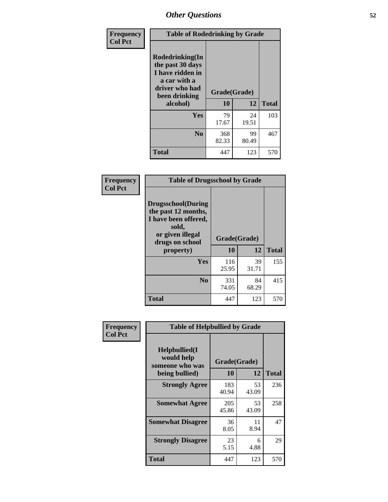| Frequency<br><b>Col Pct</b> | <b>Table of Rodedrinking by Grade</b>                                                                      |              |             |              |  |  |
|-----------------------------|------------------------------------------------------------------------------------------------------------|--------------|-------------|--------------|--|--|
|                             | Rodedrinking(In<br>the past 30 days<br>I have ridden in<br>a car with a<br>driver who had<br>been drinking | Grade(Grade) |             |              |  |  |
|                             | alcohol)                                                                                                   | 10           | 12          | <b>Total</b> |  |  |
|                             | <b>Yes</b>                                                                                                 | 79<br>17.67  | 24<br>19.51 | 103          |  |  |
|                             | N <sub>0</sub>                                                                                             | 368<br>82.33 | 99<br>80.49 | 467          |  |  |
|                             | <b>Total</b>                                                                                               | 447          | 123         | 570          |  |  |

#### **Frequency Col Pct**

| <b>Table of Drugsschool by Grade</b>                                                                                      |              |             |              |  |  |  |
|---------------------------------------------------------------------------------------------------------------------------|--------------|-------------|--------------|--|--|--|
| <b>Drugsschool</b> (During<br>the past 12 months,<br>I have been offered,<br>sold,<br>or given illegal<br>drugs on school | Grade(Grade) |             |              |  |  |  |
| property)                                                                                                                 | 10           | 12          | <b>Total</b> |  |  |  |
| Yes                                                                                                                       | 116<br>25.95 | 39<br>31.71 | 155          |  |  |  |
| N <sub>0</sub>                                                                                                            | 331<br>74.05 | 84<br>68.29 | 415          |  |  |  |
| Total                                                                                                                     | 447          | 123         | 570          |  |  |  |

| Frequency      | <b>Table of Helpbullied by Grade</b>            |              |             |              |  |  |  |
|----------------|-------------------------------------------------|--------------|-------------|--------------|--|--|--|
| <b>Col Pct</b> | Helpbullied(I)<br>would help<br>someone who was | Grade(Grade) |             |              |  |  |  |
|                | being bullied)                                  | <b>10</b>    | 12          | <b>Total</b> |  |  |  |
|                | <b>Strongly Agree</b>                           | 183<br>40.94 | 53<br>43.09 | 236          |  |  |  |
|                | <b>Somewhat Agree</b>                           | 205<br>45.86 | 53<br>43.09 | 258          |  |  |  |
|                | <b>Somewhat Disagree</b>                        | 36<br>8.05   | 11<br>8.94  | 47           |  |  |  |
|                | <b>Strongly Disagree</b>                        | 23<br>5.15   | 6<br>4.88   | 29           |  |  |  |
|                | <b>Total</b>                                    | 447          | 123         | 570          |  |  |  |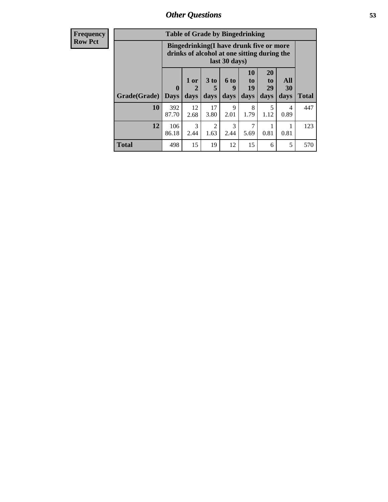| <b>Frequency</b><br><b>Row Pct</b> |              | <b>Table of Grade by Bingedrinking</b><br>Bingedrinking(I have drunk five or more<br>drinks of alcohol at one sitting during the<br>last 30 days) |                   |                              |                              |                        |                                    |                   |              |
|------------------------------------|--------------|---------------------------------------------------------------------------------------------------------------------------------------------------|-------------------|------------------------------|------------------------------|------------------------|------------------------------------|-------------------|--------------|
|                                    | Grade(Grade) | $\mathbf{0}$<br><b>Days</b>                                                                                                                       | 1 or<br>2<br>days | 3 <sub>to</sub><br>5<br>days | 6 <sub>to</sub><br>9<br>days | 10<br>to<br>19<br>days | 20<br>t <sub>0</sub><br>29<br>days | All<br>30<br>days | <b>Total</b> |
|                                    | 10           | 392<br>87.70                                                                                                                                      | 12<br>2.68        | 17<br>3.80                   | 9<br>2.01                    | 8<br>1.79              | 5<br>1.12                          | 4<br>0.89         | 447          |
|                                    | 12           | 106<br>86.18                                                                                                                                      | 3<br>2.44         | $\mathfrak{D}$<br>1.63       | 3<br>2.44                    | 7<br>5.69              | 0.81                               | 0.81              | 123          |
|                                    | <b>Total</b> | 498                                                                                                                                               | 15                | 19                           | 12                           | 15                     | 6                                  | 5                 | 570          |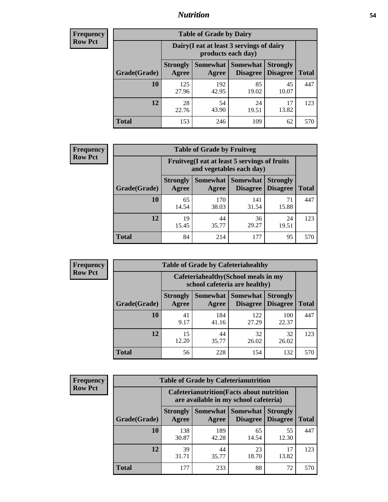### *Nutrition* **54**

| <b>Frequency</b><br>Row Pct |
|-----------------------------|
|                             |

| <b>Table of Grade by Dairy</b> |                          |                                                                 |                                    |                                    |              |  |
|--------------------------------|--------------------------|-----------------------------------------------------------------|------------------------------------|------------------------------------|--------------|--|
|                                |                          | Dairy (I eat at least 3 servings of dairy<br>products each day) |                                    |                                    |              |  |
| Grade(Grade)                   | <b>Strongly</b><br>Agree | <b>Somewhat</b><br>Agree                                        | <b>Somewhat</b><br><b>Disagree</b> | <b>Strongly</b><br><b>Disagree</b> | <b>Total</b> |  |
| 10                             | 125<br>27.96             | 192<br>42.95                                                    | 85<br>19.02                        | 45<br>10.07                        | 447          |  |
| 12                             | 28<br>22.76              | 54<br>43.90                                                     | 24<br>19.51                        | 17<br>13.82                        | 123          |  |
| <b>Total</b>                   | 153                      | 246                                                             | 109                                | 62                                 | 570          |  |

| <b>Frequency</b> |  |
|------------------|--|
| <b>Row Pct</b>   |  |

| <b>Table of Grade by Fruitveg</b> |                          |                                                                          |                                    |                                    |              |  |
|-----------------------------------|--------------------------|--------------------------------------------------------------------------|------------------------------------|------------------------------------|--------------|--|
|                                   |                          | Fruitveg(I eat at least 5 servings of fruits<br>and vegetables each day) |                                    |                                    |              |  |
| Grade(Grade)                      | <b>Strongly</b><br>Agree | Somewhat  <br>Agree                                                      | <b>Somewhat</b><br><b>Disagree</b> | <b>Strongly</b><br><b>Disagree</b> | <b>Total</b> |  |
| 10                                | 65<br>14.54              | 170<br>38.03                                                             | 141<br>31.54                       | 15.88                              | 447          |  |
| 12                                | 19<br>15.45              | 44<br>35.77                                                              | 36<br>29.27                        | 24<br>19.51                        | 123          |  |
| <b>Total</b>                      | 84                       | 214                                                                      | 177                                | 95                                 | 570          |  |

| <b>Frequency</b> |              | <b>Table of Grade by Cafeteriahealthy</b> |                                                                       |                 |                                    |              |
|------------------|--------------|-------------------------------------------|-----------------------------------------------------------------------|-----------------|------------------------------------|--------------|
| <b>Row Pct</b>   |              |                                           | Cafeteriahealthy (School meals in my<br>school cafeteria are healthy) |                 |                                    |              |
|                  | Grade(Grade) | <b>Strongly</b><br>Agree                  | Somewhat Somewhat<br>Agree                                            | <b>Disagree</b> | <b>Strongly</b><br><b>Disagree</b> | <b>Total</b> |
|                  | 10           | 41<br>9.17                                | 184<br>41.16                                                          | 122<br>27.29    | 100<br>22.37                       | 447          |
|                  | 12           | 15<br>12.20                               | 44<br>35.77                                                           | 32<br>26.02     | 32<br>26.02                        | 123          |
|                  | Total        | 56                                        | 228                                                                   | 154             | 132                                | 570          |

| <b>Frequency</b> |
|------------------|
| <b>Row Pct</b>   |

| <b>Table of Grade by Cafeterianutrition</b> |                          |                                                                                           |                                        |                                    |              |  |
|---------------------------------------------|--------------------------|-------------------------------------------------------------------------------------------|----------------------------------------|------------------------------------|--------------|--|
|                                             |                          | <b>Cafeterianutrition</b> (Facts about nutrition<br>are available in my school cafeteria) |                                        |                                    |              |  |
| Grade(Grade)                                | <b>Strongly</b><br>Agree | Agree                                                                                     | Somewhat   Somewhat<br><b>Disagree</b> | <b>Strongly</b><br><b>Disagree</b> | <b>Total</b> |  |
| 10                                          | 138<br>30.87             | 189<br>42.28                                                                              | 65<br>14.54                            | 55<br>12.30                        | 447          |  |
| 12                                          | 39<br>31.71              | 44<br>35.77                                                                               | 23<br>18.70                            | 17<br>13.82                        | 123          |  |
| Total                                       | 177                      | 233                                                                                       | 88                                     | 72                                 | 570          |  |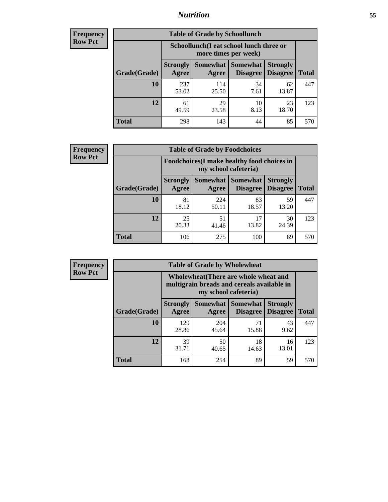### *Nutrition* **55**

| <b>Frequency</b> |
|------------------|
| <b>Row Pct</b>   |

| <b>Table of Grade by Schoollunch</b> |                          |                                                                 |                             |                                    |       |  |
|--------------------------------------|--------------------------|-----------------------------------------------------------------|-----------------------------|------------------------------------|-------|--|
|                                      |                          | Schoollunch(I eat school lunch three or<br>more times per week) |                             |                                    |       |  |
| Grade(Grade)                         | <b>Strongly</b><br>Agree | Somewhat  <br>Agree                                             | <b>Somewhat</b><br>Disagree | <b>Strongly</b><br><b>Disagree</b> | Total |  |
| 10                                   | 237<br>53.02             | 114<br>25.50                                                    | 34<br>7.61                  | 62<br>13.87                        | 447   |  |
| 12                                   | 61<br>49.59              | 29<br>23.58                                                     | 10<br>8.13                  | 23<br>18.70                        | 123   |  |
| <b>Total</b>                         | 298                      | 143                                                             | 44                          | 85                                 | 570   |  |

| <b>Frequency</b> |  |
|------------------|--|
| <b>Row Pct</b>   |  |

| <b>Table of Grade by Foodchoices</b> |                                                                            |              |                               |                                    |              |
|--------------------------------------|----------------------------------------------------------------------------|--------------|-------------------------------|------------------------------------|--------------|
|                                      | <b>Foodchoices</b> (I make healthy food choices in<br>my school cafeteria) |              |                               |                                    |              |
| Grade(Grade)                         | <b>Strongly</b><br>Agree                                                   | Agree        | Somewhat Somewhat<br>Disagree | <b>Strongly</b><br><b>Disagree</b> | <b>Total</b> |
| 10                                   | 81<br>18.12                                                                | 224<br>50.11 | 83<br>18.57                   | 59<br>13.20                        | 447          |
| 12                                   | 25<br>20.33                                                                | 51<br>41.46  | 17<br>13.82                   | 30<br>24.39                        | 123          |
| <b>Total</b>                         | 106                                                                        | 275          | 100                           | 89                                 | 570          |

| <b>Frequency</b> |
|------------------|
| <b>Row Pct</b>   |

| $\overline{I}$ | <b>Table of Grade by Wholewheat</b> |                                                                                                             |              |                                        |                                    |              |
|----------------|-------------------------------------|-------------------------------------------------------------------------------------------------------------|--------------|----------------------------------------|------------------------------------|--------------|
|                |                                     | Wholewheat (There are whole wheat and<br>multigrain breads and cereals available in<br>my school cafeteria) |              |                                        |                                    |              |
|                | Grade(Grade)                        | <b>Strongly</b><br>Agree                                                                                    | Agree        | Somewhat   Somewhat<br><b>Disagree</b> | <b>Strongly</b><br><b>Disagree</b> | <b>Total</b> |
|                | 10                                  | 129<br>28.86                                                                                                | 204<br>45.64 | 71<br>15.88                            | 43<br>9.62                         | 447          |
|                | 12                                  | 39<br>31.71                                                                                                 | 50<br>40.65  | 18<br>14.63                            | 16<br>13.01                        | 123          |
|                | <b>Total</b>                        | 168                                                                                                         | 254          | 89                                     | 59                                 | 570          |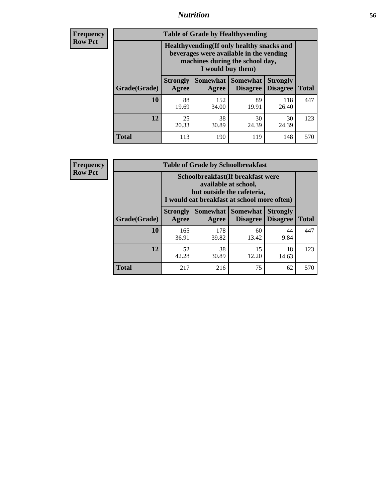### *Nutrition* **56**

**Frequency Row Pct**

| <b>Table of Grade by Healthyvending</b> |                                                                                                                                               |                          |                                    |                                    |              |  |
|-----------------------------------------|-----------------------------------------------------------------------------------------------------------------------------------------------|--------------------------|------------------------------------|------------------------------------|--------------|--|
|                                         | Healthyvending (If only healthy snacks and<br>beverages were available in the vending<br>machines during the school day,<br>I would buy them) |                          |                                    |                                    |              |  |
| Grade(Grade)                            | <b>Strongly</b><br>Agree                                                                                                                      | <b>Somewhat</b><br>Agree | <b>Somewhat</b><br><b>Disagree</b> | <b>Strongly</b><br><b>Disagree</b> | <b>Total</b> |  |
| 10                                      | 88<br>19.69                                                                                                                                   | 152<br>34.00             | 89<br>19.91                        | 118<br>26.40                       | 447          |  |
| 12                                      | 25<br>20.33                                                                                                                                   | 38<br>30.89              | 30<br>24.39                        | 30<br>24.39                        | 123          |  |
| Total                                   | 113                                                                                                                                           | 190                      | 119                                | 148                                | 570          |  |

**Frequency Row Pct**

| <b>Table of Grade by Schoolbreakfast</b> |                                                                                                                                        |              |             |             |              |  |  |
|------------------------------------------|----------------------------------------------------------------------------------------------------------------------------------------|--------------|-------------|-------------|--------------|--|--|
|                                          | Schoolbreakfast(If breakfast were<br>available at school,<br>but outside the cafeteria,<br>I would eat breakfast at school more often) |              |             |             |              |  |  |
| Grade(Grade)                             | <b>Somewhat</b><br><b>Somewhat</b><br><b>Strongly</b><br><b>Strongly</b><br><b>Disagree</b><br>Agree<br><b>Disagree</b><br>Agree       |              |             |             | <b>Total</b> |  |  |
| 10                                       | 165<br>36.91                                                                                                                           | 178<br>39.82 | 60<br>13.42 | 44<br>9.84  | 447          |  |  |
| 12                                       | 52<br>42.28                                                                                                                            | 38<br>30.89  | 15<br>12.20 | 18<br>14.63 | 123          |  |  |
| <b>Total</b>                             | 217                                                                                                                                    | 216          | 75          | 62          | 570          |  |  |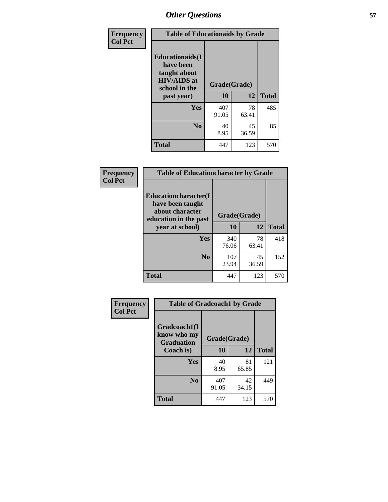| Frequency<br><b>Col Pct</b> | <b>Table of Educationaids by Grade</b>                                                                    |                    |             |              |
|-----------------------------|-----------------------------------------------------------------------------------------------------------|--------------------|-------------|--------------|
|                             | <b>Educationaids</b> (I<br>have been<br>taught about<br><b>HIV/AIDS</b> at<br>school in the<br>past year) | Grade(Grade)<br>10 | 12          | <b>Total</b> |
|                             | <b>Yes</b>                                                                                                | 407<br>91.05       | 78<br>63.41 | 485          |
|                             | N <sub>0</sub>                                                                                            | 40<br>8.95         | 45<br>36.59 | 85           |
|                             | <b>Total</b>                                                                                              | 447                | 123         | 570          |

| Frequency      | <b>Table of Educationcharacter by Grade</b>                 |              |       |              |  |
|----------------|-------------------------------------------------------------|--------------|-------|--------------|--|
| <b>Col Pct</b> | Educationcharacter(I<br>have been taught<br>about character |              |       |              |  |
|                | education in the past                                       | Grade(Grade) |       |              |  |
|                | year at school)                                             | 10           | 12    | <b>Total</b> |  |
|                | Yes                                                         | 340          | 78    | 418          |  |
|                |                                                             | 76.06        | 63.41 |              |  |
|                | N <sub>0</sub>                                              | 107          | 45    | 152          |  |
|                |                                                             | 23.94        | 36.59 |              |  |
|                | <b>Total</b>                                                | 447          | 123   | 570          |  |

| Frequency      | <b>Table of Gradcoach1 by Grade</b> |              |             |              |
|----------------|-------------------------------------|--------------|-------------|--------------|
| <b>Col Pct</b> | Gradcoach1(I                        |              |             |              |
|                | know who my<br><b>Graduation</b>    | Grade(Grade) |             |              |
|                | Coach is)                           | 10           | 12          | <b>Total</b> |
|                | <b>Yes</b>                          | 40<br>8.95   | 81<br>65.85 | 121          |
|                | N <sub>0</sub>                      | 407<br>91.05 | 42<br>34.15 | 449          |
|                | <b>Total</b>                        | 447          | 123         | 570          |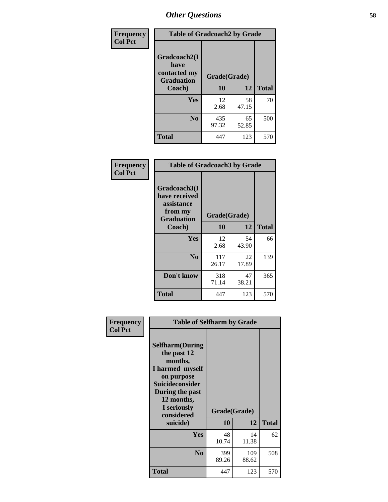| Frequency      | <b>Table of Gradcoach2 by Grade</b>         |              |             |              |
|----------------|---------------------------------------------|--------------|-------------|--------------|
| <b>Col Pct</b> | Gradcoach2(I<br>have                        |              |             |              |
|                | contacted my<br><b>Graduation</b><br>Coach) | Grade(Grade) |             |              |
|                |                                             | 10           | 12          | <b>Total</b> |
|                | Yes                                         | 12<br>2.68   | 58<br>47.15 | 70           |
|                | N <sub>0</sub>                              | 435<br>97.32 | 65<br>52.85 | 500          |
|                | <b>Total</b>                                | 447          | 123         | 570          |

| <b>Frequency</b><br><b>Col Pct</b> | <b>Table of Gradcoach3 by Grade</b>                    |              |             |              |
|------------------------------------|--------------------------------------------------------|--------------|-------------|--------------|
|                                    | Gradcoach3(I<br>have received<br>assistance<br>from my | Grade(Grade) |             |              |
|                                    | <b>Graduation</b><br>Coach)                            | 10           | 12          | <b>Total</b> |
|                                    | Yes                                                    | 12<br>2.68   | 54<br>43.90 | 66           |
|                                    | N <sub>0</sub>                                         | 117<br>26.17 | 22<br>17.89 | 139          |
|                                    | Don't know                                             | 318<br>71.14 | 47<br>38.21 | 365          |
|                                    | <b>Total</b>                                           | 447          | 123         | 570          |

| Frequency<br><b>Col Pct</b> | <b>Table of Selfharm by Grade</b>                                                                                                                                                      |              |                    |              |
|-----------------------------|----------------------------------------------------------------------------------------------------------------------------------------------------------------------------------------|--------------|--------------------|--------------|
|                             | <b>Selfharm</b> (During<br>the past 12<br>months,<br>I harmed myself<br>on purpose<br><b>Suicideconsider</b><br>During the past<br>12 months,<br>I seriously<br>considered<br>suicide) | 10           | Grade(Grade)<br>12 | <b>Total</b> |
|                             | <b>Yes</b>                                                                                                                                                                             | 48<br>10.74  | 14<br>11.38        | 62           |
|                             | N <sub>0</sub>                                                                                                                                                                         | 399<br>89.26 | 109<br>88.62       | 508          |
|                             | <b>Total</b>                                                                                                                                                                           | 447          | 123                | 570          |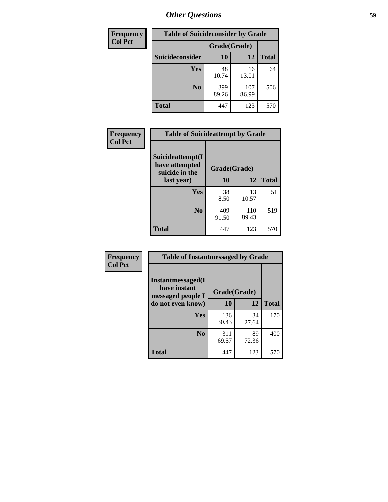| <b>Frequency</b> | <b>Table of Suicideconsider by Grade</b> |              |              |              |
|------------------|------------------------------------------|--------------|--------------|--------------|
| <b>Col Pct</b>   |                                          | Grade(Grade) |              |              |
|                  | <b>Suicideconsider</b>                   | <b>10</b>    | 12           | <b>Total</b> |
|                  | Yes                                      | 48<br>10.74  | 16<br>13.01  | 64           |
|                  | N <sub>0</sub>                           | 399<br>89.26 | 107<br>86.99 | 506          |
|                  | Total                                    | 447          | 123          | 570          |

| Frequency      | <b>Table of Suicideattempt by Grade</b>              |              |              |              |
|----------------|------------------------------------------------------|--------------|--------------|--------------|
| <b>Col Pct</b> | Suicideattempt(I<br>have attempted<br>suicide in the | Grade(Grade) |              |              |
|                | last year)                                           | 10           | 12           | <b>Total</b> |
|                | Yes                                                  | 38<br>8.50   | 13<br>10.57  | 51           |
|                | $\bf No$                                             | 409<br>91.50 | 110<br>89.43 | 519          |
|                | <b>Total</b>                                         | 447          | 123          | 570          |

| Frequency      | <b>Table of Instantmessaged by Grade</b>               |              |             |              |
|----------------|--------------------------------------------------------|--------------|-------------|--------------|
| <b>Col Pct</b> | Instantmessaged(I<br>have instant<br>messaged people I | Grade(Grade) |             |              |
|                | do not even know)                                      | 10           | 12          | <b>Total</b> |
|                | Yes                                                    | 136<br>30.43 | 34<br>27.64 | 170          |
|                | N <sub>0</sub>                                         | 311<br>69.57 | 89<br>72.36 | 400          |
|                | <b>Total</b>                                           | 447          | 123         | 570          |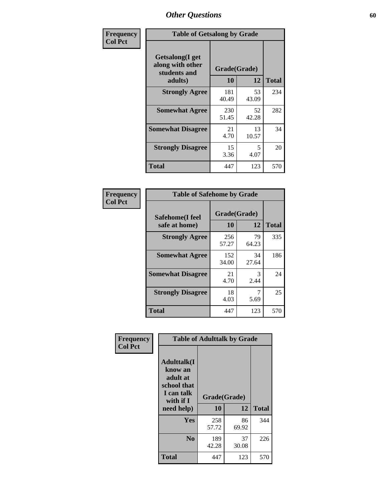| Frequency      | <b>Table of Getsalong by Grade</b>                          |              |             |              |  |  |  |  |
|----------------|-------------------------------------------------------------|--------------|-------------|--------------|--|--|--|--|
| <b>Col Pct</b> | <b>Getsalong</b> (I get<br>along with other<br>students and | Grade(Grade) |             |              |  |  |  |  |
|                | adults)                                                     | 10           | 12          | <b>Total</b> |  |  |  |  |
|                | <b>Strongly Agree</b>                                       | 181<br>40.49 | 53<br>43.09 | 234          |  |  |  |  |
|                | <b>Somewhat Agree</b>                                       | 230<br>51.45 | 52<br>42.28 | 282          |  |  |  |  |
|                | <b>Somewhat Disagree</b>                                    | 21<br>4.70   | 13<br>10.57 | 34           |  |  |  |  |
|                | <b>Strongly Disagree</b>                                    | 15<br>3.36   | 5<br>4.07   | 20           |  |  |  |  |
|                | Total                                                       | 447          | 123         | 570          |  |  |  |  |

| Frequency |  |
|-----------|--|
| Col Pct   |  |
|           |  |

| <b>Table of Safehome by Grade</b> |                    |              |     |  |  |  |  |  |  |  |
|-----------------------------------|--------------------|--------------|-----|--|--|--|--|--|--|--|
| Safehome(I feel<br>safe at home)  | Grade(Grade)<br>10 | <b>Total</b> |     |  |  |  |  |  |  |  |
| <b>Strongly Agree</b>             | 256<br>57.27       | 79<br>64.23  | 335 |  |  |  |  |  |  |  |
| <b>Somewhat Agree</b>             | 152<br>34.00       | 34<br>27.64  | 186 |  |  |  |  |  |  |  |
| <b>Somewhat Disagree</b>          | 21<br>4.70         | 3<br>2.44    | 24  |  |  |  |  |  |  |  |
| <b>Strongly Disagree</b>          | 18<br>4.03         | 5.69         | 25  |  |  |  |  |  |  |  |
| <b>Total</b>                      | 447                | 123          | 570 |  |  |  |  |  |  |  |

| Frequency      | <b>Table of Adulttalk by Grade</b>                                                   |              |             |              |  |  |  |  |  |
|----------------|--------------------------------------------------------------------------------------|--------------|-------------|--------------|--|--|--|--|--|
| <b>Col Pct</b> | <b>Adulttalk</b> (I<br>know an<br>adult at<br>school that<br>I can talk<br>with if I | Grade(Grade) |             |              |  |  |  |  |  |
|                | need help)                                                                           | 10           | 12          | <b>Total</b> |  |  |  |  |  |
|                | <b>Yes</b>                                                                           | 258<br>57.72 | 86<br>69.92 | 344          |  |  |  |  |  |
|                | N <sub>0</sub>                                                                       | 189<br>42.28 | 37<br>30.08 | 226          |  |  |  |  |  |
|                | <b>Total</b>                                                                         | 447          | 123         | 570          |  |  |  |  |  |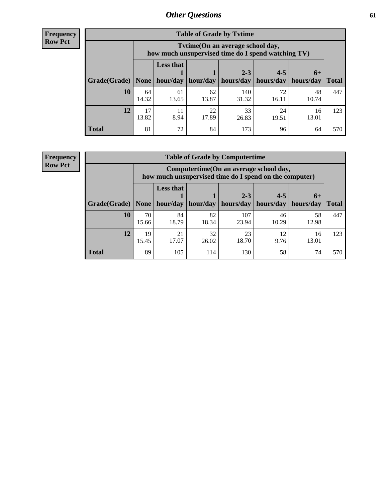**Frequency Row Pct**

| <b>Table of Grade by Tvtime</b> |       |                                                                                        |          |           |                       |       |              |  |  |  |  |  |
|---------------------------------|-------|----------------------------------------------------------------------------------------|----------|-----------|-----------------------|-------|--------------|--|--|--|--|--|
|                                 |       | Tvtime(On an average school day,<br>how much unsupervised time do I spend watching TV) |          |           |                       |       |              |  |  |  |  |  |
|                                 |       | <b>Less that</b>                                                                       |          |           |                       |       |              |  |  |  |  |  |
|                                 |       |                                                                                        |          | $2 - 3$   | $4 - 5$               | $6+$  |              |  |  |  |  |  |
| Grade(Grade)   None             |       | hour/day                                                                               | hour/day | hours/day | hours/day   hours/day |       | <b>Total</b> |  |  |  |  |  |
| 10                              | 64    | 61                                                                                     | 62       | 140       | 72                    | 48    | 447          |  |  |  |  |  |
|                                 | 14.32 | 13.65                                                                                  | 13.87    | 31.32     | 16.11                 | 10.74 |              |  |  |  |  |  |
| 12                              | 17    | 11                                                                                     | 22       | 33        | 24                    | 16    | 123          |  |  |  |  |  |
|                                 | 13.82 | 8.94                                                                                   | 17.89    | 26.83     | 19.51                 | 13.01 |              |  |  |  |  |  |
| <b>Total</b>                    | 81    | 72                                                                                     | 84       | 173       | 96                    | 64    | 570          |  |  |  |  |  |

**Frequency Row Pct**

| <b>Table of Grade by Computertime</b> |             |                                                                                                   |             |                      |                      |                   |              |  |  |  |  |  |
|---------------------------------------|-------------|---------------------------------------------------------------------------------------------------|-------------|----------------------|----------------------|-------------------|--------------|--|--|--|--|--|
|                                       |             | Computertime (On an average school day,<br>how much unsupervised time do I spend on the computer) |             |                      |                      |                   |              |  |  |  |  |  |
| Grade(Grade)                          | None        | <b>Less that</b><br>hour/day                                                                      | hour/day    | $2 - 3$<br>hours/day | $4 - 5$<br>hours/day | $6+$<br>hours/day | <b>Total</b> |  |  |  |  |  |
| 10                                    | 70<br>15.66 | 84<br>18.79                                                                                       | 82<br>18.34 | 107<br>23.94         | 46<br>10.29          | 58<br>12.98       | 447          |  |  |  |  |  |
| 12                                    | 19<br>15.45 | 21<br>17.07                                                                                       | 32<br>26.02 | 23<br>18.70          | 12<br>9.76           | 16<br>13.01       | 123          |  |  |  |  |  |
| <b>Total</b>                          | 89          | 105                                                                                               | 114         | 130                  | 58                   | 74                | 570          |  |  |  |  |  |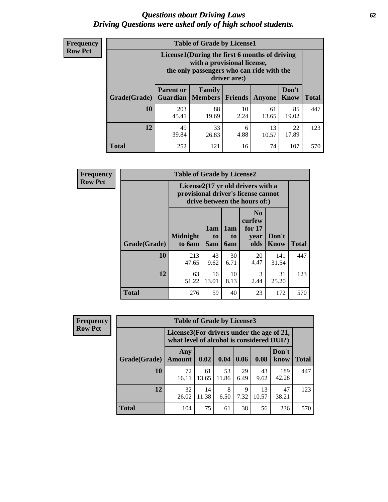#### *Questions about Driving Laws* **62** *Driving Questions were asked only of high school students.*

| <b>Frequency</b> |
|------------------|
| <b>Row Pct</b>   |

| <b>Table of Grade by License1</b> |                                     |                                                                                                                                           |                |             |               |              |  |  |  |  |  |
|-----------------------------------|-------------------------------------|-------------------------------------------------------------------------------------------------------------------------------------------|----------------|-------------|---------------|--------------|--|--|--|--|--|
|                                   |                                     | License1(During the first 6 months of driving<br>with a provisional license,<br>the only passengers who can ride with the<br>driver are:) |                |             |               |              |  |  |  |  |  |
| Grade(Grade)                      | <b>Parent or</b><br><b>Guardian</b> | Family<br><b>Members</b>                                                                                                                  | <b>Friends</b> | Anyone      | Don't<br>Know | <b>Total</b> |  |  |  |  |  |
| 10                                | 203<br>45.41                        | 88<br>19.69                                                                                                                               | 10<br>2.24     | 61<br>13.65 | 85<br>19.02   | 447          |  |  |  |  |  |
| 12                                | 49<br>39.84                         | 33<br>26.83                                                                                                                               | 6<br>4.88      | 13<br>10.57 | 22<br>17.89   | 123          |  |  |  |  |  |
| <b>Total</b>                      | 252                                 | 121                                                                                                                                       | 16             | 74          | 107           | 570          |  |  |  |  |  |

| Frequency      |              | <b>Table of Grade by License2</b>                                                                        |                  |                  |                                                      |                      |              |  |  |  |
|----------------|--------------|----------------------------------------------------------------------------------------------------------|------------------|------------------|------------------------------------------------------|----------------------|--------------|--|--|--|
| <b>Row Pct</b> |              | License2(17 yr old drivers with a<br>provisional driver's license cannot<br>drive between the hours of:) |                  |                  |                                                      |                      |              |  |  |  |
|                | Grade(Grade) | <b>Midnight</b><br>to 6am                                                                                | 1am<br>to<br>5am | 1am<br>to<br>6am | N <sub>0</sub><br>curfew<br>for $17$<br>year<br>olds | Don't<br><b>Know</b> | <b>Total</b> |  |  |  |
|                | 10           | 213<br>47.65                                                                                             | 43<br>9.62       | 30<br>6.71       | 20<br>4.47                                           | 141<br>31.54         | 447          |  |  |  |
|                | 12           | 63<br>51.22                                                                                              | 16<br>13.01      | 10<br>8.13       | 3<br>2.44                                            | 31<br>25.20          | 123          |  |  |  |
|                | <b>Total</b> | 276                                                                                                      | 59               | 40               | 23                                                   | 172                  | 570          |  |  |  |

| Frequency      | <b>Table of Grade by License3</b> |                                                                                        |             |             |            |             |               |              |  |
|----------------|-----------------------------------|----------------------------------------------------------------------------------------|-------------|-------------|------------|-------------|---------------|--------------|--|
| <b>Row Pct</b> |                                   | License3(For drivers under the age of 21,<br>what level of alcohol is considered DUI?) |             |             |            |             |               |              |  |
|                | Grade(Grade)                      | Any<br><b>Amount</b>                                                                   | 0.02        | 0.04        | 0.06       | 0.08        | Don't<br>know | <b>Total</b> |  |
|                | 10                                | 72<br>16.11                                                                            | 61<br>13.65 | 53<br>11.86 | 29<br>6.49 | 43<br>9.62  | 189<br>42.28  | 447          |  |
|                | 12                                | 32<br>26.02                                                                            | 14<br>11.38 | 8<br>6.50   | 9<br>7.32  | 13<br>10.57 | 47<br>38.21   | 123          |  |
|                | <b>Total</b>                      | 104                                                                                    | 75          | 61          | 38         | 56          | 236           | 570          |  |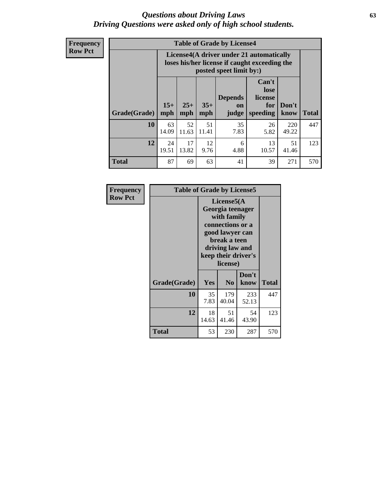#### *Questions about Driving Laws* **63** *Driving Questions were asked only of high school students.*

**Frequency Row Pct**

| <b>Table of Grade by License4</b> |                                                                                                                                               |                                                                                                                      |             |            |             |              |     |  |  |  |  |
|-----------------------------------|-----------------------------------------------------------------------------------------------------------------------------------------------|----------------------------------------------------------------------------------------------------------------------|-------------|------------|-------------|--------------|-----|--|--|--|--|
|                                   |                                                                                                                                               | License4(A driver under 21 automatically<br>loses his/her license if caught exceeding the<br>posted speet limit by:) |             |            |             |              |     |  |  |  |  |
| Grade(Grade)                      | Can't<br>lose<br><b>Depends</b><br>license<br>$15+$<br>$25+$<br>$35+$<br>Don't<br>for<br>on<br>mph<br>speeding<br>mph<br>mph<br>know<br>judge |                                                                                                                      |             |            |             |              |     |  |  |  |  |
| 10                                | 63<br>14.09                                                                                                                                   | 52<br>11.63                                                                                                          | 51<br>11.41 | 35<br>7.83 | 26<br>5.82  | 220<br>49.22 | 447 |  |  |  |  |
| 12                                | 24<br>19.51                                                                                                                                   | 17<br>13.82                                                                                                          | 12<br>9.76  | 6<br>4.88  | 13<br>10.57 | 51<br>41.46  | 123 |  |  |  |  |
| <b>Total</b>                      | 87                                                                                                                                            | 69                                                                                                                   | 63          | 41         | 39          | 271          | 570 |  |  |  |  |

| Frequency      | <b>Table of Grade by License5</b> |                                                                                                                                                             |                |               |       |  |  |
|----------------|-----------------------------------|-------------------------------------------------------------------------------------------------------------------------------------------------------------|----------------|---------------|-------|--|--|
| <b>Row Pct</b> |                                   | License5(A)<br>Georgia teenager<br>with family<br>connections or a<br>good lawyer can<br>break a teen<br>driving law and<br>keep their driver's<br>license) |                |               |       |  |  |
|                | Grade(Grade)                      | <b>Yes</b>                                                                                                                                                  | N <sub>0</sub> | Don't<br>know | Total |  |  |
|                | <b>10</b>                         | 35<br>7.83                                                                                                                                                  | 179<br>40.04   | 233<br>52.13  | 447   |  |  |
|                | 12                                | 18<br>14.63                                                                                                                                                 | 51<br>41.46    | 54<br>43.90   | 123   |  |  |
|                | <b>Total</b>                      | 53                                                                                                                                                          | 230            | 287           | 570   |  |  |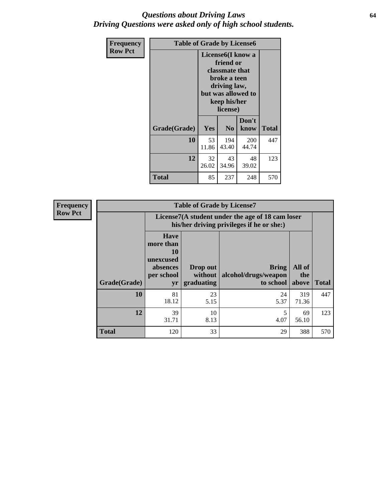#### *Questions about Driving Laws* **64** *Driving Questions were asked only of high school students.*

| <b>Frequency</b> | <b>Table of Grade by License6</b> |                                                                                                                                                 |                |                     |              |
|------------------|-----------------------------------|-------------------------------------------------------------------------------------------------------------------------------------------------|----------------|---------------------|--------------|
| <b>Row Pct</b>   |                                   | License <sub>6</sub> (I know a<br>friend or<br>classmate that<br>broke a teen<br>driving law,<br>but was allowed to<br>keep his/her<br>license) |                |                     |              |
|                  | Grade(Grade)                      | <b>Yes</b>                                                                                                                                      | N <sub>0</sub> | Don't<br>know       | <b>Total</b> |
|                  | 10                                | 53<br>11.86                                                                                                                                     | 194<br>43.40   | <b>200</b><br>44.74 | 447          |
|                  | 12                                | 32<br>26.02                                                                                                                                     | 43<br>34.96    | 48<br>39.02         | 123          |
|                  | <b>Total</b>                      | 85                                                                                                                                              | 237            | 248                 | 570          |

| <b>Frequency</b> |              |                                                                             | <b>Table of Grade by License7</b>                                                             |                                                   |                        |              |  |
|------------------|--------------|-----------------------------------------------------------------------------|-----------------------------------------------------------------------------------------------|---------------------------------------------------|------------------------|--------------|--|
| <b>Row Pct</b>   |              |                                                                             | License7(A student under the age of 18 cam loser<br>his/her driving privileges if he or she:) |                                                   |                        |              |  |
|                  | Grade(Grade) | <b>Have</b><br>more than<br>10<br>unexcused<br>absences<br>per school<br>yr | Drop out<br>without  <br>graduating                                                           | <b>Bring</b><br>alcohol/drugs/weapon<br>to school | All of<br>the<br>above | <b>Total</b> |  |
|                  | 10           | 81<br>18.12                                                                 | 23<br>5.15                                                                                    | 24<br>5.37                                        | 319<br>71.36           | 447          |  |
|                  | 12           | 39<br>31.71                                                                 | 10<br>8.13                                                                                    | 4.07                                              | 69<br>56.10            | 123          |  |
|                  | <b>Total</b> | 120                                                                         | 33                                                                                            | 29                                                | 388                    | 570          |  |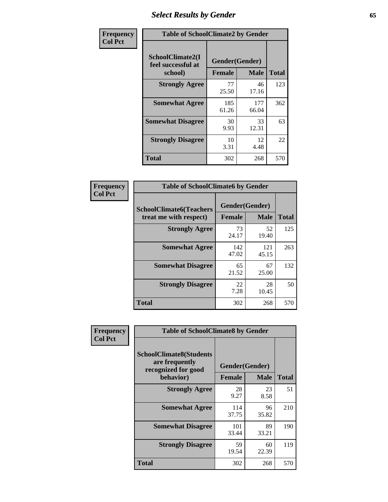## *Select Results by Gender* **65**

| Frequency      | <b>Table of SchoolClimate2 by Gender</b>          |                                 |              |              |
|----------------|---------------------------------------------------|---------------------------------|--------------|--------------|
| <b>Col Pct</b> | SchoolClimate2(I<br>feel successful at<br>school) | Gender(Gender)<br><b>Female</b> | <b>Male</b>  | <b>Total</b> |
|                | <b>Strongly Agree</b>                             | 77<br>25.50                     | 46<br>17.16  | 123          |
|                | <b>Somewhat Agree</b>                             | 185<br>61.26                    | 177<br>66.04 | 362          |
|                | <b>Somewhat Disagree</b>                          | 30<br>9.93                      | 33<br>12.31  | 63           |
|                | <b>Strongly Disagree</b>                          | 10<br>3.31                      | 12<br>4.48   | 22           |
|                | <b>Total</b>                                      | 302                             | 268          | 570          |

| Frequency      | <b>Table of SchoolClimate6 by Gender</b>                 |                                                |              |              |  |
|----------------|----------------------------------------------------------|------------------------------------------------|--------------|--------------|--|
| <b>Col Pct</b> | <b>SchoolClimate6(Teachers</b><br>treat me with respect) | Gender(Gender)<br><b>Male</b><br><b>Female</b> |              | <b>Total</b> |  |
|                | <b>Strongly Agree</b>                                    | 73<br>24.17                                    | 52<br>19.40  | 125          |  |
|                | <b>Somewhat Agree</b>                                    | 142<br>47.02                                   | 121<br>45.15 | 263          |  |
|                | <b>Somewhat Disagree</b>                                 | 65<br>21.52                                    | 67<br>25.00  | 132          |  |
|                | <b>Strongly Disagree</b>                                 | 22<br>7.28                                     | 28<br>10.45  | 50           |  |
|                | <b>Total</b>                                             | 302                                            | 268          | 570          |  |

| Frequency      | <b>Table of SchoolClimate8 by Gender</b>                                             |               |                               |              |  |
|----------------|--------------------------------------------------------------------------------------|---------------|-------------------------------|--------------|--|
| <b>Col Pct</b> | <b>SchoolClimate8(Students</b><br>are frequently<br>recognized for good<br>behavior) | <b>Female</b> | Gender(Gender)<br><b>Male</b> | <b>Total</b> |  |
|                |                                                                                      |               |                               |              |  |
|                | <b>Strongly Agree</b>                                                                | 28<br>9.27    | 23<br>8.58                    | 51           |  |
|                | <b>Somewhat Agree</b>                                                                | 114<br>37.75  | 96<br>35.82                   | 210          |  |
|                | <b>Somewhat Disagree</b>                                                             | 101<br>33.44  | 89<br>33.21                   | 190          |  |
|                | <b>Strongly Disagree</b>                                                             | 59<br>19.54   | 60<br>22.39                   | 119          |  |
|                | Total                                                                                | 302           | 268                           | 570          |  |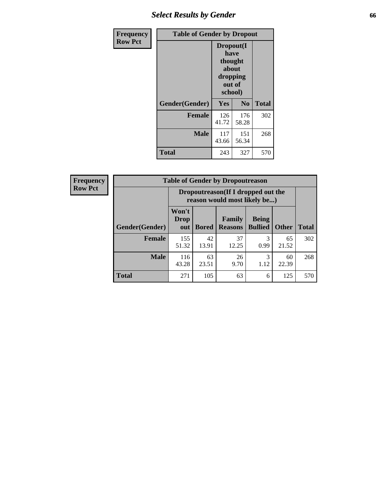## *Select Results by Gender* **66**

| Frequency      | <b>Table of Gender by Dropout</b> |                                                                        |                |              |
|----------------|-----------------------------------|------------------------------------------------------------------------|----------------|--------------|
| <b>Row Pct</b> |                                   | Dropout(I<br>have<br>thought<br>about<br>dropping<br>out of<br>school) |                |              |
|                | Gender(Gender)                    | Yes                                                                    | N <sub>0</sub> | <b>Total</b> |
|                | <b>Female</b>                     | 126<br>41.72                                                           | 176<br>58.28   | 302          |
|                | <b>Male</b>                       | 117<br>43.66                                                           | 151<br>56.34   | 268          |
|                | <b>Total</b>                      | 243                                                                    | 327            | 570          |

| Frequency      | <b>Table of Gender by Dropoutreason</b> |                             |              |                                                                    |                                |              |              |  |
|----------------|-----------------------------------------|-----------------------------|--------------|--------------------------------------------------------------------|--------------------------------|--------------|--------------|--|
| <b>Row Pct</b> |                                         |                             |              | Dropoutreason(If I dropped out the<br>reason would most likely be) |                                |              |              |  |
|                | <b>Gender</b> (Gender)                  | Won't<br><b>Drop</b><br>out | <b>Bored</b> | Family<br><b>Reasons</b>                                           | <b>Being</b><br><b>Bullied</b> | <b>Other</b> | <b>Total</b> |  |
|                | Female                                  | 155<br>51.32                | 42<br>13.91  | 37<br>12.25                                                        | 3<br>0.99                      | 65<br>21.52  | 302          |  |
|                | <b>Male</b>                             | 116<br>43.28                | 63<br>23.51  | 26<br>9.70                                                         | 3<br>1.12                      | 60<br>22.39  | 268          |  |
|                | <b>Total</b>                            | 271                         | 105          | 63                                                                 | 6                              | 125          | 570          |  |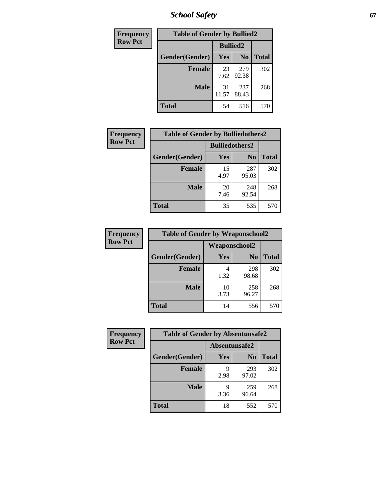*School Safety* **67**

| Frequency      | <b>Table of Gender by Bullied2</b> |                 |                |              |
|----------------|------------------------------------|-----------------|----------------|--------------|
| <b>Row Pct</b> |                                    | <b>Bullied2</b> |                |              |
|                | Gender(Gender)                     | Yes             | N <sub>0</sub> | <b>Total</b> |
|                | <b>Female</b>                      | 23<br>7.62      | 279<br>92.38   | 302          |
|                | <b>Male</b>                        | 31<br>11.57     | 237<br>88.43   | 268          |
|                | <b>Total</b>                       | 54              | 516            | 570          |

| <b>Frequency</b> | <b>Table of Gender by Bulliedothers2</b> |                       |                |              |  |  |
|------------------|------------------------------------------|-----------------------|----------------|--------------|--|--|
| <b>Row Pct</b>   |                                          | <b>Bulliedothers2</b> |                |              |  |  |
|                  | Gender(Gender)                           | Yes                   | N <sub>0</sub> | <b>Total</b> |  |  |
|                  | <b>Female</b>                            | 15<br>4.97            | 287<br>95.03   | 302          |  |  |
|                  | <b>Male</b>                              | 20<br>7.46            | 248<br>92.54   | 268          |  |  |
|                  | Total                                    | 35                    | 535            | 570          |  |  |

| Frequency      | <b>Table of Gender by Weaponschool2</b> |               |                |              |  |
|----------------|-----------------------------------------|---------------|----------------|--------------|--|
| <b>Row Pct</b> |                                         | Weaponschool2 |                |              |  |
|                | Gender(Gender)                          | <b>Yes</b>    | N <sub>0</sub> | <b>Total</b> |  |
|                | <b>Female</b>                           | 1.32          | 298<br>98.68   | 302          |  |
|                | <b>Male</b>                             | 10<br>3.73    | 258<br>96.27   | 268          |  |
|                | <b>Total</b>                            | 14            | 556            | 570          |  |

| Frequency      | <b>Table of Gender by Absentunsafe2</b> |               |                |              |  |
|----------------|-----------------------------------------|---------------|----------------|--------------|--|
| <b>Row Pct</b> |                                         | Absentunsafe2 |                |              |  |
|                | Gender(Gender)                          | Yes           | N <sub>0</sub> | <b>Total</b> |  |
|                | <b>Female</b>                           | q<br>2.98     | 293<br>97.02   | 302          |  |
|                | <b>Male</b>                             | q<br>3.36     | 259<br>96.64   | 268          |  |
|                | <b>Total</b>                            | 18            | 552            | 570          |  |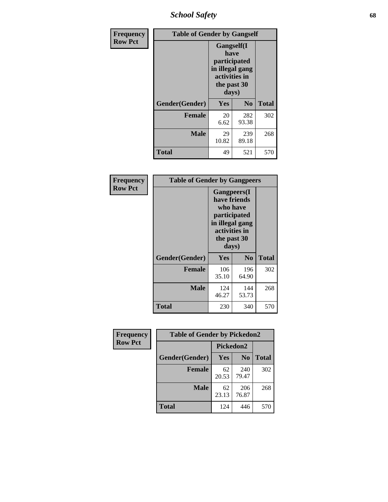*School Safety* **68**

| Frequency      | <b>Table of Gender by Gangself</b> |                                                                                                        |                |              |  |
|----------------|------------------------------------|--------------------------------------------------------------------------------------------------------|----------------|--------------|--|
| <b>Row Pct</b> |                                    | <b>Gangself</b> (I<br>have<br>participated<br>in illegal gang<br>activities in<br>the past 30<br>days) |                |              |  |
|                | Gender(Gender)                     | Yes                                                                                                    | N <sub>0</sub> | <b>Total</b> |  |
|                | <b>Female</b>                      | 20<br>6.62                                                                                             | 282<br>93.38   | 302          |  |
|                | <b>Male</b>                        | 29<br>10.82                                                                                            | 239<br>89.18   | 268          |  |
|                | <b>Total</b>                       | 49                                                                                                     | 521            | 570          |  |

| Frequency      | <b>Table of Gender by Gangpeers</b> |                                                                                                                             |                |              |
|----------------|-------------------------------------|-----------------------------------------------------------------------------------------------------------------------------|----------------|--------------|
| <b>Row Pct</b> |                                     | <b>Gangpeers</b> (I<br>have friends<br>who have<br>participated<br>in illegal gang<br>activities in<br>the past 30<br>days) |                |              |
|                | Gender(Gender)                      | Yes                                                                                                                         | N <sub>0</sub> | <b>Total</b> |
|                | <b>Female</b>                       | 106<br>35.10                                                                                                                | 196<br>64.90   | 302          |
|                | <b>Male</b>                         | 124<br>46.27                                                                                                                | 144<br>53.73   | 268          |
|                | <b>Total</b>                        | 230                                                                                                                         | 340            | 570          |

| <b>Frequency</b> | <b>Table of Gender by Pickedon2</b> |             |                |              |
|------------------|-------------------------------------|-------------|----------------|--------------|
| <b>Row Pct</b>   |                                     |             | Pickedon2      |              |
|                  | Gender(Gender)                      | Yes         | N <sub>0</sub> | <b>Total</b> |
|                  | <b>Female</b>                       | 62<br>20.53 | 240<br>79.47   | 302          |
|                  | <b>Male</b>                         | 62<br>23.13 | 206<br>76.87   | 268          |
|                  | <b>Total</b>                        | 446<br>124  |                | 570          |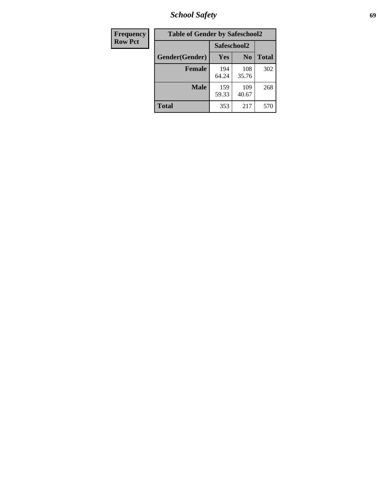*School Safety* **69**

| Frequency      | <b>Table of Gender by Safeschool2</b> |              |                |              |
|----------------|---------------------------------------|--------------|----------------|--------------|
| <b>Row Pct</b> |                                       | Safeschool2  |                |              |
|                | Gender(Gender)                        | <b>Yes</b>   | N <sub>0</sub> | <b>Total</b> |
|                | <b>Female</b>                         | 194<br>64.24 | 108<br>35.76   | 302          |
|                | Male                                  | 159<br>59.33 | 109<br>40.67   | 268          |
|                | <b>Total</b>                          | 353          | 217            | 570          |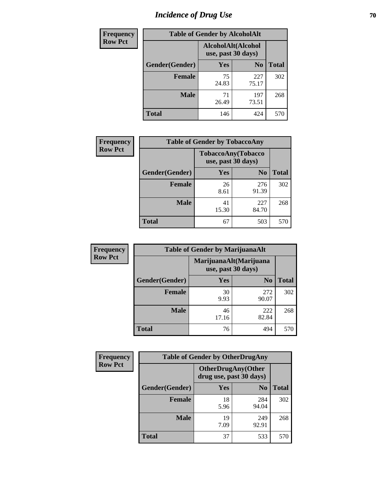# *Incidence of Drug Use* **70**

| <b>Frequency</b> | <b>Table of Gender by AlcoholAlt</b> |                                          |                |              |  |
|------------------|--------------------------------------|------------------------------------------|----------------|--------------|--|
| <b>Row Pct</b>   |                                      | AlcoholAlt(Alcohol<br>use, past 30 days) |                |              |  |
|                  | Gender(Gender)                       | <b>Yes</b>                               | N <sub>0</sub> | <b>Total</b> |  |
|                  | <b>Female</b>                        | 75<br>24.83                              | 227<br>75.17   | 302          |  |
|                  | <b>Male</b>                          | 71<br>26.49                              | 197<br>73.51   | 268          |  |
|                  | <b>Total</b>                         | 146                                      | 424            | 570          |  |

| Frequency      | <b>Table of Gender by TobaccoAny</b> |                                          |                |              |  |
|----------------|--------------------------------------|------------------------------------------|----------------|--------------|--|
| <b>Row Pct</b> |                                      | TobaccoAny(Tobacco<br>use, past 30 days) |                |              |  |
|                | Gender(Gender)                       | Yes                                      | N <sub>0</sub> | <b>Total</b> |  |
|                | <b>Female</b>                        | 26<br>8.61                               | 276<br>91.39   | 302          |  |
|                | <b>Male</b>                          | 41<br>15.30                              | 227<br>84.70   | 268          |  |
|                | <b>Total</b>                         | 67                                       | 503            | 570          |  |

| <b>Frequency</b> | <b>Table of Gender by MarijuanaAlt</b> |             |                                              |              |
|------------------|----------------------------------------|-------------|----------------------------------------------|--------------|
| <b>Row Pct</b>   |                                        |             | MarijuanaAlt(Marijuana<br>use, past 30 days) |              |
|                  | Gender(Gender)                         | <b>Yes</b>  | N <sub>0</sub>                               | <b>Total</b> |
|                  | <b>Female</b>                          | 30<br>9.93  | 272<br>90.07                                 | 302          |
|                  | <b>Male</b>                            | 46<br>17.16 | 222<br>82.84                                 | 268          |
|                  | <b>Total</b>                           | 76          | 494                                          | 570          |

| <b>Frequency</b> | <b>Table of Gender by OtherDrugAny</b> |                                                       |                |              |  |
|------------------|----------------------------------------|-------------------------------------------------------|----------------|--------------|--|
| <b>Row Pct</b>   |                                        | <b>OtherDrugAny</b> (Other<br>drug use, past 30 days) |                |              |  |
|                  | Gender(Gender)                         | <b>Yes</b>                                            | N <sub>0</sub> | <b>Total</b> |  |
|                  | <b>Female</b>                          | 18<br>5.96                                            | 284<br>94.04   | 302          |  |
|                  | <b>Male</b>                            | 19<br>7.09                                            | 249<br>92.91   | 268          |  |
|                  | <b>Total</b>                           | 37                                                    | 533            | 570          |  |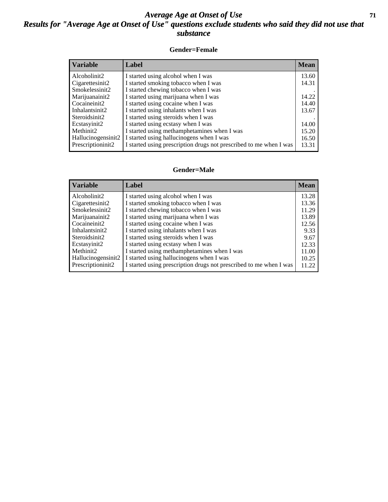#### *Average Age at Onset of Use* **71** *Results for "Average Age at Onset of Use" questions exclude students who said they did not use that substance*

#### **Gender=Female**

| <b>Variable</b>    | <b>Label</b>                                                       | <b>Mean</b> |
|--------------------|--------------------------------------------------------------------|-------------|
| Alcoholinit2       | I started using alcohol when I was                                 | 13.60       |
| Cigarettesinit2    | I started smoking tobacco when I was                               | 14.31       |
| Smokelessinit2     | I started chewing tobacco when I was                               |             |
| Marijuanainit2     | I started using marijuana when I was                               | 14.22       |
| Cocaineinit2       | I started using cocaine when I was                                 | 14.40       |
| Inhalantsinit2     | I started using inhalants when I was                               | 13.67       |
| Steroidsinit2      | I started using steroids when I was                                |             |
| Ecstasyinit2       | I started using ecstasy when I was                                 | 14.00       |
| Methinit2          | I started using methamphetamines when I was                        | 15.20       |
| Hallucinogensinit2 | I started using hallucinogens when I was                           | 16.50       |
| Prescription in t2 | I started using prescription drugs not prescribed to me when I was | 13.31       |

#### **Gender=Male**

| <b>Variable</b>    | Label                                                              | <b>Mean</b> |
|--------------------|--------------------------------------------------------------------|-------------|
| Alcoholinit2       | I started using alcohol when I was                                 | 13.28       |
| Cigarettesinit2    | I started smoking tobacco when I was                               | 13.36       |
| Smokelessinit2     | I started chewing tobacco when I was                               | 11.29       |
| Marijuanainit2     | I started using marijuana when I was                               | 13.89       |
| Cocaineinit2       | I started using cocaine when I was                                 | 12.56       |
| Inhalantsinit2     | I started using inhalants when I was                               | 9.33        |
| Steroidsinit2      | I started using steroids when I was                                | 9.67        |
| Ecstasyinit2       | I started using ecstasy when I was                                 | 12.33       |
| Methinit2          | I started using methamphetamines when I was                        | 11.00       |
| Hallucinogensinit2 | I started using hallucinogens when I was                           | 10.25       |
| Prescriptioninit2  | I started using prescription drugs not prescribed to me when I was | 11.22       |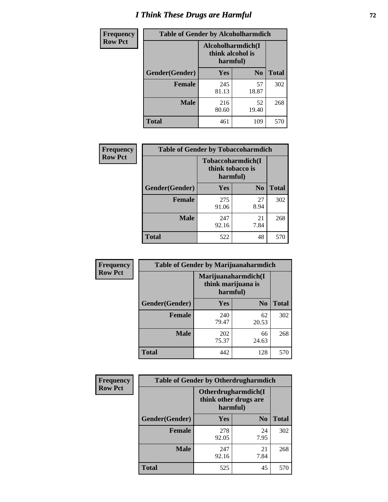# *I Think These Drugs are Harmful* **72**

| <b>Frequency</b> | <b>Table of Gender by Alcoholharmdich</b> |                                                   |                |              |
|------------------|-------------------------------------------|---------------------------------------------------|----------------|--------------|
| <b>Row Pct</b>   |                                           | Alcoholharmdich(I<br>think alcohol is<br>harmful) |                |              |
|                  | Gender(Gender)                            | Yes                                               | N <sub>0</sub> | <b>Total</b> |
|                  | <b>Female</b>                             | 245<br>81.13                                      | 57<br>18.87    | 302          |
|                  | <b>Male</b>                               | 216<br>80.60                                      | 52<br>19.40    | 268          |
|                  | <b>Total</b>                              | 461                                               | 109            | 570          |

| Frequency      | <b>Table of Gender by Tobaccoharmdich</b> |                  |                               |              |
|----------------|-------------------------------------------|------------------|-------------------------------|--------------|
| <b>Row Pct</b> |                                           | think tobacco is | Tobaccoharmdich(I<br>harmful) |              |
|                | Gender(Gender)                            | <b>Yes</b>       | N <sub>0</sub>                | <b>Total</b> |
|                | <b>Female</b>                             | 275<br>91.06     | 27<br>8.94                    | 302          |
|                | <b>Male</b>                               | 247<br>92.16     | 21<br>7.84                    | 268          |
|                | <b>Total</b>                              | 522              | 48                            | 570          |

| Frequency      | <b>Table of Gender by Marijuanaharmdich</b> |                                                       |                |              |  |
|----------------|---------------------------------------------|-------------------------------------------------------|----------------|--------------|--|
| <b>Row Pct</b> |                                             | Marijuanaharmdich(I<br>think marijuana is<br>harmful) |                |              |  |
|                | Gender(Gender)                              | <b>Yes</b>                                            | N <sub>0</sub> | <b>Total</b> |  |
|                | <b>Female</b>                               | 240<br>79.47                                          | 62<br>20.53    | 302          |  |
|                | <b>Male</b>                                 | 202<br>75.37                                          | 66<br>24.63    | 268          |  |
|                | <b>Total</b>                                | 442                                                   | 128            | 570          |  |

| Frequency      | <b>Table of Gender by Otherdrugharmdich</b> |                                                          |                |              |
|----------------|---------------------------------------------|----------------------------------------------------------|----------------|--------------|
| <b>Row Pct</b> |                                             | Otherdrugharmdich(I<br>think other drugs are<br>harmful) |                |              |
|                | Gender(Gender)                              | <b>Yes</b>                                               | N <sub>0</sub> | <b>Total</b> |
|                | <b>Female</b>                               | 278<br>92.05                                             | 24<br>7.95     | 302          |
|                | <b>Male</b>                                 | 247<br>92.16                                             | 21<br>7.84     | 268          |
|                | <b>Total</b>                                | 525                                                      | 45             | 570          |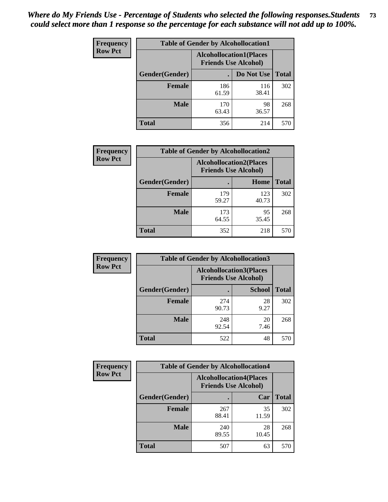| <b>Frequency</b> | <b>Table of Gender by Alcohollocation1</b> |                                                               |              |              |
|------------------|--------------------------------------------|---------------------------------------------------------------|--------------|--------------|
| <b>Row Pct</b>   |                                            | <b>Alcohollocation1(Places</b><br><b>Friends Use Alcohol)</b> |              |              |
|                  | Gender(Gender)                             |                                                               | Do Not Use   | <b>Total</b> |
|                  | <b>Female</b>                              | 186<br>61.59                                                  | 116<br>38.41 | 302          |
|                  | <b>Male</b>                                | 170<br>63.43                                                  | 98<br>36.57  | 268          |
|                  | <b>Total</b>                               | 356                                                           | 214          | 570          |

| <b>Frequency</b> | <b>Table of Gender by Alcohollocation2</b> |                                                               |              |              |
|------------------|--------------------------------------------|---------------------------------------------------------------|--------------|--------------|
| <b>Row Pct</b>   |                                            | <b>Alcohollocation2(Places</b><br><b>Friends Use Alcohol)</b> |              |              |
|                  | Gender(Gender)                             |                                                               | Home         | <b>Total</b> |
|                  | <b>Female</b>                              | 179<br>59.27                                                  | 123<br>40.73 | 302          |
|                  | <b>Male</b>                                | 173<br>64.55                                                  | 95<br>35.45  | 268          |
|                  | <b>Total</b>                               | 352                                                           | 218          | 570          |

| Frequency      | <b>Table of Gender by Alcohollocation3</b> |                                                               |               |              |
|----------------|--------------------------------------------|---------------------------------------------------------------|---------------|--------------|
| <b>Row Pct</b> |                                            | <b>Alcohollocation3(Places</b><br><b>Friends Use Alcohol)</b> |               |              |
|                | Gender(Gender)                             |                                                               | <b>School</b> | <b>Total</b> |
|                | <b>Female</b>                              | 274<br>90.73                                                  | 28<br>9.27    | 302          |
|                | <b>Male</b>                                | 248<br>92.54                                                  | 20<br>7.46    | 268          |
|                | <b>Total</b>                               | 522                                                           | 48            | 570          |

| Frequency      | <b>Table of Gender by Alcohollocation4</b> |                                                               |             |              |
|----------------|--------------------------------------------|---------------------------------------------------------------|-------------|--------------|
| <b>Row Pct</b> |                                            | <b>Alcohollocation4(Places</b><br><b>Friends Use Alcohol)</b> |             |              |
|                | Gender(Gender)                             |                                                               | Car         | <b>Total</b> |
|                | Female                                     | 267<br>88.41                                                  | 35<br>11.59 | 302          |
|                | <b>Male</b>                                | 240<br>89.55                                                  | 28<br>10.45 | 268          |
|                | <b>Total</b>                               | 507                                                           | 63          | 570          |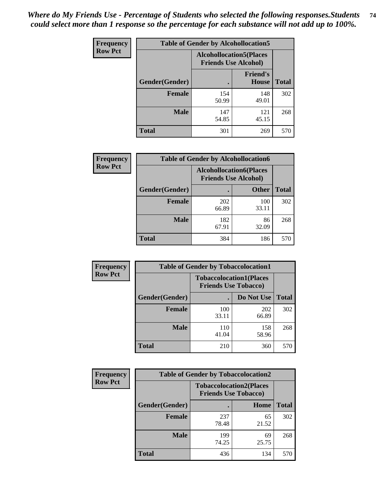| <b>Frequency</b> | <b>Table of Gender by Alcohollocation5</b> |                                 |                             |              |
|------------------|--------------------------------------------|---------------------------------|-----------------------------|--------------|
| <b>Row Pct</b>   |                                            | <b>Alcohollocation5</b> (Places | <b>Friends Use Alcohol)</b> |              |
|                  | Gender(Gender)                             |                                 | <b>Friend's</b><br>House    | <b>Total</b> |
|                  | <b>Female</b>                              | 154<br>50.99                    | 148<br>49.01                | 302          |
|                  | <b>Male</b>                                | 147<br>54.85                    | 121<br>45.15                | 268          |
|                  | <b>Total</b>                               | 301                             | 269                         | 570          |

| Frequency      | <b>Table of Gender by Alcohollocation6</b> |                                                               |              |              |  |
|----------------|--------------------------------------------|---------------------------------------------------------------|--------------|--------------|--|
| <b>Row Pct</b> |                                            | <b>Alcohollocation6(Places</b><br><b>Friends Use Alcohol)</b> |              |              |  |
|                | Gender(Gender)                             |                                                               | <b>Other</b> | <b>Total</b> |  |
|                | <b>Female</b>                              | 202<br>66.89                                                  | 100<br>33.11 | 302          |  |
|                | <b>Male</b>                                | 182<br>67.91                                                  | 86<br>32.09  | 268          |  |
|                | <b>Total</b>                               | 384                                                           | 186          | 570          |  |

| Frequency      | <b>Table of Gender by Tobaccolocation1</b> |                                                               |              |              |  |
|----------------|--------------------------------------------|---------------------------------------------------------------|--------------|--------------|--|
| <b>Row Pct</b> |                                            | <b>Tobaccolocation1(Places</b><br><b>Friends Use Tobacco)</b> |              |              |  |
|                | Gender(Gender)                             |                                                               | Do Not Use   | <b>Total</b> |  |
|                | Female                                     | 100<br>33.11                                                  | 202<br>66.89 | 302          |  |
|                | <b>Male</b>                                | 110<br>41.04                                                  | 158<br>58.96 | 268          |  |
|                | <b>Total</b>                               | 210                                                           | 360          | 570          |  |

| <b>Frequency</b> | <b>Table of Gender by Tobaccolocation2</b> |                                                               |             |              |
|------------------|--------------------------------------------|---------------------------------------------------------------|-------------|--------------|
| <b>Row Pct</b>   |                                            | <b>Tobaccolocation2(Places</b><br><b>Friends Use Tobacco)</b> |             |              |
|                  | Gender(Gender)                             |                                                               | <b>Home</b> | <b>Total</b> |
|                  | Female                                     | 237<br>78.48                                                  | 65<br>21.52 | 302          |
|                  | <b>Male</b>                                | 199<br>74.25                                                  | 69<br>25.75 | 268          |
|                  | <b>Total</b>                               | 436                                                           | 134         | 570          |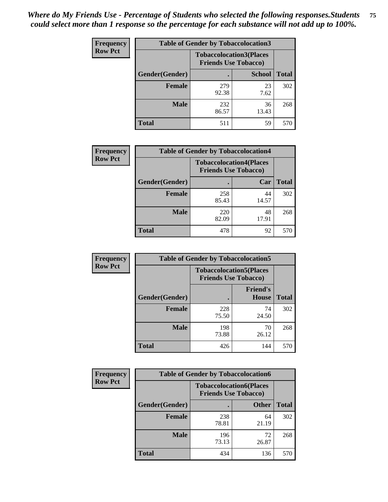| <b>Frequency</b> | <b>Table of Gender by Tobaccolocation3</b> |                                                               |               |              |  |
|------------------|--------------------------------------------|---------------------------------------------------------------|---------------|--------------|--|
| <b>Row Pct</b>   |                                            | <b>Tobaccolocation3(Places</b><br><b>Friends Use Tobacco)</b> |               |              |  |
|                  | Gender(Gender)                             |                                                               | <b>School</b> | <b>Total</b> |  |
|                  | <b>Female</b>                              | 279<br>92.38                                                  | 23<br>7.62    | 302          |  |
|                  | <b>Male</b>                                | 232<br>86.57                                                  | 36<br>13.43   | 268          |  |
|                  | Total                                      | 511                                                           | 59            | 570          |  |

| <b>Frequency</b> | <b>Table of Gender by Tobaccolocation4</b> |                             |                                |              |
|------------------|--------------------------------------------|-----------------------------|--------------------------------|--------------|
| <b>Row Pct</b>   |                                            | <b>Friends Use Tobacco)</b> | <b>Tobaccolocation4(Places</b> |              |
|                  | Gender(Gender)                             |                             | Car                            | <b>Total</b> |
|                  | <b>Female</b>                              | 258<br>85.43                | 44<br>14.57                    | 302          |
|                  | <b>Male</b>                                | 220<br>82.09                | 48<br>17.91                    | 268          |
|                  | <b>Total</b>                               | 478                         | 92                             | 570          |

| <b>Frequency</b> | <b>Table of Gender by Tobaccolocation5</b> |                                                               |                                 |              |
|------------------|--------------------------------------------|---------------------------------------------------------------|---------------------------------|--------------|
| <b>Row Pct</b>   |                                            | <b>Tobaccolocation5(Places</b><br><b>Friends Use Tobacco)</b> |                                 |              |
|                  | Gender(Gender)                             |                                                               | <b>Friend's</b><br><b>House</b> | <b>Total</b> |
|                  | <b>Female</b>                              | 228<br>75.50                                                  | 74<br>24.50                     | 302          |
|                  | <b>Male</b>                                | 198<br>73.88                                                  | 70<br>26.12                     | 268          |
|                  | <b>Total</b>                               | 426                                                           | 144                             | 570          |

| <b>Frequency</b> | <b>Table of Gender by Tobaccolocation6</b> |                                                               |              |              |
|------------------|--------------------------------------------|---------------------------------------------------------------|--------------|--------------|
| <b>Row Pct</b>   |                                            | <b>Tobaccolocation6(Places</b><br><b>Friends Use Tobacco)</b> |              |              |
|                  | Gender(Gender)                             |                                                               | <b>Other</b> | <b>Total</b> |
|                  | Female                                     | 238<br>78.81                                                  | 64<br>21.19  | 302          |
|                  | <b>Male</b>                                | 196<br>73.13                                                  | 72<br>26.87  | 268          |
|                  | <b>Total</b>                               | 434                                                           | 136          | 570          |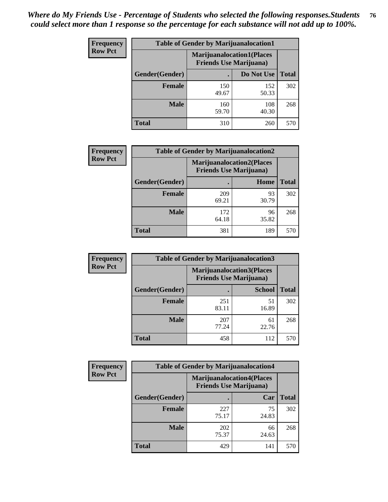| <b>Frequency</b> | <b>Table of Gender by Marijuanalocation1</b> |                                                                    |              |              |
|------------------|----------------------------------------------|--------------------------------------------------------------------|--------------|--------------|
| <b>Row Pct</b>   |                                              | <b>Marijuanalocation1(Places</b><br><b>Friends Use Marijuana</b> ) |              |              |
|                  | Gender(Gender)                               |                                                                    | Do Not Use   | <b>Total</b> |
|                  | <b>Female</b>                                | 150<br>49.67                                                       | 152<br>50.33 | 302          |
|                  | <b>Male</b>                                  | 160<br>59.70                                                       | 108<br>40.30 | 268          |
|                  | <b>Total</b>                                 | 310                                                                | 260          | 570          |

| <b>Frequency</b> | <b>Table of Gender by Marijuanalocation2</b> |                                                                    |             |              |
|------------------|----------------------------------------------|--------------------------------------------------------------------|-------------|--------------|
| <b>Row Pct</b>   |                                              | <b>Marijuanalocation2(Places</b><br><b>Friends Use Marijuana</b> ) |             |              |
|                  | Gender(Gender)                               |                                                                    | Home        | <b>Total</b> |
|                  | <b>Female</b>                                | 209<br>69.21                                                       | 93<br>30.79 | 302          |
|                  | <b>Male</b>                                  | 172<br>64.18                                                       | 96<br>35.82 | 268          |
|                  | <b>Total</b>                                 | 381                                                                | 189         | 570          |

| Frequency      | <b>Table of Gender by Marijuanalocation3</b> |              |                                                                     |              |
|----------------|----------------------------------------------|--------------|---------------------------------------------------------------------|--------------|
| <b>Row Pct</b> |                                              |              | <b>Marijuanalocation3(Places)</b><br><b>Friends Use Marijuana</b> ) |              |
|                | Gender(Gender)                               |              | <b>School</b>                                                       | <b>Total</b> |
|                | Female                                       | 251<br>83.11 | 51<br>16.89                                                         | 302          |
|                | <b>Male</b>                                  | 207<br>77.24 | 61<br>22.76                                                         | 268          |
|                | <b>Total</b>                                 | 458          | 112                                                                 | 570          |

| <b>Frequency</b> | <b>Table of Gender by Marijuanalocation4</b> |                                |                                  |              |
|------------------|----------------------------------------------|--------------------------------|----------------------------------|--------------|
| <b>Row Pct</b>   |                                              | <b>Friends Use Marijuana</b> ) | <b>Marijuanalocation4(Places</b> |              |
|                  | Gender(Gender)                               |                                | Car                              | <b>Total</b> |
|                  | <b>Female</b>                                | 227<br>75.17                   | 75<br>24.83                      | 302          |
|                  | <b>Male</b>                                  | 202<br>75.37                   | 66<br>24.63                      | 268          |
|                  | <b>Total</b>                                 | 429                            | 141                              | 570          |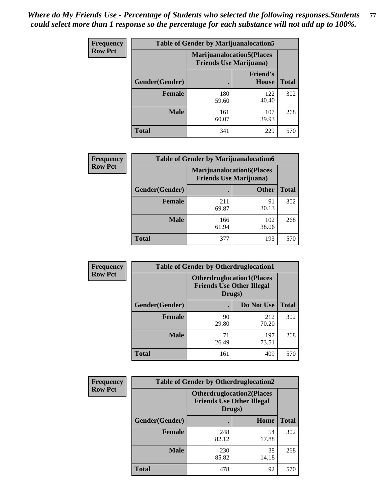| <b>Frequency</b> | <b>Table of Gender by Marijuanalocation5</b> |                                                                     |                                 |              |
|------------------|----------------------------------------------|---------------------------------------------------------------------|---------------------------------|--------------|
| <b>Row Pct</b>   |                                              | <b>Marijuanalocation5</b> (Places<br><b>Friends Use Marijuana</b> ) |                                 |              |
|                  | Gender(Gender)                               |                                                                     | <b>Friend's</b><br><b>House</b> | <b>Total</b> |
|                  | <b>Female</b>                                | 180<br>59.60                                                        | 122<br>40.40                    | 302          |
|                  | <b>Male</b>                                  | 161<br>60.07                                                        | 107<br>39.93                    | 268          |
|                  | <b>Total</b>                                 | 341                                                                 | 229                             | 570          |

| <b>Frequency</b> | <b>Table of Gender by Marijuanalocation6</b> |                                |                                  |              |
|------------------|----------------------------------------------|--------------------------------|----------------------------------|--------------|
| <b>Row Pct</b>   |                                              | <b>Friends Use Marijuana</b> ) | <b>Marijuanalocation6(Places</b> |              |
|                  | <b>Gender</b> (Gender)                       |                                | <b>Other</b>                     | <b>Total</b> |
|                  | <b>Female</b>                                | 211<br>69.87                   | 91<br>30.13                      | 302          |
|                  | <b>Male</b>                                  | 166<br>61.94                   | 102<br>38.06                     | 268          |
|                  | Total                                        | 377                            | 193                              | 570          |

| Frequency      | <b>Table of Gender by Otherdruglocation1</b> |                                                                                |              |              |
|----------------|----------------------------------------------|--------------------------------------------------------------------------------|--------------|--------------|
| <b>Row Pct</b> |                                              | <b>Otherdruglocation1(Places</b><br><b>Friends Use Other Illegal</b><br>Drugs) |              |              |
|                | Gender(Gender)                               |                                                                                | Do Not Use   | <b>Total</b> |
|                | Female                                       | 90<br>29.80                                                                    | 212<br>70.20 | 302          |
|                | <b>Male</b>                                  | 71<br>26.49                                                                    | 197<br>73.51 | 268          |
|                | <b>Total</b>                                 | 161                                                                            | 409          | 570          |

| <b>Frequency</b> | <b>Table of Gender by Otherdruglocation2</b> |                                                                                |             |              |
|------------------|----------------------------------------------|--------------------------------------------------------------------------------|-------------|--------------|
| <b>Row Pct</b>   |                                              | <b>Otherdruglocation2(Places</b><br><b>Friends Use Other Illegal</b><br>Drugs) |             |              |
|                  | Gender(Gender)                               |                                                                                | Home        | <b>Total</b> |
|                  | Female                                       | 248<br>82.12                                                                   | 54<br>17.88 | 302          |
|                  | <b>Male</b>                                  | 230<br>85.82                                                                   | 38<br>14.18 | 268          |
|                  | <b>Total</b>                                 | 478                                                                            | 92          | 570          |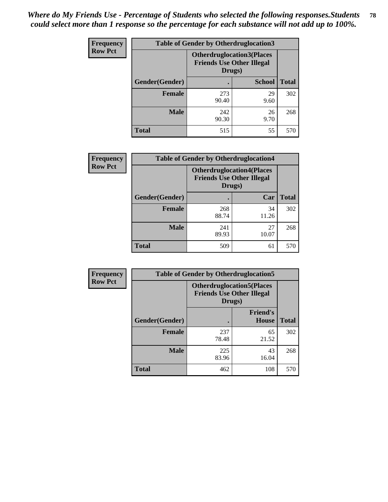| Frequency      | <b>Table of Gender by Otherdruglocation3</b> |                                                                                |               |              |
|----------------|----------------------------------------------|--------------------------------------------------------------------------------|---------------|--------------|
| <b>Row Pct</b> |                                              | <b>Otherdruglocation3(Places</b><br><b>Friends Use Other Illegal</b><br>Drugs) |               |              |
|                | Gender(Gender)                               |                                                                                | <b>School</b> | <b>Total</b> |
|                | <b>Female</b>                                | 273<br>90.40                                                                   | 29<br>9.60    | 302          |
|                | <b>Male</b>                                  | 242<br>90.30                                                                   | 26<br>9.70    | 268          |
|                | <b>Total</b>                                 | 515                                                                            | 55            | 570          |

| <b>Frequency</b> | <b>Table of Gender by Otherdruglocation4</b> |                                                                                |             |              |
|------------------|----------------------------------------------|--------------------------------------------------------------------------------|-------------|--------------|
| <b>Row Pct</b>   |                                              | <b>Otherdruglocation4(Places</b><br><b>Friends Use Other Illegal</b><br>Drugs) |             |              |
|                  | Gender(Gender)                               |                                                                                | Car         | <b>Total</b> |
|                  | Female                                       | 268<br>88.74                                                                   | 34<br>11.26 | 302          |
|                  | <b>Male</b>                                  | 241<br>89.93                                                                   | 27<br>10.07 | 268          |
|                  | <b>Total</b>                                 | 509                                                                            | 61          | 570          |

| Frequency      | <b>Table of Gender by Otherdruglocation5</b> |                                                                                |                                 |              |
|----------------|----------------------------------------------|--------------------------------------------------------------------------------|---------------------------------|--------------|
| <b>Row Pct</b> |                                              | <b>Otherdruglocation5(Places</b><br><b>Friends Use Other Illegal</b><br>Drugs) |                                 |              |
|                | Gender(Gender)                               |                                                                                | <b>Friend's</b><br><b>House</b> | <b>Total</b> |
|                | <b>Female</b>                                | 237<br>78.48                                                                   | 65<br>21.52                     | 302          |
|                | <b>Male</b>                                  | 225<br>83.96                                                                   | 43<br>16.04                     | 268          |
|                | <b>Total</b>                                 | 462                                                                            | 108                             | 570          |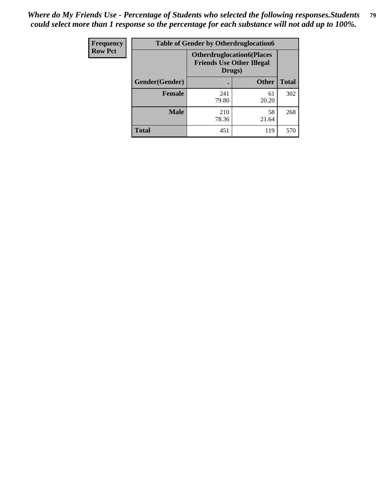| Frequency      | <b>Table of Gender by Otherdruglocation6</b> |                                            |                                  |              |
|----------------|----------------------------------------------|--------------------------------------------|----------------------------------|--------------|
| <b>Row Pct</b> |                                              | <b>Friends Use Other Illegal</b><br>Drugs) | <b>Otherdruglocation6(Places</b> |              |
|                | Gender(Gender)                               |                                            | <b>Other</b>                     | <b>Total</b> |
|                | <b>Female</b>                                | 241<br>79.80                               | 61<br>20.20                      | 302          |
|                | <b>Male</b>                                  | 210<br>78.36                               | 58<br>21.64                      | 268          |
|                | <b>Total</b>                                 | 451                                        | 119                              | 570          |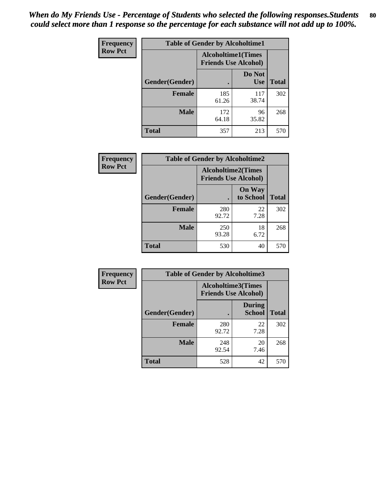| <b>Frequency</b> | <b>Table of Gender by Alcoholtime1</b> |                                                          |                      |              |
|------------------|----------------------------------------|----------------------------------------------------------|----------------------|--------------|
| <b>Row Pct</b>   |                                        | <b>Alcoholtime1(Times</b><br><b>Friends Use Alcohol)</b> |                      |              |
|                  | Gender(Gender)                         | $\bullet$                                                | Do Not<br><b>Use</b> | <b>Total</b> |
|                  | <b>Female</b>                          | 185<br>61.26                                             | 117<br>38.74         | 302          |
|                  | <b>Male</b>                            | 172<br>64.18                                             | 96<br>35.82          | 268          |
|                  | <b>Total</b>                           | 357                                                      | 213                  | 570          |

| <b>Frequency</b> | <b>Table of Gender by Alcoholtime2</b> |                                                          |                            |              |
|------------------|----------------------------------------|----------------------------------------------------------|----------------------------|--------------|
| <b>Row Pct</b>   |                                        | <b>Alcoholtime2(Times</b><br><b>Friends Use Alcohol)</b> |                            |              |
|                  | Gender(Gender)                         |                                                          | <b>On Way</b><br>to School | <b>Total</b> |
|                  | <b>Female</b>                          | 280<br>92.72                                             | 22<br>7.28                 | 302          |
|                  | <b>Male</b>                            | 250<br>93.28                                             | 18<br>6.72                 | 268          |
|                  | <b>Total</b>                           | 530                                                      | 40                         | 570          |

| Frequency      | <b>Table of Gender by Alcoholtime3</b> |                                                          |                         |              |
|----------------|----------------------------------------|----------------------------------------------------------|-------------------------|--------------|
| <b>Row Pct</b> |                                        | <b>Alcoholtime3(Times</b><br><b>Friends Use Alcohol)</b> |                         |              |
|                | Gender(Gender)                         |                                                          | During<br><b>School</b> | <b>Total</b> |
|                | Female                                 | 280<br>92.72                                             | 22<br>7.28              | 302          |
|                | <b>Male</b>                            | 248<br>92.54                                             | 20<br>7.46              | 268          |
|                | <b>Total</b>                           | 528                                                      | 42                      | 570          |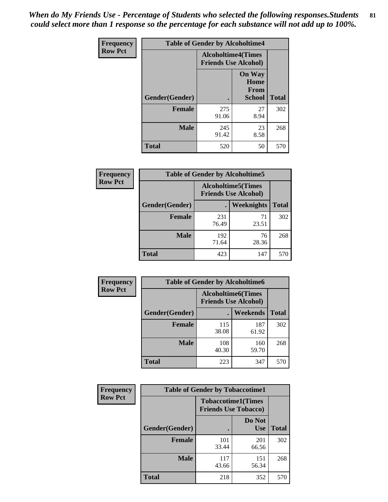*When do My Friends Use - Percentage of Students who selected the following responses.Students could select more than 1 response so the percentage for each substance will not add up to 100%.* **81**

| <b>Frequency</b> | <b>Table of Gender by Alcoholtime4</b> |                                                          |                                                |              |
|------------------|----------------------------------------|----------------------------------------------------------|------------------------------------------------|--------------|
| <b>Row Pct</b>   |                                        | <b>Alcoholtime4(Times</b><br><b>Friends Use Alcohol)</b> |                                                |              |
|                  | Gender(Gender)                         |                                                          | <b>On Way</b><br>Home<br>From<br><b>School</b> | <b>Total</b> |
|                  | <b>Female</b>                          | 275<br>91.06                                             | 27<br>8.94                                     | 302          |
|                  | <b>Male</b>                            | 245<br>91.42                                             | 23<br>8.58                                     | 268          |
|                  | <b>Total</b>                           | 520                                                      | 50                                             | 570          |

| <b>Frequency</b> | <b>Table of Gender by Alcoholtime5</b> |                                                           |             |              |
|------------------|----------------------------------------|-----------------------------------------------------------|-------------|--------------|
| <b>Row Pct</b>   |                                        | <b>Alcoholtime5</b> (Times<br><b>Friends Use Alcohol)</b> |             |              |
|                  | Gender(Gender)                         |                                                           | Weeknights  | <b>Total</b> |
|                  | <b>Female</b>                          | 231<br>76.49                                              | 71<br>23.51 | 302          |
|                  | <b>Male</b>                            | 192<br>71.64                                              | 76<br>28.36 | 268          |
|                  | <b>Total</b>                           | 423                                                       | 147         | 570          |

| <b>Frequency</b> |                | <b>Table of Gender by Alcoholtime6</b> |                                                          |              |
|------------------|----------------|----------------------------------------|----------------------------------------------------------|--------------|
| <b>Row Pct</b>   |                |                                        | <b>Alcoholtime6(Times</b><br><b>Friends Use Alcohol)</b> |              |
|                  | Gender(Gender) |                                        | <b>Weekends</b>                                          | <b>Total</b> |
|                  | Female         | 115<br>38.08                           | 187<br>61.92                                             | 302          |
|                  | <b>Male</b>    | 108<br>40.30                           | 160<br>59.70                                             | 268          |
|                  | <b>Total</b>   | 223                                    | 347                                                      | 570          |

| Frequency      | <b>Table of Gender by Tobaccotime1</b>                   |              |                      |              |
|----------------|----------------------------------------------------------|--------------|----------------------|--------------|
| <b>Row Pct</b> | <b>Tobaccotime1(Times</b><br><b>Friends Use Tobacco)</b> |              |                      |              |
|                | Gender(Gender)                                           |              | Do Not<br><b>Use</b> | <b>Total</b> |
|                | Female                                                   | 101<br>33.44 | 201<br>66.56         | 302          |
|                | <b>Male</b>                                              | 117<br>43.66 | 151<br>56.34         | 268          |
|                | <b>Total</b>                                             | 218          | 352                  | 570          |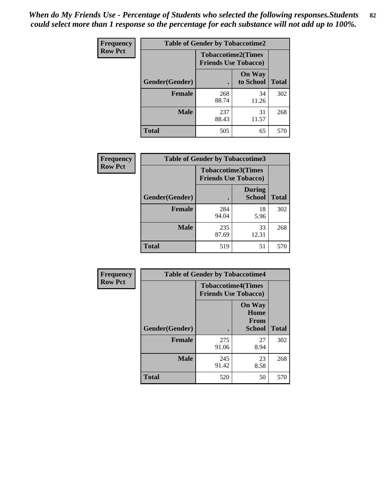| <b>Frequency</b> | <b>Table of Gender by Tobaccotime2</b> |                                                          |                            |              |
|------------------|----------------------------------------|----------------------------------------------------------|----------------------------|--------------|
| <b>Row Pct</b>   |                                        | <b>Tobaccotime2(Times</b><br><b>Friends Use Tobacco)</b> |                            |              |
|                  | Gender(Gender)                         |                                                          | <b>On Way</b><br>to School | <b>Total</b> |
|                  | <b>Female</b>                          | 268<br>88.74                                             | 34<br>11.26                | 302          |
|                  | <b>Male</b>                            | 237<br>88.43                                             | 31<br>11.57                | 268          |
|                  | <b>Total</b>                           | 505                                                      | 65                         | 570          |

| <b>Frequency</b> | <b>Table of Gender by Tobaccotime3</b> |                                                          |                                |              |
|------------------|----------------------------------------|----------------------------------------------------------|--------------------------------|--------------|
| <b>Row Pct</b>   |                                        | <b>Tobaccotime3(Times</b><br><b>Friends Use Tobacco)</b> |                                |              |
|                  | Gender(Gender)                         |                                                          | <b>During</b><br><b>School</b> | <b>Total</b> |
|                  | <b>Female</b>                          | 284<br>94.04                                             | 18<br>5.96                     | 302          |
|                  | <b>Male</b>                            | 235<br>87.69                                             | 33<br>12.31                    | 268          |
|                  | <b>Total</b>                           | 519                                                      | 51                             | 570          |

| <b>Frequency</b> | <b>Table of Gender by Tobaccotime4</b> |                                                          |                                                       |              |
|------------------|----------------------------------------|----------------------------------------------------------|-------------------------------------------------------|--------------|
| <b>Row Pct</b>   |                                        | <b>Tobaccotime4(Times</b><br><b>Friends Use Tobacco)</b> |                                                       |              |
|                  | Gender(Gender)                         |                                                          | <b>On Way</b><br>Home<br><b>From</b><br><b>School</b> | <b>Total</b> |
|                  | <b>Female</b>                          | 275<br>91.06                                             | 27<br>8.94                                            | 302          |
|                  | <b>Male</b>                            | 245<br>91.42                                             | 23<br>8.58                                            | 268          |
|                  | <b>Total</b>                           | 520                                                      | 50                                                    | 570          |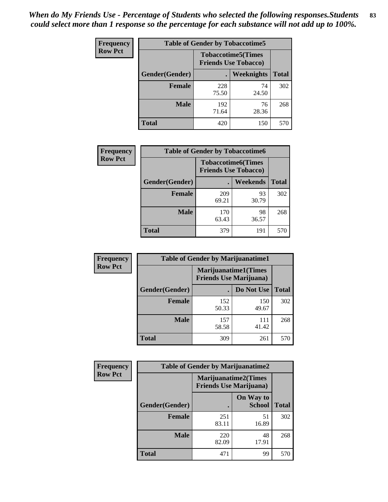| Frequency      | <b>Table of Gender by Tobaccotime5</b> |              |                                                          |              |  |
|----------------|----------------------------------------|--------------|----------------------------------------------------------|--------------|--|
| <b>Row Pct</b> |                                        |              | <b>Tobaccotime5(Times</b><br><b>Friends Use Tobacco)</b> |              |  |
|                | <b>Gender</b> (Gender)                 |              | Weeknights                                               | <b>Total</b> |  |
|                | <b>Female</b>                          | 228<br>75.50 | 74<br>24.50                                              | 302          |  |
|                | <b>Male</b>                            | 192<br>71.64 | 76<br>28.36                                              | 268          |  |
|                | <b>Total</b>                           | 420          | 150                                                      | 570          |  |

| Frequency      | <b>Table of Gender by Tobaccotime6</b> |                                                          |             |              |
|----------------|----------------------------------------|----------------------------------------------------------|-------------|--------------|
| <b>Row Pct</b> |                                        | <b>Tobaccotime6(Times</b><br><b>Friends Use Tobacco)</b> |             |              |
|                | Gender(Gender)                         |                                                          | Weekends    | <b>Total</b> |
|                | Female                                 | 209<br>69.21                                             | 93<br>30.79 | 302          |
|                | <b>Male</b>                            | 170<br>63.43                                             | 98<br>36.57 | 268          |
|                | <b>Total</b>                           | 379                                                      | 191         | 570          |

| <b>Frequency</b> | <b>Table of Gender by Marijuanatime1</b> |                                                               |              |              |  |
|------------------|------------------------------------------|---------------------------------------------------------------|--------------|--------------|--|
| <b>Row Pct</b>   |                                          | <b>Marijuanatime1(Times</b><br><b>Friends Use Marijuana</b> ) |              |              |  |
|                  | Gender(Gender)                           |                                                               | Do Not Use   | <b>Total</b> |  |
|                  | <b>Female</b>                            | 152<br>50.33                                                  | 150<br>49.67 | 302          |  |
|                  | <b>Male</b>                              | 157<br>58.58                                                  | 111<br>41.42 | 268          |  |
|                  | <b>Total</b>                             | 309                                                           | 261          | 570          |  |

| <b>Frequency</b> | <b>Table of Gender by Marijuanatime2</b> |                                                               |                            |              |
|------------------|------------------------------------------|---------------------------------------------------------------|----------------------------|--------------|
| <b>Row Pct</b>   |                                          | <b>Marijuanatime2(Times</b><br><b>Friends Use Marijuana</b> ) |                            |              |
|                  | Gender(Gender)                           |                                                               | On Way to<br><b>School</b> | <b>Total</b> |
|                  | Female                                   | 251<br>83.11                                                  | 51<br>16.89                | 302          |
|                  | <b>Male</b>                              | 220<br>82.09                                                  | 48<br>17.91                | 268          |
|                  | <b>Total</b>                             | 471                                                           | 99                         | 570          |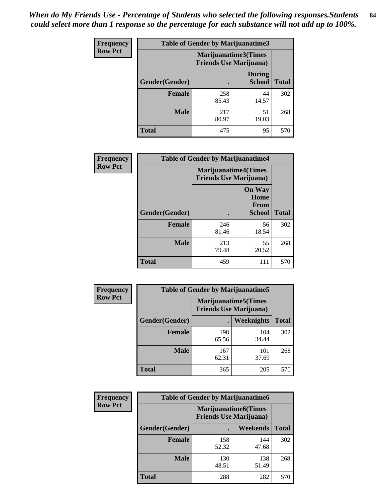*When do My Friends Use - Percentage of Students who selected the following responses.Students could select more than 1 response so the percentage for each substance will not add up to 100%.* **84**

| <b>Frequency</b> | Table of Gender by Marijuanatime3 |                                                        |                                |              |
|------------------|-----------------------------------|--------------------------------------------------------|--------------------------------|--------------|
| <b>Row Pct</b>   |                                   | Marijuanatime3(Times<br><b>Friends Use Marijuana</b> ) |                                |              |
|                  | Gender(Gender)                    |                                                        | <b>During</b><br><b>School</b> | <b>Total</b> |
|                  | <b>Female</b>                     | 258<br>85.43                                           | 44<br>14.57                    | 302          |
|                  | <b>Male</b>                       | 217<br>80.97                                           | 51<br>19.03                    | 268          |
|                  | <b>Total</b>                      | 475                                                    | 95                             | 570          |

| Frequency      | <b>Table of Gender by Marijuanatime4</b> |                                                               |                                                |              |
|----------------|------------------------------------------|---------------------------------------------------------------|------------------------------------------------|--------------|
| <b>Row Pct</b> |                                          | <b>Marijuanatime4(Times</b><br><b>Friends Use Marijuana</b> ) |                                                |              |
|                | Gender(Gender)                           |                                                               | <b>On Way</b><br>Home<br>From<br><b>School</b> | <b>Total</b> |
|                | <b>Female</b>                            | 246<br>81.46                                                  | 56<br>18.54                                    | 302          |
|                | <b>Male</b>                              | 213<br>79.48                                                  | 55<br>20.52                                    | 268          |
|                | <b>Total</b>                             | 459                                                           | 111                                            | 570          |

| Frequency      | <b>Table of Gender by Marijuanatime5</b> |                                                                |              |              |
|----------------|------------------------------------------|----------------------------------------------------------------|--------------|--------------|
| <b>Row Pct</b> |                                          | <b>Marijuanatime5</b> (Times<br><b>Friends Use Marijuana</b> ) |              |              |
|                | Gender(Gender)                           | ٠                                                              | Weeknights   | <b>Total</b> |
|                | <b>Female</b>                            | 198<br>65.56                                                   | 104<br>34.44 | 302          |
|                | <b>Male</b>                              | 167<br>62.31                                                   | 101<br>37.69 | 268          |
|                | <b>Total</b>                             | 365                                                            | 205          | 570          |

| Frequency      | <b>Table of Gender by Marijuanatime6</b> |                                                               |                 |              |  |
|----------------|------------------------------------------|---------------------------------------------------------------|-----------------|--------------|--|
| <b>Row Pct</b> |                                          | <b>Marijuanatime6(Times</b><br><b>Friends Use Marijuana</b> ) |                 |              |  |
|                | Gender(Gender)                           |                                                               | <b>Weekends</b> | <b>Total</b> |  |
|                | <b>Female</b>                            | 158<br>52.32                                                  | 144<br>47.68    | 302          |  |
|                | <b>Male</b>                              | 130<br>48.51                                                  | 138<br>51.49    | 268          |  |
|                | <b>Total</b>                             | 288                                                           | 282             | 570          |  |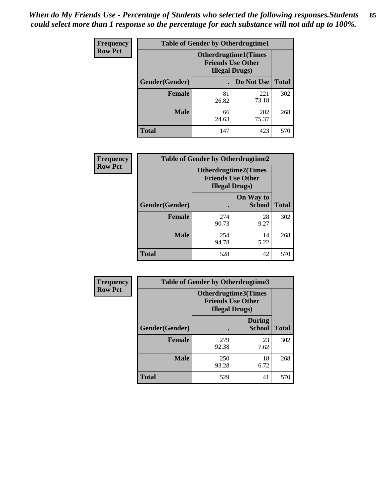*When do My Friends Use - Percentage of Students who selected the following responses.Students could select more than 1 response so the percentage for each substance will not add up to 100%.* **85**

| <b>Frequency</b> | <b>Table of Gender by Otherdrugtime1</b> |                                                                                    |              |              |
|------------------|------------------------------------------|------------------------------------------------------------------------------------|--------------|--------------|
| <b>Row Pct</b>   |                                          | <b>Otherdrugtime1</b> (Times<br><b>Friends Use Other</b><br><b>Illegal Drugs</b> ) |              |              |
|                  | Gender(Gender)                           |                                                                                    | Do Not Use   | <b>Total</b> |
|                  | <b>Female</b>                            | 81<br>26.82                                                                        | 221<br>73.18 | 302          |
|                  | <b>Male</b>                              | 66<br>24.63                                                                        | 202<br>75.37 | 268          |
|                  | <b>Total</b>                             | 147                                                                                | 423          | 570          |

| Frequency      | <b>Table of Gender by Otherdrugtime2</b> |                                                                                   |                            |              |  |
|----------------|------------------------------------------|-----------------------------------------------------------------------------------|----------------------------|--------------|--|
| <b>Row Pct</b> |                                          | <b>Otherdrugtime2(Times</b><br><b>Friends Use Other</b><br><b>Illegal Drugs</b> ) |                            |              |  |
|                | <b>Gender</b> (Gender)                   |                                                                                   | On Way to<br><b>School</b> | <b>Total</b> |  |
|                | <b>Female</b>                            | 274<br>90.73                                                                      | 28<br>9.27                 | 302          |  |
|                | <b>Male</b>                              | 254<br>94.78                                                                      | 14<br>5.22                 | 268          |  |
|                | <b>Total</b>                             | 528                                                                               | 42                         | 570          |  |

| Frequency      |                | <b>Table of Gender by Otherdrugtime3</b>           |                                |              |
|----------------|----------------|----------------------------------------------------|--------------------------------|--------------|
| <b>Row Pct</b> |                | <b>Friends Use Other</b><br><b>Illegal Drugs</b> ) | Otherdrugtime3(Times           |              |
|                | Gender(Gender) |                                                    | <b>During</b><br><b>School</b> | <b>Total</b> |
|                | <b>Female</b>  | 279<br>92.38                                       | 23<br>7.62                     | 302          |
|                | <b>Male</b>    | 250<br>93.28                                       | 18<br>6.72                     | 268          |
|                | <b>Total</b>   | 529                                                | 41                             | 570          |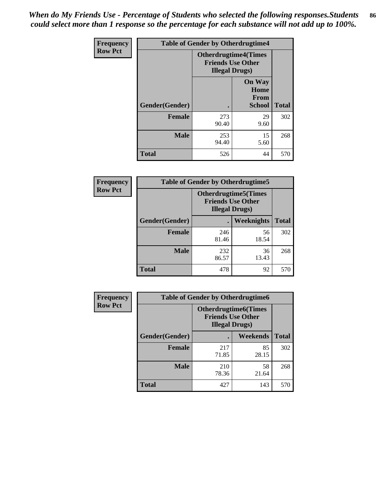*When do My Friends Use - Percentage of Students who selected the following responses.Students could select more than 1 response so the percentage for each substance will not add up to 100%.* **86**

| <b>Frequency</b> | <b>Table of Gender by Otherdrugtime4</b> |                                                    |                                                |              |
|------------------|------------------------------------------|----------------------------------------------------|------------------------------------------------|--------------|
| <b>Row Pct</b>   |                                          | <b>Friends Use Other</b><br><b>Illegal Drugs</b> ) | <b>Otherdrugtime4(Times</b>                    |              |
|                  | Gender(Gender)                           |                                                    | <b>On Way</b><br>Home<br><b>From</b><br>School | <b>Total</b> |
|                  | <b>Female</b>                            | 273<br>90.40                                       | 29<br>9.60                                     | 302          |
|                  | <b>Male</b>                              | 253<br>94.40                                       | 15<br>5.60                                     | 268          |
|                  | <b>Total</b>                             | 526                                                | 44                                             | 570          |

| Frequency      | <b>Table of Gender by Otherdrugtime5</b> |                                                                                    |             |              |
|----------------|------------------------------------------|------------------------------------------------------------------------------------|-------------|--------------|
| <b>Row Pct</b> |                                          | <b>Otherdrugtime5</b> (Times<br><b>Friends Use Other</b><br><b>Illegal Drugs</b> ) |             |              |
|                | Gender(Gender)                           |                                                                                    | Weeknights  | <b>Total</b> |
|                | <b>Female</b>                            | 246<br>81.46                                                                       | 56<br>18.54 | 302          |
|                | <b>Male</b>                              | 232<br>86.57                                                                       | 36<br>13.43 | 268          |
|                | <b>Total</b>                             | 478                                                                                | 92          | 570          |

| <b>Frequency</b> | <b>Table of Gender by Otherdrugtime6</b> |                                                                                   |             |              |
|------------------|------------------------------------------|-----------------------------------------------------------------------------------|-------------|--------------|
| <b>Row Pct</b>   |                                          | <b>Otherdrugtime6(Times</b><br><b>Friends Use Other</b><br><b>Illegal Drugs</b> ) |             |              |
|                  | Gender(Gender)                           |                                                                                   | Weekends    | <b>Total</b> |
|                  | Female                                   | 217<br>71.85                                                                      | 85<br>28.15 | 302          |
|                  | <b>Male</b>                              | 210<br>78.36                                                                      | 58<br>21.64 | 268          |
|                  | <b>Total</b>                             | 427                                                                               | 143         | 570          |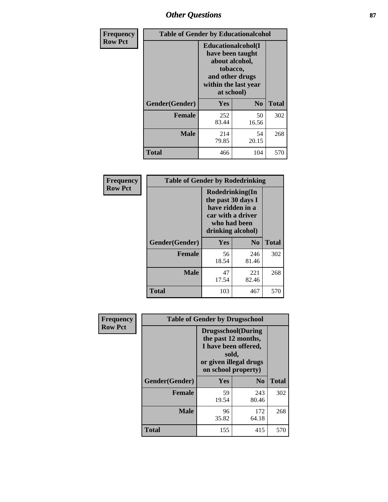# *Other Questions* **87**

| <b>Frequency</b> | <b>Table of Gender by Educationalcohol</b> |                                                                                                                                       |                |              |  |
|------------------|--------------------------------------------|---------------------------------------------------------------------------------------------------------------------------------------|----------------|--------------|--|
| <b>Row Pct</b>   |                                            | <b>Educationalcohol</b> (I<br>have been taught<br>about alcohol,<br>tobacco,<br>and other drugs<br>within the last year<br>at school) |                |              |  |
|                  | Gender(Gender)                             | <b>Yes</b>                                                                                                                            | N <sub>0</sub> | <b>Total</b> |  |
|                  | <b>Female</b>                              | 252<br>83.44                                                                                                                          | 50<br>16.56    | 302          |  |
|                  | <b>Male</b>                                | 214<br>79.85                                                                                                                          | 54<br>20.15    | 268          |  |
|                  | <b>Total</b>                               | 466                                                                                                                                   | 104            | 570          |  |

| Frequency      | <b>Table of Gender by Rodedrinking</b> |                                                                                                                     |              |              |  |
|----------------|----------------------------------------|---------------------------------------------------------------------------------------------------------------------|--------------|--------------|--|
| <b>Row Pct</b> |                                        | Rodedrinking(In<br>the past 30 days I<br>have ridden in a<br>car with a driver<br>who had been<br>drinking alcohol) |              |              |  |
|                | Gender(Gender)                         | Yes                                                                                                                 | $\bf No$     | <b>Total</b> |  |
|                | <b>Female</b>                          | 56<br>18.54                                                                                                         | 246<br>81.46 | 302          |  |
|                | <b>Male</b>                            | 47<br>17.54                                                                                                         | 221<br>82.46 | 268          |  |
|                | <b>Total</b>                           | 103                                                                                                                 | 467          | 570          |  |

| Frequency      | <b>Table of Gender by Drugsschool</b> |                                                                                                                                     |                |              |  |
|----------------|---------------------------------------|-------------------------------------------------------------------------------------------------------------------------------------|----------------|--------------|--|
| <b>Row Pct</b> |                                       | <b>Drugsschool</b> (During<br>the past 12 months,<br>I have been offered,<br>sold,<br>or given illegal drugs<br>on school property) |                |              |  |
|                | Gender(Gender)                        | Yes                                                                                                                                 | N <sub>0</sub> | <b>Total</b> |  |
|                | <b>Female</b>                         | 59<br>19.54                                                                                                                         | 243<br>80.46   | 302          |  |
|                | <b>Male</b>                           | 96<br>35.82                                                                                                                         | 172<br>64.18   | 268          |  |
|                | <b>Total</b>                          | 155                                                                                                                                 | 415            | 570          |  |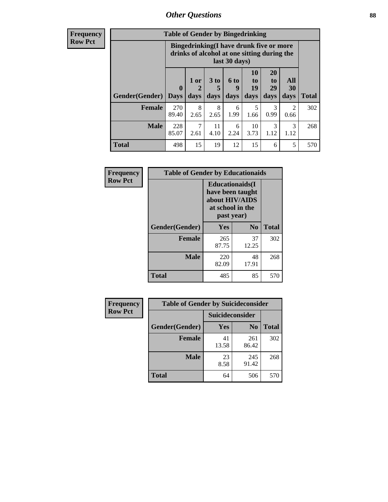# *Other Questions* **88**

**Frequency Row Pct**

| <b>Table of Gender by Bingedrinking</b> |              |                                                                                                         |                   |                   |                        |                               |                          |              |
|-----------------------------------------|--------------|---------------------------------------------------------------------------------------------------------|-------------------|-------------------|------------------------|-------------------------------|--------------------------|--------------|
|                                         |              | Bingedrinking(I have drunk five or more<br>drinks of alcohol at one sitting during the<br>last 30 days) |                   |                   |                        |                               |                          |              |
| <b>Gender</b> (Gender)   Days           | $\mathbf 0$  | 1 or<br>days                                                                                            | 3 to<br>5<br>days | 6 to<br>q<br>days | 10<br>to<br>19<br>days | <b>20</b><br>to<br>29<br>days | All<br><b>30</b><br>days | <b>Total</b> |
| <b>Female</b>                           | 270<br>89.40 | 8<br>2.65                                                                                               | 8<br>2.65         | 6<br>1.99         | 5<br>1.66              | 3<br>0.99                     | $\mathfrak{D}$<br>0.66   | 302          |
| <b>Male</b>                             | 228<br>85.07 | 7<br>2.61                                                                                               | 11<br>4.10        | 6<br>2.24         | 10<br>3.73             | 3<br>1.12                     | 3<br>1.12                | 268          |
| <b>Total</b>                            | 498          | 15                                                                                                      | 19                | 12                | 15                     | 6                             | 5                        | 570          |

| Frequency      | <b>Table of Gender by Educationaids</b> |                                                                                                 |             |              |  |  |
|----------------|-----------------------------------------|-------------------------------------------------------------------------------------------------|-------------|--------------|--|--|
| <b>Row Pct</b> |                                         | <b>Educationaids</b> (I<br>have been taught<br>about HIV/AIDS<br>at school in the<br>past year) |             |              |  |  |
|                | Gender(Gender)                          | Yes                                                                                             | $\bf N_0$   | <b>Total</b> |  |  |
|                | <b>Female</b>                           | 265<br>87.75                                                                                    | 37<br>12.25 | 302          |  |  |
|                | <b>Male</b>                             | 220<br>82.09                                                                                    | 48<br>17.91 | 268          |  |  |
|                | <b>Total</b>                            | 485                                                                                             | 85          | 570          |  |  |

| <b>Frequency</b> | <b>Table of Gender by Suicideconsider</b> |                        |                |              |  |
|------------------|-------------------------------------------|------------------------|----------------|--------------|--|
| <b>Row Pct</b>   |                                           | <b>Suicideconsider</b> |                |              |  |
|                  | Gender(Gender)                            | Yes                    | N <sub>0</sub> | <b>Total</b> |  |
|                  | <b>Female</b>                             | 41<br>13.58            | 261<br>86.42   | 302          |  |
|                  | <b>Male</b>                               | 23<br>8.58             | 245<br>91.42   | 268          |  |
|                  | <b>Total</b>                              | 64                     | 506            | 570          |  |